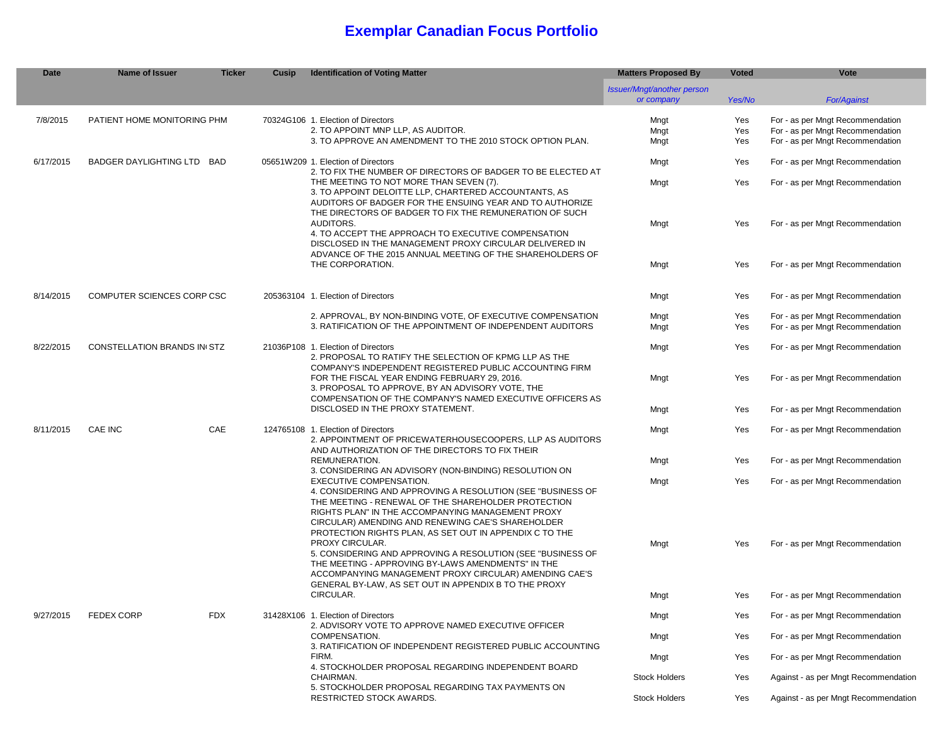# **Exemplar Canadian Focus Portfolio**

| Date      | Name of Issuer                     | <b>Ticker</b> | Cusip                                                                                                                                                                                                                    | <b>Identification of Voting Matter</b>                                                                                                                                                                                                                  | <b>Matters Proposed By</b>                      | <b>Voted</b> | Vote                                                                 |
|-----------|------------------------------------|---------------|--------------------------------------------------------------------------------------------------------------------------------------------------------------------------------------------------------------------------|---------------------------------------------------------------------------------------------------------------------------------------------------------------------------------------------------------------------------------------------------------|-------------------------------------------------|--------------|----------------------------------------------------------------------|
|           |                                    |               |                                                                                                                                                                                                                          |                                                                                                                                                                                                                                                         | <b>Issuer/Mngt/another person</b><br>or company | Yes/No       | <b>For/Against</b>                                                   |
| 7/8/2015  | PATIENT HOME MONITORING PHM        |               |                                                                                                                                                                                                                          | 70324G106 1. Election of Directors                                                                                                                                                                                                                      | Mngt                                            | Yes          | For - as per Mngt Recommendation                                     |
|           |                                    |               |                                                                                                                                                                                                                          | 2. TO APPOINT MNP LLP, AS AUDITOR.<br>3. TO APPROVE AN AMENDMENT TO THE 2010 STOCK OPTION PLAN.                                                                                                                                                         | Mngt<br>Mngt                                    | Yes<br>Yes   | For - as per Mngt Recommendation<br>For - as per Mngt Recommendation |
|           |                                    |               |                                                                                                                                                                                                                          |                                                                                                                                                                                                                                                         |                                                 |              |                                                                      |
| 6/17/2015 | BADGER DAYLIGHTING LTD BAD         |               |                                                                                                                                                                                                                          | 05651W209 1. Election of Directors<br>2. TO FIX THE NUMBER OF DIRECTORS OF BADGER TO BE ELECTED AT                                                                                                                                                      | Mngt                                            | Yes          | For - as per Mngt Recommendation                                     |
|           |                                    |               |                                                                                                                                                                                                                          | THE MEETING TO NOT MORE THAN SEVEN (7).<br>3. TO APPOINT DELOITTE LLP, CHARTERED ACCOUNTANTS, AS<br>AUDITORS OF BADGER FOR THE ENSUING YEAR AND TO AUTHORIZE                                                                                            | Mngt                                            | Yes          | For - as per Mngt Recommendation                                     |
|           |                                    |               |                                                                                                                                                                                                                          | THE DIRECTORS OF BADGER TO FIX THE REMUNERATION OF SUCH<br>AUDITORS.<br>4. TO ACCEPT THE APPROACH TO EXECUTIVE COMPENSATION<br>DISCLOSED IN THE MANAGEMENT PROXY CIRCULAR DELIVERED IN                                                                  | Mngt                                            | Yes          | For - as per Mngt Recommendation                                     |
|           |                                    |               |                                                                                                                                                                                                                          | ADVANCE OF THE 2015 ANNUAL MEETING OF THE SHAREHOLDERS OF                                                                                                                                                                                               |                                                 |              |                                                                      |
|           |                                    |               |                                                                                                                                                                                                                          | THE CORPORATION.                                                                                                                                                                                                                                        | Mngt                                            | Yes          | For - as per Mngt Recommendation                                     |
| 8/14/2015 | COMPUTER SCIENCES CORP CSC         |               |                                                                                                                                                                                                                          | 205363104 1. Election of Directors                                                                                                                                                                                                                      | Mngt                                            | Yes          | For - as per Mngt Recommendation                                     |
|           |                                    |               |                                                                                                                                                                                                                          | 2. APPROVAL, BY NON-BINDING VOTE, OF EXECUTIVE COMPENSATION                                                                                                                                                                                             | Mngt                                            | Yes          | For - as per Mngt Recommendation                                     |
|           |                                    |               |                                                                                                                                                                                                                          | 3. RATIFICATION OF THE APPOINTMENT OF INDEPENDENT AUDITORS                                                                                                                                                                                              | Mngt                                            | Yes          | For - as per Mngt Recommendation                                     |
| 8/22/2015 | <b>CONSTELLATION BRANDS IN STZ</b> |               |                                                                                                                                                                                                                          | 21036P108 1. Election of Directors<br>2. PROPOSAL TO RATIFY THE SELECTION OF KPMG LLP AS THE                                                                                                                                                            | Mngt                                            | Yes          | For - as per Mngt Recommendation                                     |
|           |                                    |               |                                                                                                                                                                                                                          | COMPANY'S INDEPENDENT REGISTERED PUBLIC ACCOUNTING FIRM<br>FOR THE FISCAL YEAR ENDING FEBRUARY 29, 2016.<br>3. PROPOSAL TO APPROVE, BY AN ADVISORY VOTE, THE                                                                                            | Mngt                                            | Yes          | For - as per Mngt Recommendation                                     |
|           |                                    |               |                                                                                                                                                                                                                          | COMPENSATION OF THE COMPANY'S NAMED EXECUTIVE OFFICERS AS<br>DISCLOSED IN THE PROXY STATEMENT.                                                                                                                                                          | Mngt                                            | Yes          | For - as per Mngt Recommendation                                     |
| 8/11/2015 | CAE INC                            | CAE           |                                                                                                                                                                                                                          | 124765108 1. Election of Directors<br>2. APPOINTMENT OF PRICEWATERHOUSECOOPERS, LLP AS AUDITORS                                                                                                                                                         | Mngt                                            | Yes          | For - as per Mngt Recommendation                                     |
|           |                                    |               |                                                                                                                                                                                                                          | AND AUTHORIZATION OF THE DIRECTORS TO FIX THEIR<br>REMUNERATION.                                                                                                                                                                                        | Mngt                                            | Yes          | For - as per Mngt Recommendation                                     |
|           |                                    |               |                                                                                                                                                                                                                          | 3. CONSIDERING AN ADVISORY (NON-BINDING) RESOLUTION ON<br>EXECUTIVE COMPENSATION.<br>4. CONSIDERING AND APPROVING A RESOLUTION (SEE "BUSINESS OF                                                                                                        | Mngt                                            | Yes          | For - as per Mngt Recommendation                                     |
|           |                                    |               | THE MEETING - RENEWAL OF THE SHAREHOLDER PROTECTION<br>RIGHTS PLAN" IN THE ACCOMPANYING MANAGEMENT PROXY<br>CIRCULAR) AMENDING AND RENEWING CAE'S SHAREHOLDER<br>PROTECTION RIGHTS PLAN, AS SET OUT IN APPENDIX C TO THE |                                                                                                                                                                                                                                                         |                                                 |              |                                                                      |
|           |                                    |               |                                                                                                                                                                                                                          | PROXY CIRCULAR.<br>5. CONSIDERING AND APPROVING A RESOLUTION (SEE "BUSINESS OF<br>THE MEETING - APPROVING BY-LAWS AMENDMENTS" IN THE<br>ACCOMPANYING MANAGEMENT PROXY CIRCULAR) AMENDING CAE'S<br>GENERAL BY-LAW. AS SET OUT IN APPENDIX B TO THE PROXY | Mngt                                            | Yes          | For - as per Mngt Recommendation                                     |
|           |                                    |               |                                                                                                                                                                                                                          | CIRCULAR.                                                                                                                                                                                                                                               | Mngt                                            | Yes          | For - as per Mngt Recommendation                                     |
| 9/27/2015 | <b>FEDEX CORP</b>                  | <b>FDX</b>    |                                                                                                                                                                                                                          | 31428X106 1. Election of Directors<br>2. ADVISORY VOTE TO APPROVE NAMED EXECUTIVE OFFICER                                                                                                                                                               | Mngt                                            | Yes          | For - as per Mngt Recommendation                                     |
|           |                                    |               |                                                                                                                                                                                                                          | COMPENSATION.<br>3. RATIFICATION OF INDEPENDENT REGISTERED PUBLIC ACCOUNTING                                                                                                                                                                            | Mngt                                            | Yes          | For - as per Mngt Recommendation                                     |
|           |                                    |               |                                                                                                                                                                                                                          | FIRM.<br>4. STOCKHOLDER PROPOSAL REGARDING INDEPENDENT BOARD                                                                                                                                                                                            | Mngt                                            | Yes          | For - as per Mngt Recommendation                                     |
|           |                                    |               |                                                                                                                                                                                                                          | CHAIRMAN.<br>5. STOCKHOLDER PROPOSAL REGARDING TAX PAYMENTS ON                                                                                                                                                                                          | <b>Stock Holders</b>                            | Yes          | Against - as per Mngt Recommendation                                 |
|           |                                    |               |                                                                                                                                                                                                                          | RESTRICTED STOCK AWARDS.                                                                                                                                                                                                                                | <b>Stock Holders</b>                            | Yes          | Against - as per Mngt Recommendation                                 |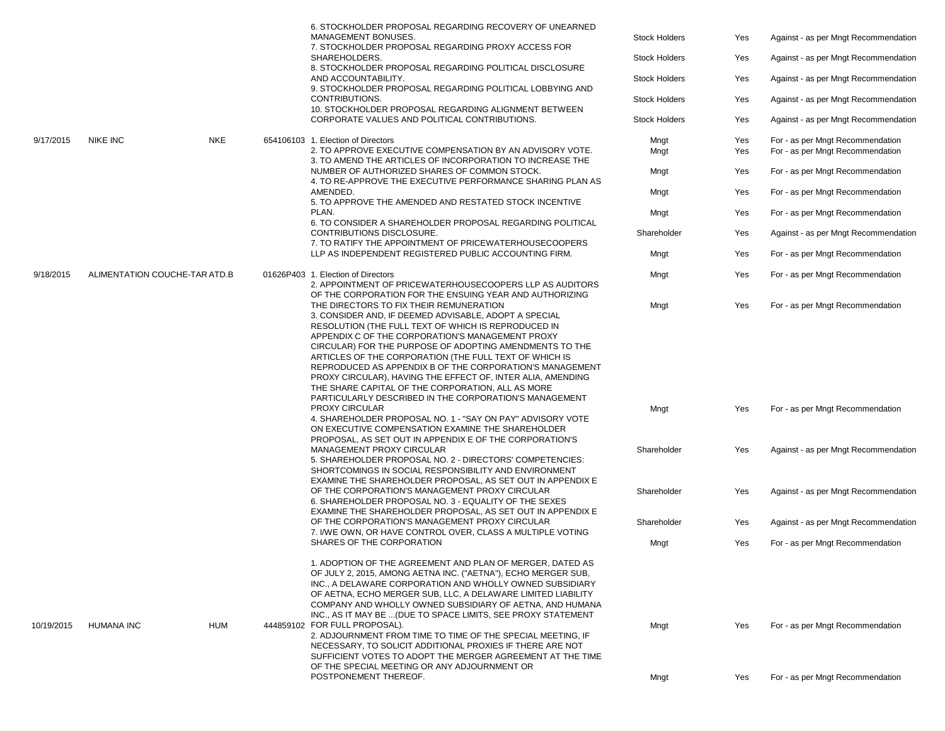|            |                               |            | 6. STOCKHOLDER PROPOSAL REGARDING RECOVERY OF UNEARNED<br>MANAGEMENT BONUSES.<br>7. STOCKHOLDER PROPOSAL REGARDING PROXY ACCESS FOR<br>SHAREHOLDERS.<br>8. STOCKHOLDER PROPOSAL REGARDING POLITICAL DISCLOSURE<br>AND ACCOUNTABILITY.<br>9. STOCKHOLDER PROPOSAL REGARDING POLITICAL LOBBYING AND<br>CONTRIBUTIONS.<br>10. STOCKHOLDER PROPOSAL REGARDING ALIGNMENT BETWEEN<br>CORPORATE VALUES AND POLITICAL CONTRIBUTIONS.                                                                                                                                                                                                          | <b>Stock Holders</b><br><b>Stock Holders</b><br><b>Stock Holders</b><br><b>Stock Holders</b><br><b>Stock Holders</b> | Yes<br>Yes<br>Yes<br>Yes<br>Yes | Against - as per Mngt Recommendation<br>Against - as per Mngt Recommendation<br>Against - as per Mngt Recommendation<br>Against - as per Mngt Recommendation<br>Against - as per Mngt Recommendation |
|------------|-------------------------------|------------|---------------------------------------------------------------------------------------------------------------------------------------------------------------------------------------------------------------------------------------------------------------------------------------------------------------------------------------------------------------------------------------------------------------------------------------------------------------------------------------------------------------------------------------------------------------------------------------------------------------------------------------|----------------------------------------------------------------------------------------------------------------------|---------------------------------|------------------------------------------------------------------------------------------------------------------------------------------------------------------------------------------------------|
| 9/17/2015  | <b>NIKE INC</b>               | <b>NKE</b> | 654106103 1. Election of Directors<br>2. TO APPROVE EXECUTIVE COMPENSATION BY AN ADVISORY VOTE.                                                                                                                                                                                                                                                                                                                                                                                                                                                                                                                                       | Mngt<br>Mngt                                                                                                         | Yes<br>Yes                      | For - as per Mngt Recommendation<br>For - as per Mngt Recommendation                                                                                                                                 |
|            |                               |            | 3. TO AMEND THE ARTICLES OF INCORPORATION TO INCREASE THE<br>NUMBER OF AUTHORIZED SHARES OF COMMON STOCK.<br>4. TO RE-APPROVE THE EXECUTIVE PERFORMANCE SHARING PLAN AS                                                                                                                                                                                                                                                                                                                                                                                                                                                               | Mngt                                                                                                                 | Yes                             | For - as per Mngt Recommendation                                                                                                                                                                     |
|            |                               |            | AMENDED.<br>5. TO APPROVE THE AMENDED AND RESTATED STOCK INCENTIVE                                                                                                                                                                                                                                                                                                                                                                                                                                                                                                                                                                    | Mngt                                                                                                                 | Yes                             | For - as per Mngt Recommendation                                                                                                                                                                     |
|            |                               |            | PLAN.<br>6. TO CONSIDER A SHAREHOLDER PROPOSAL REGARDING POLITICAL                                                                                                                                                                                                                                                                                                                                                                                                                                                                                                                                                                    | Mngt                                                                                                                 | Yes                             | For - as per Mngt Recommendation                                                                                                                                                                     |
|            |                               |            | CONTRIBUTIONS DISCLOSURE.<br>7. TO RATIFY THE APPOINTMENT OF PRICEWATERHOUSECOOPERS                                                                                                                                                                                                                                                                                                                                                                                                                                                                                                                                                   | Shareholder                                                                                                          | Yes                             | Against - as per Mngt Recommendation                                                                                                                                                                 |
|            |                               |            | LLP AS INDEPENDENT REGISTERED PUBLIC ACCOUNTING FIRM.                                                                                                                                                                                                                                                                                                                                                                                                                                                                                                                                                                                 | Mngt                                                                                                                 | Yes                             | For - as per Mngt Recommendation                                                                                                                                                                     |
| 9/18/2015  | ALIMENTATION COUCHE-TAR ATD.B |            | 01626P403 1. Election of Directors<br>2. APPOINTMENT OF PRICEWATERHOUSECOOPERS LLP AS AUDITORS                                                                                                                                                                                                                                                                                                                                                                                                                                                                                                                                        | Mngt                                                                                                                 | Yes                             | For - as per Mngt Recommendation                                                                                                                                                                     |
|            |                               |            | OF THE CORPORATION FOR THE ENSUING YEAR AND AUTHORIZING<br>THE DIRECTORS TO FIX THEIR REMUNERATION<br>3. CONSIDER AND, IF DEEMED ADVISABLE, ADOPT A SPECIAL<br>RESOLUTION (THE FULL TEXT OF WHICH IS REPRODUCED IN<br>APPENDIX C OF THE CORPORATION'S MANAGEMENT PROXY<br>CIRCULAR) FOR THE PURPOSE OF ADOPTING AMENDMENTS TO THE<br>ARTICLES OF THE CORPORATION (THE FULL TEXT OF WHICH IS<br>REPRODUCED AS APPENDIX B OF THE CORPORATION'S MANAGEMENT<br>PROXY CIRCULAR), HAVING THE EFFECT OF, INTER ALIA, AMENDING<br>THE SHARE CAPITAL OF THE CORPORATION, ALL AS MORE<br>PARTICULARLY DESCRIBED IN THE CORPORATION'S MANAGEMENT | Mngt                                                                                                                 | Yes                             | For - as per Mngt Recommendation                                                                                                                                                                     |
|            |                               |            | PROXY CIRCULAR<br>4. SHAREHOLDER PROPOSAL NO. 1 - "SAY ON PAY" ADVISORY VOTE<br>ON EXECUTIVE COMPENSATION EXAMINE THE SHAREHOLDER<br>PROPOSAL, AS SET OUT IN APPENDIX E OF THE CORPORATION'S                                                                                                                                                                                                                                                                                                                                                                                                                                          | Mngt                                                                                                                 | Yes                             | For - as per Mngt Recommendation                                                                                                                                                                     |
|            |                               |            | MANAGEMENT PROXY CIRCULAR<br>5. SHAREHOLDER PROPOSAL NO. 2 - DIRECTORS' COMPETENCIES:<br>SHORTCOMINGS IN SOCIAL RESPONSIBILITY AND ENVIRONMENT<br>EXAMINE THE SHAREHOLDER PROPOSAL, AS SET OUT IN APPENDIX E                                                                                                                                                                                                                                                                                                                                                                                                                          | Shareholder                                                                                                          | Yes                             | Against - as per Mngt Recommendation                                                                                                                                                                 |
|            |                               |            | OF THE CORPORATION'S MANAGEMENT PROXY CIRCULAR<br>6. SHAREHOLDER PROPOSAL NO. 3 - EQUALITY OF THE SEXES                                                                                                                                                                                                                                                                                                                                                                                                                                                                                                                               | Shareholder                                                                                                          | Yes                             | Against - as per Mngt Recommendation                                                                                                                                                                 |
|            |                               |            | EXAMINE THE SHAREHOLDER PROPOSAL, AS SET OUT IN APPENDIX E<br>OF THE CORPORATION'S MANAGEMENT PROXY CIRCULAR                                                                                                                                                                                                                                                                                                                                                                                                                                                                                                                          | Shareholder                                                                                                          | Yes                             | Against - as per Mngt Recommendation                                                                                                                                                                 |
|            |                               |            | 7. I/WE OWN, OR HAVE CONTROL OVER, CLASS A MULTIPLE VOTING<br>SHARES OF THE CORPORATION                                                                                                                                                                                                                                                                                                                                                                                                                                                                                                                                               | Mngt                                                                                                                 | Yes                             | For - as per Mngt Recommendation                                                                                                                                                                     |
| 10/19/2015 | <b>HUMANA INC</b>             | <b>HUM</b> | 1. ADOPTION OF THE AGREEMENT AND PLAN OF MERGER, DATED AS<br>OF JULY 2, 2015, AMONG AETNA INC. ("AETNA"), ECHO MERGER SUB,<br>INC., A DELAWARE CORPORATION AND WHOLLY OWNED SUBSIDIARY<br>OF AETNA. ECHO MERGER SUB. LLC. A DELAWARE LIMITED LIABILITY<br>COMPANY AND WHOLLY OWNED SUBSIDIARY OF AETNA, AND HUMANA<br>INC., AS IT MAY BE  (DUE TO SPACE LIMITS, SEE PROXY STATEMENT<br>444859102 FOR FULL PROPOSAL).<br>2. ADJOURNMENT FROM TIME TO TIME OF THE SPECIAL MEETING, IF<br>NECESSARY, TO SOLICIT ADDITIONAL PROXIES IF THERE ARE NOT<br>SUFFICIENT VOTES TO ADOPT THE MERGER AGREEMENT AT THE TIME                        | Mngt                                                                                                                 | Yes                             | For - as per Mngt Recommendation                                                                                                                                                                     |
|            |                               |            | OF THE SPECIAL MEETING OR ANY ADJOURNMENT OR<br>POSTPONEMENT THEREOF.                                                                                                                                                                                                                                                                                                                                                                                                                                                                                                                                                                 | Mngt                                                                                                                 | Yes                             | For - as per Mngt Recommendation                                                                                                                                                                     |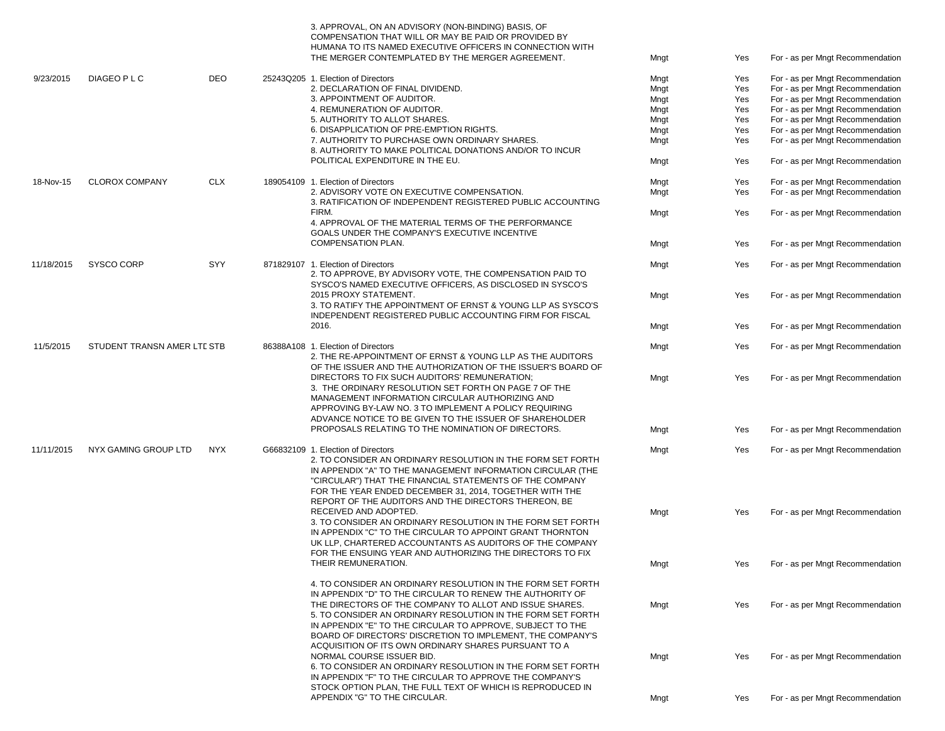|            |                             |            | 3. APPROVAL, ON AN ADVISORY (NON-BINDING) BASIS, OF<br>COMPENSATION THAT WILL OR MAY BE PAID OR PROVIDED BY<br>HUMANA TO ITS NAMED EXECUTIVE OFFICERS IN CONNECTION WITH<br>THE MERGER CONTEMPLATED BY THE MERGER AGREEMENT. | Mngt         | Yes        | For - as per Mngt Recommendation                                     |
|------------|-----------------------------|------------|------------------------------------------------------------------------------------------------------------------------------------------------------------------------------------------------------------------------------|--------------|------------|----------------------------------------------------------------------|
| 9/23/2015  | DIAGEO P L C                | <b>DEO</b> | 25243Q205 1. Election of Directors                                                                                                                                                                                           | Mngt         | Yes        | For - as per Mngt Recommendation                                     |
|            |                             |            | 2. DECLARATION OF FINAL DIVIDEND.                                                                                                                                                                                            | Mngt         | Yes        | For - as per Mngt Recommendation                                     |
|            |                             |            | 3. APPOINTMENT OF AUDITOR.                                                                                                                                                                                                   | Mngt         | Yes        | For - as per Mngt Recommendation                                     |
|            |                             |            | 4. REMUNERATION OF AUDITOR.                                                                                                                                                                                                  | Mngt         | Yes        | For - as per Mngt Recommendation                                     |
|            |                             |            | 5. AUTHORITY TO ALLOT SHARES.                                                                                                                                                                                                | Mngt         | Yes        | For - as per Mngt Recommendation                                     |
|            |                             |            | 6. DISAPPLICATION OF PRE-EMPTION RIGHTS.                                                                                                                                                                                     |              |            |                                                                      |
|            |                             |            | 7. AUTHORITY TO PURCHASE OWN ORDINARY SHARES.                                                                                                                                                                                | Mngt         | Yes        | For - as per Mngt Recommendation                                     |
|            |                             |            | 8. AUTHORITY TO MAKE POLITICAL DONATIONS AND/OR TO INCUR<br>POLITICAL EXPENDITURE IN THE EU.                                                                                                                                 | Mngt<br>Mngt | Yes<br>Yes | For - as per Mngt Recommendation<br>For - as per Mngt Recommendation |
|            |                             |            |                                                                                                                                                                                                                              |              |            |                                                                      |
| 18-Nov-15  | <b>CLOROX COMPANY</b>       | <b>CLX</b> | 189054109 1. Election of Directors                                                                                                                                                                                           | Mngt         | Yes        | For - as per Mngt Recommendation                                     |
|            |                             |            | 2. ADVISORY VOTE ON EXECUTIVE COMPENSATION.                                                                                                                                                                                  | Mngt         | Yes        | For - as per Mngt Recommendation                                     |
|            |                             |            | 3. RATIFICATION OF INDEPENDENT REGISTERED PUBLIC ACCOUNTING                                                                                                                                                                  |              |            |                                                                      |
|            |                             |            | FIRM.                                                                                                                                                                                                                        | Mngt         | Yes        | For - as per Mngt Recommendation                                     |
|            |                             |            | 4. APPROVAL OF THE MATERIAL TERMS OF THE PERFORMANCE                                                                                                                                                                         |              |            |                                                                      |
|            |                             |            | GOALS UNDER THE COMPANY'S EXECUTIVE INCENTIVE                                                                                                                                                                                |              |            |                                                                      |
|            |                             |            | <b>COMPENSATION PLAN.</b>                                                                                                                                                                                                    | Mngt         | Yes        | For - as per Mngt Recommendation                                     |
|            |                             |            |                                                                                                                                                                                                                              |              |            |                                                                      |
| 11/18/2015 | SYSCO CORP                  | SYY        | 871829107 1. Election of Directors                                                                                                                                                                                           | Mngt         | Yes        | For - as per Mngt Recommendation                                     |
|            |                             |            | 2. TO APPROVE, BY ADVISORY VOTE, THE COMPENSATION PAID TO                                                                                                                                                                    |              |            |                                                                      |
|            |                             |            |                                                                                                                                                                                                                              |              |            |                                                                      |
|            |                             |            | SYSCO'S NAMED EXECUTIVE OFFICERS, AS DISCLOSED IN SYSCO'S                                                                                                                                                                    |              |            |                                                                      |
|            |                             |            | 2015 PROXY STATEMENT.                                                                                                                                                                                                        | Mngt         | Yes        | For - as per Mngt Recommendation                                     |
|            |                             |            | 3. TO RATIFY THE APPOINTMENT OF ERNST & YOUNG LLP AS SYSCO'S                                                                                                                                                                 |              |            |                                                                      |
|            |                             |            | INDEPENDENT REGISTERED PUBLIC ACCOUNTING FIRM FOR FISCAL                                                                                                                                                                     |              |            |                                                                      |
|            |                             |            | 2016.                                                                                                                                                                                                                        | Mngt         | Yes        | For - as per Mngt Recommendation                                     |
|            |                             |            |                                                                                                                                                                                                                              |              |            |                                                                      |
| 11/5/2015  | STUDENT TRANSN AMER LTL STB |            | 86388A108 1. Election of Directors                                                                                                                                                                                           | Mngt         | Yes        | For - as per Mngt Recommendation                                     |
|            |                             |            | 2. THE RE-APPOINTMENT OF ERNST & YOUNG LLP AS THE AUDITORS                                                                                                                                                                   |              |            |                                                                      |
|            |                             |            | OF THE ISSUER AND THE AUTHORIZATION OF THE ISSUER'S BOARD OF                                                                                                                                                                 |              |            |                                                                      |
|            |                             |            | DIRECTORS TO FIX SUCH AUDITORS' REMUNERATION;                                                                                                                                                                                | Mngt         | Yes        | For - as per Mngt Recommendation                                     |
|            |                             |            | 3. THE ORDINARY RESOLUTION SET FORTH ON PAGE 7 OF THE                                                                                                                                                                        |              |            |                                                                      |
|            |                             |            | MANAGEMENT INFORMATION CIRCULAR AUTHORIZING AND                                                                                                                                                                              |              |            |                                                                      |
|            |                             |            | APPROVING BY-LAW NO. 3 TO IMPLEMENT A POLICY REQUIRING                                                                                                                                                                       |              |            |                                                                      |
|            |                             |            | ADVANCE NOTICE TO BE GIVEN TO THE ISSUER OF SHAREHOLDER                                                                                                                                                                      |              |            |                                                                      |
|            |                             |            | PROPOSALS RELATING TO THE NOMINATION OF DIRECTORS.                                                                                                                                                                           | Mngt         | Yes        | For - as per Mngt Recommendation                                     |
|            |                             |            |                                                                                                                                                                                                                              |              |            |                                                                      |
| 11/11/2015 | NYX GAMING GROUP LTD        | NYX        | G66832109 1. Election of Directors                                                                                                                                                                                           | Mngt         | Yes        | For - as per Mngt Recommendation                                     |
|            |                             |            | 2. TO CONSIDER AN ORDINARY RESOLUTION IN THE FORM SET FORTH                                                                                                                                                                  |              |            |                                                                      |
|            |                             |            | IN APPENDIX "A" TO THE MANAGEMENT INFORMATION CIRCULAR (THE                                                                                                                                                                  |              |            |                                                                      |
|            |                             |            | "CIRCULAR") THAT THE FINANCIAL STATEMENTS OF THE COMPANY                                                                                                                                                                     |              |            |                                                                      |
|            |                             |            | FOR THE YEAR ENDED DECEMBER 31, 2014, TOGETHER WITH THE                                                                                                                                                                      |              |            |                                                                      |
|            |                             |            | REPORT OF THE AUDITORS AND THE DIRECTORS THEREON. BE                                                                                                                                                                         |              |            |                                                                      |
|            |                             |            | RECEIVED AND ADOPTED.                                                                                                                                                                                                        | Mngt         | Yes        | For - as per Mngt Recommendation                                     |
|            |                             |            | 3. TO CONSIDER AN ORDINARY RESOLUTION IN THE FORM SET FORTH                                                                                                                                                                  |              |            |                                                                      |
|            |                             |            | IN APPENDIX "C" TO THE CIRCULAR TO APPOINT GRANT THORNTON                                                                                                                                                                    |              |            |                                                                      |
|            |                             |            | UK LLP. CHARTERED ACCOUNTANTS AS AUDITORS OF THE COMPANY                                                                                                                                                                     |              |            |                                                                      |
|            |                             |            |                                                                                                                                                                                                                              |              |            |                                                                      |
|            |                             |            | FOR THE ENSUING YEAR AND AUTHORIZING THE DIRECTORS TO FIX                                                                                                                                                                    |              |            |                                                                      |
|            |                             |            | THEIR REMUNERATION.                                                                                                                                                                                                          | Mngt         | Yes        | For - as per Mngt Recommendation                                     |
|            |                             |            |                                                                                                                                                                                                                              |              |            |                                                                      |
|            |                             |            | 4. TO CONSIDER AN ORDINARY RESOLUTION IN THE FORM SET FORTH                                                                                                                                                                  |              |            |                                                                      |
|            |                             |            | IN APPENDIX "D" TO THE CIRCULAR TO RENEW THE AUTHORITY OF                                                                                                                                                                    |              |            |                                                                      |
|            |                             |            | THE DIRECTORS OF THE COMPANY TO ALLOT AND ISSUE SHARES.                                                                                                                                                                      | Mngt         | Yes        | For - as per Mngt Recommendation                                     |
|            |                             |            | 5. TO CONSIDER AN ORDINARY RESOLUTION IN THE FORM SET FORTH                                                                                                                                                                  |              |            |                                                                      |
|            |                             |            | IN APPENDIX "E" TO THE CIRCULAR TO APPROVE, SUBJECT TO THE                                                                                                                                                                   |              |            |                                                                      |
|            |                             |            | BOARD OF DIRECTORS' DISCRETION TO IMPLEMENT, THE COMPANY'S                                                                                                                                                                   |              |            |                                                                      |
|            |                             |            | ACQUISITION OF ITS OWN ORDINARY SHARES PURSUANT TO A                                                                                                                                                                         |              |            |                                                                      |
|            |                             |            | NORMAL COURSE ISSUER BID.                                                                                                                                                                                                    | Mngt         | Yes        | For - as per Mngt Recommendation                                     |
|            |                             |            | 6. TO CONSIDER AN ORDINARY RESOLUTION IN THE FORM SET FORTH                                                                                                                                                                  |              |            |                                                                      |
|            |                             |            | IN APPENDIX "F" TO THE CIRCULAR TO APPROVE THE COMPANY'S                                                                                                                                                                     |              |            |                                                                      |
|            |                             |            | STOCK OPTION PLAN. THE FULL TEXT OF WHICH IS REPRODUCED IN                                                                                                                                                                   |              |            |                                                                      |
|            |                             |            | APPENDIX "G" TO THE CIRCULAR.                                                                                                                                                                                                | Mngt         | Yes        | For - as per Mngt Recommendation                                     |
|            |                             |            |                                                                                                                                                                                                                              |              |            |                                                                      |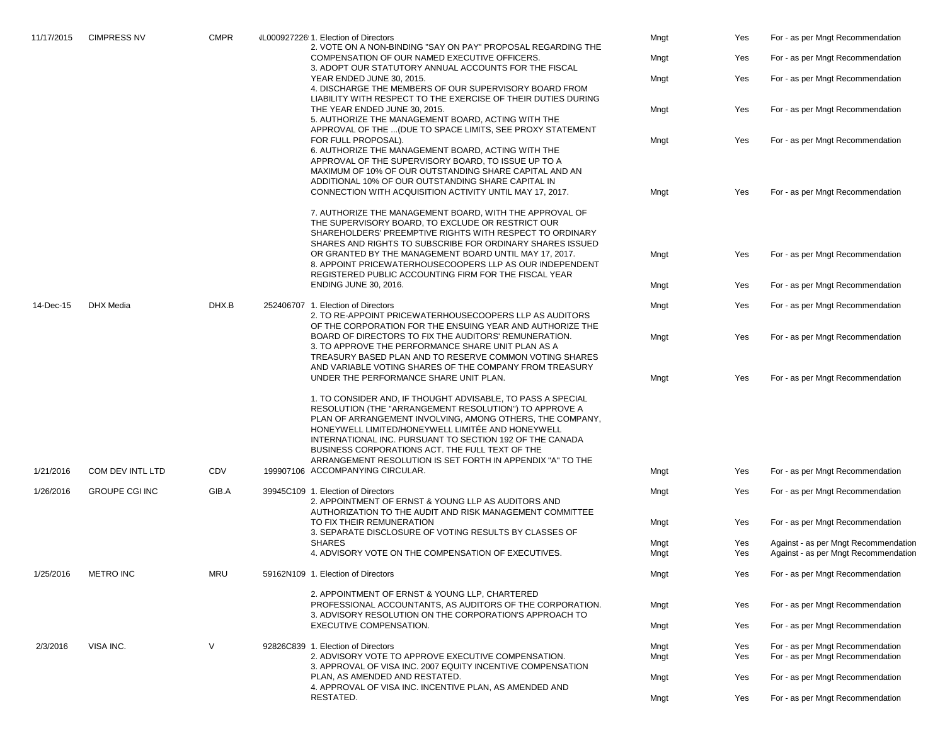| 11/17/2015 | <b>CIMPRESS NV</b>    | <b>CMPR</b> |                                                                                                                                                                        | VL000927226 1. Election of Directors<br>2. VOTE ON A NON-BINDING "SAY ON PAY" PROPOSAL REGARDING THE                                                                                                                                                                                                                                                                                                                 | Mngt         | Yes                              | For - as per Mngt Recommendation                                             |
|------------|-----------------------|-------------|------------------------------------------------------------------------------------------------------------------------------------------------------------------------|----------------------------------------------------------------------------------------------------------------------------------------------------------------------------------------------------------------------------------------------------------------------------------------------------------------------------------------------------------------------------------------------------------------------|--------------|----------------------------------|------------------------------------------------------------------------------|
|            |                       |             |                                                                                                                                                                        | COMPENSATION OF OUR NAMED EXECUTIVE OFFICERS.<br>3. ADOPT OUR STATUTORY ANNUAL ACCOUNTS FOR THE FISCAL                                                                                                                                                                                                                                                                                                               | Mngt         | Yes                              | For - as per Mngt Recommendation                                             |
|            |                       |             |                                                                                                                                                                        | YEAR ENDED JUNE 30, 2015.<br>4. DISCHARGE THE MEMBERS OF OUR SUPERVISORY BOARD FROM                                                                                                                                                                                                                                                                                                                                  | Mngt         | Yes                              | For - as per Mngt Recommendation                                             |
|            |                       |             |                                                                                                                                                                        | LIABILITY WITH RESPECT TO THE EXERCISE OF THEIR DUTIES DURING<br>THE YEAR ENDED JUNE 30, 2015.<br>5. AUTHORIZE THE MANAGEMENT BOARD, ACTING WITH THE<br>APPROVAL OF THE  (DUE TO SPACE LIMITS, SEE PROXY STATEMENT                                                                                                                                                                                                   | Mngt         | Yes                              | For - as per Mngt Recommendation                                             |
|            |                       |             |                                                                                                                                                                        | FOR FULL PROPOSAL).<br>6. AUTHORIZE THE MANAGEMENT BOARD, ACTING WITH THE<br>APPROVAL OF THE SUPERVISORY BOARD, TO ISSUE UP TO A<br>MAXIMUM OF 10% OF OUR OUTSTANDING SHARE CAPITAL AND AN<br>ADDITIONAL 10% OF OUR OUTSTANDING SHARE CAPITAL IN                                                                                                                                                                     | Mngt         | Yes                              | For - as per Mngt Recommendation                                             |
|            |                       |             |                                                                                                                                                                        | CONNECTION WITH ACQUISITION ACTIVITY UNTIL MAY 17, 2017.                                                                                                                                                                                                                                                                                                                                                             | Mngt         | Yes                              | For - as per Mngt Recommendation                                             |
|            |                       |             |                                                                                                                                                                        | 7. AUTHORIZE THE MANAGEMENT BOARD, WITH THE APPROVAL OF<br>THE SUPERVISORY BOARD, TO EXCLUDE OR RESTRICT OUR<br>SHAREHOLDERS' PREEMPTIVE RIGHTS WITH RESPECT TO ORDINARY<br>SHARES AND RIGHTS TO SUBSCRIBE FOR ORDINARY SHARES ISSUED<br>OR GRANTED BY THE MANAGEMENT BOARD UNTIL MAY 17, 2017.<br>8. APPOINT PRICEWATERHOUSECOOPERS LLP AS OUR INDEPENDENT                                                          | Mngt         | Yes                              | For - as per Mngt Recommendation                                             |
|            |                       |             |                                                                                                                                                                        | REGISTERED PUBLIC ACCOUNTING FIRM FOR THE FISCAL YEAR                                                                                                                                                                                                                                                                                                                                                                |              |                                  |                                                                              |
|            |                       |             |                                                                                                                                                                        | <b>ENDING JUNE 30, 2016.</b>                                                                                                                                                                                                                                                                                                                                                                                         | Mngt         | Yes                              | For - as per Mngt Recommendation                                             |
| 14-Dec-15  | DHX Media             | DHX.B       |                                                                                                                                                                        | 252406707 1. Election of Directors<br>2. TO RE-APPOINT PRICEWATERHOUSECOOPERS LLP AS AUDITORS<br>OF THE CORPORATION FOR THE ENSUING YEAR AND AUTHORIZE THE                                                                                                                                                                                                                                                           | Mngt         | Yes                              | For - as per Mngt Recommendation                                             |
|            |                       |             | BOARD OF DIRECTORS TO FIX THE AUDITORS' REMUNERATION.<br>3. TO APPROVE THE PERFORMANCE SHARE UNIT PLAN AS A<br>TREASURY BASED PLAN AND TO RESERVE COMMON VOTING SHARES | Mngt                                                                                                                                                                                                                                                                                                                                                                                                                 | Yes          | For - as per Mngt Recommendation |                                                                              |
|            |                       |             |                                                                                                                                                                        | AND VARIABLE VOTING SHARES OF THE COMPANY FROM TREASURY<br>UNDER THE PERFORMANCE SHARE UNIT PLAN.                                                                                                                                                                                                                                                                                                                    | Mngt         | Yes                              | For - as per Mngt Recommendation                                             |
|            |                       |             |                                                                                                                                                                        | 1. TO CONSIDER AND, IF THOUGHT ADVISABLE, TO PASS A SPECIAL<br>RESOLUTION (THE "ARRANGEMENT RESOLUTION") TO APPROVE A<br>PLAN OF ARRANGEMENT INVOLVING, AMONG OTHERS, THE COMPANY,<br>HONEYWELL LIMITED/HONEYWELL LIMITÉE AND HONEYWELL<br>INTERNATIONAL INC. PURSUANT TO SECTION 192 OF THE CANADA<br>BUSINESS CORPORATIONS ACT. THE FULL TEXT OF THE<br>ARRANGEMENT RESOLUTION IS SET FORTH IN APPENDIX "A" TO THE |              |                                  |                                                                              |
| 1/21/2016  | COM DEV INTL LTD      | CDV         |                                                                                                                                                                        | 199907106 ACCOMPANYING CIRCULAR.                                                                                                                                                                                                                                                                                                                                                                                     | Mngt         | Yes                              | For - as per Mngt Recommendation                                             |
| 1/26/2016  | <b>GROUPE CGI INC</b> | GIB.A       |                                                                                                                                                                        | 39945C109 1. Election of Directors<br>2. APPOINTMENT OF ERNST & YOUNG LLP AS AUDITORS AND<br>AUTHORIZATION TO THE AUDIT AND RISK MANAGEMENT COMMITTEE                                                                                                                                                                                                                                                                | Mngt         | Yes                              | For - as per Mngt Recommendation                                             |
|            |                       |             |                                                                                                                                                                        | TO FIX THEIR REMUNERATION<br>3. SEPARATE DISCLOSURE OF VOTING RESULTS BY CLASSES OF                                                                                                                                                                                                                                                                                                                                  | Mngt         | Yes                              | For - as per Mngt Recommendation                                             |
|            |                       |             |                                                                                                                                                                        | <b>SHARES</b><br>4. ADVISORY VOTE ON THE COMPENSATION OF EXECUTIVES.                                                                                                                                                                                                                                                                                                                                                 | Mngt<br>Mngt | Yes<br>Yes                       | Against - as per Mngt Recommendation<br>Against - as per Mngt Recommendation |
| 1/25/2016  | <b>METRO INC</b>      | <b>MRU</b>  |                                                                                                                                                                        | 59162N109 1. Election of Directors                                                                                                                                                                                                                                                                                                                                                                                   | Mngt         | Yes                              | For - as per Mngt Recommendation                                             |
|            |                       |             |                                                                                                                                                                        | 2. APPOINTMENT OF ERNST & YOUNG LLP, CHARTERED<br>PROFESSIONAL ACCOUNTANTS, AS AUDITORS OF THE CORPORATION.<br>3. ADVISORY RESOLUTION ON THE CORPORATION'S APPROACH TO                                                                                                                                                                                                                                               | Mngt         | Yes                              | For - as per Mngt Recommendation                                             |
|            |                       |             |                                                                                                                                                                        | EXECUTIVE COMPENSATION.                                                                                                                                                                                                                                                                                                                                                                                              | Mngt         | Yes                              | For - as per Mngt Recommendation                                             |
| 2/3/2016   | VISA INC.             | $\vee$      |                                                                                                                                                                        | 92826C839 1. Election of Directors<br>2. ADVISORY VOTE TO APPROVE EXECUTIVE COMPENSATION.                                                                                                                                                                                                                                                                                                                            | Mngt<br>Mngt | Yes<br>Yes                       | For - as per Mngt Recommendation<br>For - as per Mngt Recommendation         |
|            |                       |             |                                                                                                                                                                        | 3. APPROVAL OF VISA INC. 2007 EQUITY INCENTIVE COMPENSATION<br>PLAN, AS AMENDED AND RESTATED.                                                                                                                                                                                                                                                                                                                        | Mngt         | Yes                              | For - as per Mngt Recommendation                                             |
|            |                       |             |                                                                                                                                                                        | 4. APPROVAL OF VISA INC. INCENTIVE PLAN, AS AMENDED AND<br>RESTATED.                                                                                                                                                                                                                                                                                                                                                 | Mngt         | Yes                              | For - as per Mngt Recommendation                                             |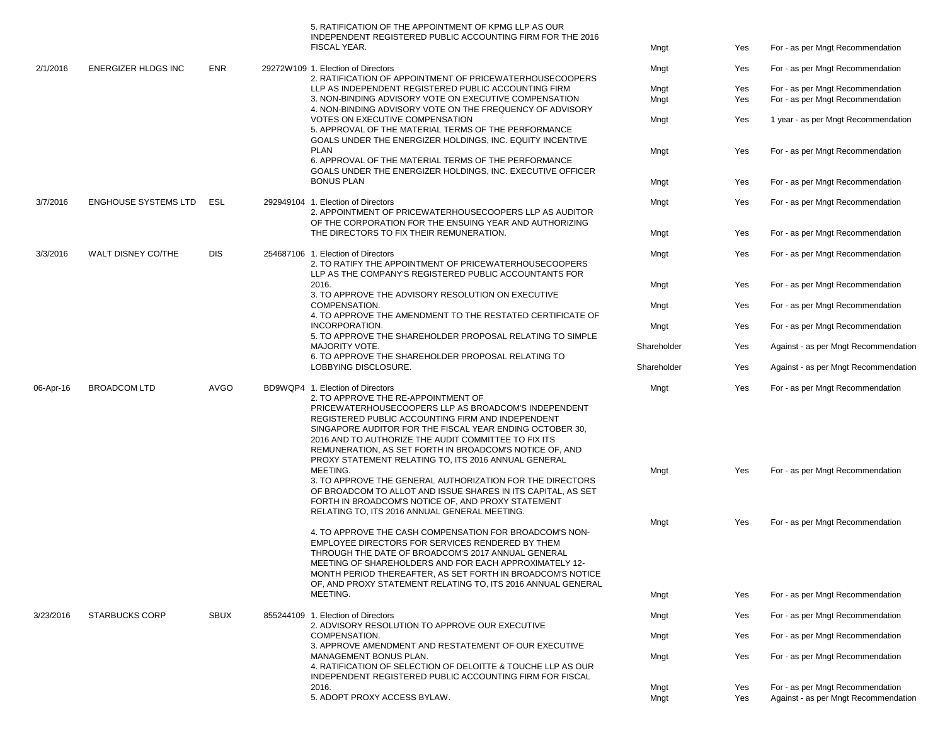|           |                             |             |                                                                                                                                                                                                                                                                                                                                                                                                                                                                                                                                                                                                                                                                                                                                                                                                                                                                                                                                                                          | 5. RATIFICATION OF THE APPOINTMENT OF KPMG LLP AS OUR<br>INDEPENDENT REGISTERED PUBLIC ACCOUNTING FIRM FOR THE 2016<br>FISCAL YEAR.                      | Mngt        | Yes                              | For - as per Mngt Recommendation     |
|-----------|-----------------------------|-------------|--------------------------------------------------------------------------------------------------------------------------------------------------------------------------------------------------------------------------------------------------------------------------------------------------------------------------------------------------------------------------------------------------------------------------------------------------------------------------------------------------------------------------------------------------------------------------------------------------------------------------------------------------------------------------------------------------------------------------------------------------------------------------------------------------------------------------------------------------------------------------------------------------------------------------------------------------------------------------|----------------------------------------------------------------------------------------------------------------------------------------------------------|-------------|----------------------------------|--------------------------------------|
| 2/1/2016  | <b>ENERGIZER HLDGS INC</b>  | <b>ENR</b>  |                                                                                                                                                                                                                                                                                                                                                                                                                                                                                                                                                                                                                                                                                                                                                                                                                                                                                                                                                                          | 29272W109 1. Election of Directors<br>2. RATIFICATION OF APPOINTMENT OF PRICEWATERHOUSECOOPERS                                                           | Mngt        | Yes                              | For - as per Mngt Recommendation     |
|           |                             |             |                                                                                                                                                                                                                                                                                                                                                                                                                                                                                                                                                                                                                                                                                                                                                                                                                                                                                                                                                                          | LLP AS INDEPENDENT REGISTERED PUBLIC ACCOUNTING FIRM                                                                                                     | Mngt        | Yes                              | For - as per Mngt Recommendation     |
|           |                             |             |                                                                                                                                                                                                                                                                                                                                                                                                                                                                                                                                                                                                                                                                                                                                                                                                                                                                                                                                                                          | 3. NON-BINDING ADVISORY VOTE ON EXECUTIVE COMPENSATION                                                                                                   | Mngt        | Yes                              | For - as per Mngt Recommendation     |
|           |                             |             |                                                                                                                                                                                                                                                                                                                                                                                                                                                                                                                                                                                                                                                                                                                                                                                                                                                                                                                                                                          | 4. NON-BINDING ADVISORY VOTE ON THE FREQUENCY OF ADVISORY                                                                                                |             |                                  |                                      |
|           |                             |             |                                                                                                                                                                                                                                                                                                                                                                                                                                                                                                                                                                                                                                                                                                                                                                                                                                                                                                                                                                          | VOTES ON EXECUTIVE COMPENSATION<br>5. APPROVAL OF THE MATERIAL TERMS OF THE PERFORMANCE<br>GOALS UNDER THE ENERGIZER HOLDINGS, INC. EQUITY INCENTIVE     | Mngt        | Yes                              | 1 year - as per Mngt Recommendation  |
|           |                             |             |                                                                                                                                                                                                                                                                                                                                                                                                                                                                                                                                                                                                                                                                                                                                                                                                                                                                                                                                                                          | <b>PLAN</b><br>6. APPROVAL OF THE MATERIAL TERMS OF THE PERFORMANCE<br>GOALS UNDER THE ENERGIZER HOLDINGS, INC. EXECUTIVE OFFICER                        | Mngt        | Yes                              | For - as per Mngt Recommendation     |
|           |                             |             |                                                                                                                                                                                                                                                                                                                                                                                                                                                                                                                                                                                                                                                                                                                                                                                                                                                                                                                                                                          | <b>BONUS PLAN</b>                                                                                                                                        | Mngt        | Yes                              | For - as per Mngt Recommendation     |
| 3/7/2016  | <b>ENGHOUSE SYSTEMS LTD</b> | ESL         |                                                                                                                                                                                                                                                                                                                                                                                                                                                                                                                                                                                                                                                                                                                                                                                                                                                                                                                                                                          | 292949104 1. Election of Directors<br>2. APPOINTMENT OF PRICEWATERHOUSECOOPERS LLP AS AUDITOR<br>OF THE CORPORATION FOR THE ENSUING YEAR AND AUTHORIZING | Mngt        | Yes                              | For - as per Mngt Recommendation     |
|           |                             |             |                                                                                                                                                                                                                                                                                                                                                                                                                                                                                                                                                                                                                                                                                                                                                                                                                                                                                                                                                                          | THE DIRECTORS TO FIX THEIR REMUNERATION.                                                                                                                 | Mngt        | Yes                              | For - as per Mngt Recommendation     |
| 3/3/2016  | WALT DISNEY CO/THE          | <b>DIS</b>  |                                                                                                                                                                                                                                                                                                                                                                                                                                                                                                                                                                                                                                                                                                                                                                                                                                                                                                                                                                          | 254687106 1. Election of Directors                                                                                                                       | Mngt        | Yes                              | For - as per Mngt Recommendation     |
|           |                             |             |                                                                                                                                                                                                                                                                                                                                                                                                                                                                                                                                                                                                                                                                                                                                                                                                                                                                                                                                                                          | 2. TO RATIFY THE APPOINTMENT OF PRICEWATERHOUSECOOPERS<br>LLP AS THE COMPANY'S REGISTERED PUBLIC ACCOUNTANTS FOR                                         |             |                                  |                                      |
|           |                             |             |                                                                                                                                                                                                                                                                                                                                                                                                                                                                                                                                                                                                                                                                                                                                                                                                                                                                                                                                                                          | 2016.<br>3. TO APPROVE THE ADVISORY RESOLUTION ON EXECUTIVE                                                                                              | Mngt        | Yes                              | For - as per Mngt Recommendation     |
|           |                             |             |                                                                                                                                                                                                                                                                                                                                                                                                                                                                                                                                                                                                                                                                                                                                                                                                                                                                                                                                                                          | COMPENSATION.<br>4. TO APPROVE THE AMENDMENT TO THE RESTATED CERTIFICATE OF                                                                              | Mngt        | Yes                              | For - as per Mngt Recommendation     |
|           |                             |             |                                                                                                                                                                                                                                                                                                                                                                                                                                                                                                                                                                                                                                                                                                                                                                                                                                                                                                                                                                          | INCORPORATION.<br>5. TO APPROVE THE SHAREHOLDER PROPOSAL RELATING TO SIMPLE                                                                              | Mngt        | Yes                              | For - as per Mngt Recommendation     |
|           |                             |             |                                                                                                                                                                                                                                                                                                                                                                                                                                                                                                                                                                                                                                                                                                                                                                                                                                                                                                                                                                          | MAJORITY VOTE.<br>6. TO APPROVE THE SHAREHOLDER PROPOSAL RELATING TO                                                                                     | Shareholder | Yes                              | Against - as per Mngt Recommendation |
|           |                             |             |                                                                                                                                                                                                                                                                                                                                                                                                                                                                                                                                                                                                                                                                                                                                                                                                                                                                                                                                                                          | LOBBYING DISCLOSURE.                                                                                                                                     | Shareholder | Yes                              | Against - as per Mngt Recommendation |
| 06-Apr-16 | <b>BROADCOM LTD</b>         | <b>AVGO</b> | BD9WQP4 1. Election of Directors<br>2. TO APPROVE THE RE-APPOINTMENT OF<br>PRICEWATERHOUSECOOPERS LLP AS BROADCOM'S INDEPENDENT<br>REGISTERED PUBLIC ACCOUNTING FIRM AND INDEPENDENT<br>SINGAPORE AUDITOR FOR THE FISCAL YEAR ENDING OCTOBER 30,<br>2016 AND TO AUTHORIZE THE AUDIT COMMITTEE TO FIX ITS<br>REMUNERATION, AS SET FORTH IN BROADCOM'S NOTICE OF, AND<br>PROXY STATEMENT RELATING TO, ITS 2016 ANNUAL GENERAL<br>MEETING.<br>3. TO APPROVE THE GENERAL AUTHORIZATION FOR THE DIRECTORS<br>OF BROADCOM TO ALLOT AND ISSUE SHARES IN ITS CAPITAL, AS SET<br>FORTH IN BROADCOM'S NOTICE OF, AND PROXY STATEMENT<br>RELATING TO, ITS 2016 ANNUAL GENERAL MEETING.<br>4. TO APPROVE THE CASH COMPENSATION FOR BROADCOM'S NON-<br>EMPLOYEE DIRECTORS FOR SERVICES RENDERED BY THEM<br>THROUGH THE DATE OF BROADCOM'S 2017 ANNUAL GENERAL<br>MEETING OF SHAREHOLDERS AND FOR EACH APPROXIMATELY 12-<br>MONTH PERIOD THEREAFTER, AS SET FORTH IN BROADCOM'S NOTICE |                                                                                                                                                          | Mngt        | Yes                              | For - as per Mngt Recommendation     |
|           |                             |             |                                                                                                                                                                                                                                                                                                                                                                                                                                                                                                                                                                                                                                                                                                                                                                                                                                                                                                                                                                          | Mngt                                                                                                                                                     | Yes         | For - as per Mngt Recommendation |                                      |
|           |                             |             |                                                                                                                                                                                                                                                                                                                                                                                                                                                                                                                                                                                                                                                                                                                                                                                                                                                                                                                                                                          | OF, AND PROXY STATEMENT RELATING TO, ITS 2016 ANNUAL GENERAL                                                                                             | Mngt        | Yes                              | For - as per Mngt Recommendation     |
|           |                             |             |                                                                                                                                                                                                                                                                                                                                                                                                                                                                                                                                                                                                                                                                                                                                                                                                                                                                                                                                                                          | MEETING.                                                                                                                                                 | Mngt        | Yes                              | For - as per Mngt Recommendation     |
| 3/23/2016 | <b>STARBUCKS CORP</b>       | <b>SBUX</b> |                                                                                                                                                                                                                                                                                                                                                                                                                                                                                                                                                                                                                                                                                                                                                                                                                                                                                                                                                                          | 855244109 1. Election of Directors                                                                                                                       | Mngt        | Yes                              | For - as per Mngt Recommendation     |
|           |                             |             | 2. ADVISORY RESOLUTION TO APPROVE OUR EXECUTIVE<br>COMPENSATION.<br>3. APPROVE AMENDMENT AND RESTATEMENT OF OUR EXECUTIVE<br>MANAGEMENT BONUS PLAN.<br>4. RATIFICATION OF SELECTION OF DELOITTE & TOUCHE LLP AS OUR<br>INDEPENDENT REGISTERED PUBLIC ACCOUNTING FIRM FOR FISCAL                                                                                                                                                                                                                                                                                                                                                                                                                                                                                                                                                                                                                                                                                          | Mngt                                                                                                                                                     | Yes         | For - as per Mngt Recommendation |                                      |
|           |                             |             |                                                                                                                                                                                                                                                                                                                                                                                                                                                                                                                                                                                                                                                                                                                                                                                                                                                                                                                                                                          |                                                                                                                                                          | Mngt        | Yes                              | For - as per Mngt Recommendation     |
|           |                             |             |                                                                                                                                                                                                                                                                                                                                                                                                                                                                                                                                                                                                                                                                                                                                                                                                                                                                                                                                                                          | 2016.                                                                                                                                                    | Mngt        | Yes                              | For - as per Mngt Recommendation     |
|           |                             |             |                                                                                                                                                                                                                                                                                                                                                                                                                                                                                                                                                                                                                                                                                                                                                                                                                                                                                                                                                                          | 5. ADOPT PROXY ACCESS BYLAW.                                                                                                                             | Mngt        | Yes                              | Against - as per Mngt Recommendation |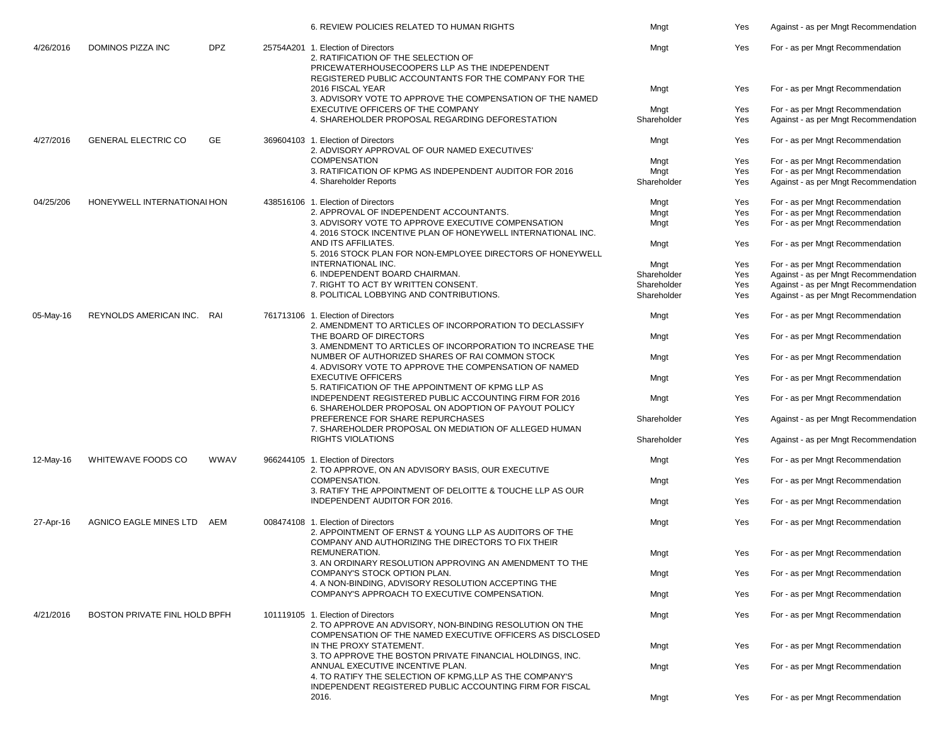|           |                               |                                                                                                                                                           | 6. REVIEW POLICIES RELATED TO HUMAN RIGHTS                                                                                                                                          | Mngt        | Yes                              | Against - as per Mngt Recommendation |
|-----------|-------------------------------|-----------------------------------------------------------------------------------------------------------------------------------------------------------|-------------------------------------------------------------------------------------------------------------------------------------------------------------------------------------|-------------|----------------------------------|--------------------------------------|
| 4/26/2016 | DOMINOS PIZZA INC             | <b>DPZ</b>                                                                                                                                                | 25754A201 1. Election of Directors<br>2. RATIFICATION OF THE SELECTION OF<br>PRICEWATERHOUSECOOPERS LLP AS THE INDEPENDENT<br>REGISTERED PUBLIC ACCOUNTANTS FOR THE COMPANY FOR THE | Mngt        | Yes                              | For - as per Mngt Recommendation     |
|           |                               |                                                                                                                                                           | 2016 FISCAL YEAR<br>3. ADVISORY VOTE TO APPROVE THE COMPENSATION OF THE NAMED                                                                                                       | Mngt        | Yes                              | For - as per Mngt Recommendation     |
|           |                               |                                                                                                                                                           | EXECUTIVE OFFICERS OF THE COMPANY                                                                                                                                                   | Mngt        | Yes                              | For - as per Mngt Recommendation     |
|           |                               |                                                                                                                                                           | 4. SHAREHOLDER PROPOSAL REGARDING DEFORESTATION                                                                                                                                     | Shareholder | Yes                              | Against - as per Mngt Recommendation |
| 4/27/2016 | <b>GENERAL ELECTRIC CO</b>    | GE                                                                                                                                                        | 369604103 1. Election of Directors<br>2. ADVISORY APPROVAL OF OUR NAMED EXECUTIVES'                                                                                                 | Mngt        | Yes                              | For - as per Mngt Recommendation     |
|           |                               |                                                                                                                                                           | <b>COMPENSATION</b>                                                                                                                                                                 | Mngt        | Yes                              | For - as per Mngt Recommendation     |
|           |                               |                                                                                                                                                           | 3. RATIFICATION OF KPMG AS INDEPENDENT AUDITOR FOR 2016                                                                                                                             | Mngt        | Yes                              | For - as per Mngt Recommendation     |
|           |                               |                                                                                                                                                           | 4. Shareholder Reports                                                                                                                                                              | Shareholder | Yes                              | Against - as per Mngt Recommendation |
| 04/25/206 | HONEYWELL INTERNATIONAL HON   |                                                                                                                                                           | 438516106 1. Election of Directors                                                                                                                                                  | Mngt        | Yes                              | For - as per Mngt Recommendation     |
|           |                               |                                                                                                                                                           | 2. APPROVAL OF INDEPENDENT ACCOUNTANTS.                                                                                                                                             | Mngt        | Yes                              | For - as per Mngt Recommendation     |
|           |                               |                                                                                                                                                           | 3. ADVISORY VOTE TO APPROVE EXECUTIVE COMPENSATION<br>4. 2016 STOCK INCENTIVE PLAN OF HONEYWELL INTERNATIONAL INC.                                                                  | Mngt        | Yes                              | For - as per Mngt Recommendation     |
|           |                               |                                                                                                                                                           | AND ITS AFFILIATES.<br>5. 2016 STOCK PLAN FOR NON-EMPLOYEE DIRECTORS OF HONEYWELL                                                                                                   | Mngt        | Yes                              | For - as per Mngt Recommendation     |
|           |                               |                                                                                                                                                           | INTERNATIONAL INC.                                                                                                                                                                  | Mngt        | Yes                              | For - as per Mngt Recommendation     |
|           |                               |                                                                                                                                                           | 6. INDEPENDENT BOARD CHAIRMAN.                                                                                                                                                      | Shareholder | Yes                              | Against - as per Mngt Recommendation |
|           |                               |                                                                                                                                                           |                                                                                                                                                                                     |             |                                  |                                      |
|           |                               |                                                                                                                                                           | 7. RIGHT TO ACT BY WRITTEN CONSENT.                                                                                                                                                 | Shareholder | Yes                              | Against - as per Mngt Recommendation |
|           |                               |                                                                                                                                                           | 8. POLITICAL LOBBYING AND CONTRIBUTIONS.                                                                                                                                            | Shareholder | Yes                              | Against - as per Mngt Recommendation |
| 05-May-16 | REYNOLDS AMERICAN INC. RAI    |                                                                                                                                                           | 761713106 1. Election of Directors<br>2. AMENDMENT TO ARTICLES OF INCORPORATION TO DECLASSIFY                                                                                       | Mngt        | Yes                              | For - as per Mngt Recommendation     |
|           |                               |                                                                                                                                                           | THE BOARD OF DIRECTORS<br>3. AMENDMENT TO ARTICLES OF INCORPORATION TO INCREASE THE                                                                                                 | Mngt        | Yes                              | For - as per Mngt Recommendation     |
|           |                               |                                                                                                                                                           | NUMBER OF AUTHORIZED SHARES OF RAI COMMON STOCK<br>4. ADVISORY VOTE TO APPROVE THE COMPENSATION OF NAMED                                                                            | Mngt        | Yes                              | For - as per Mngt Recommendation     |
|           |                               |                                                                                                                                                           | <b>EXECUTIVE OFFICERS</b><br>5. RATIFICATION OF THE APPOINTMENT OF KPMG LLP AS                                                                                                      | Mngt        | Yes                              | For - as per Mngt Recommendation     |
|           |                               |                                                                                                                                                           | INDEPENDENT REGISTERED PUBLIC ACCOUNTING FIRM FOR 2016<br>6. SHAREHOLDER PROPOSAL ON ADOPTION OF PAYOUT POLICY                                                                      | Mngt        | Yes                              | For - as per Mngt Recommendation     |
|           |                               |                                                                                                                                                           | PREFERENCE FOR SHARE REPURCHASES<br>7. SHAREHOLDER PROPOSAL ON MEDIATION OF ALLEGED HUMAN                                                                                           | Shareholder | Yes                              | Against - as per Mngt Recommendation |
|           |                               |                                                                                                                                                           | <b>RIGHTS VIOLATIONS</b>                                                                                                                                                            | Shareholder | Yes                              | Against - as per Mngt Recommendation |
| 12-May-16 | WHITEWAVE FOODS CO            | <b>WWAV</b>                                                                                                                                               | 966244105 1. Election of Directors<br>2. TO APPROVE, ON AN ADVISORY BASIS, OUR EXECUTIVE                                                                                            | Mngt        | Yes                              | For - as per Mngt Recommendation     |
|           |                               |                                                                                                                                                           | COMPENSATION.<br>3. RATIFY THE APPOINTMENT OF DELOITTE & TOUCHE LLP AS OUR                                                                                                          | Mngt        | Yes                              | For - as per Mngt Recommendation     |
|           |                               |                                                                                                                                                           | INDEPENDENT AUDITOR FOR 2016.                                                                                                                                                       | Mngt        | Yes                              | For - as per Mngt Recommendation     |
| 27-Apr-16 | <b>AGNICO EAGLE MINES LTD</b> | AEM                                                                                                                                                       | 008474108 1. Election of Directors<br>2. APPOINTMENT OF ERNST & YOUNG LLP AS AUDITORS OF THE<br>COMPANY AND AUTHORIZING THE DIRECTORS TO FIX THEIR                                  | Mngt        | Yes                              | For - as per Mngt Recommendation     |
|           |                               |                                                                                                                                                           | REMUNERATION.<br>3. AN ORDINARY RESOLUTION APPROVING AN AMENDMENT TO THE                                                                                                            | Mngt        | Yes                              | For - as per Mngt Recommendation     |
|           |                               |                                                                                                                                                           | COMPANY'S STOCK OPTION PLAN.<br>4. A NON-BINDING. ADVISORY RESOLUTION ACCEPTING THE                                                                                                 | Mngt        | Yes                              | For - as per Mngt Recommendation     |
|           |                               |                                                                                                                                                           | COMPANY'S APPROACH TO EXECUTIVE COMPENSATION.                                                                                                                                       | Mngt        | Yes                              | For - as per Mngt Recommendation     |
| 4/21/2016 | BOSTON PRIVATE FINL HOLD BPFH |                                                                                                                                                           | 101119105 1. Election of Directors<br>2. TO APPROVE AN ADVISORY, NON-BINDING RESOLUTION ON THE                                                                                      | Mngt        | Yes                              | For - as per Mngt Recommendation     |
|           |                               |                                                                                                                                                           | COMPENSATION OF THE NAMED EXECUTIVE OFFICERS AS DISCLOSED<br>IN THE PROXY STATEMENT.                                                                                                | Mngt        | Yes                              | For - as per Mngt Recommendation     |
|           |                               | 3. TO APPROVE THE BOSTON PRIVATE FINANCIAL HOLDINGS, INC.<br>ANNUAL EXECUTIVE INCENTIVE PLAN.<br>4. TO RATIFY THE SELECTION OF KPMG, LLP AS THE COMPANY'S | Mngt                                                                                                                                                                                | Yes         | For - as per Mngt Recommendation |                                      |
|           |                               |                                                                                                                                                           | INDEPENDENT REGISTERED PUBLIC ACCOUNTING FIRM FOR FISCAL<br>2016.                                                                                                                   | Mngt        | Yes                              | For - as per Mngt Recommendation     |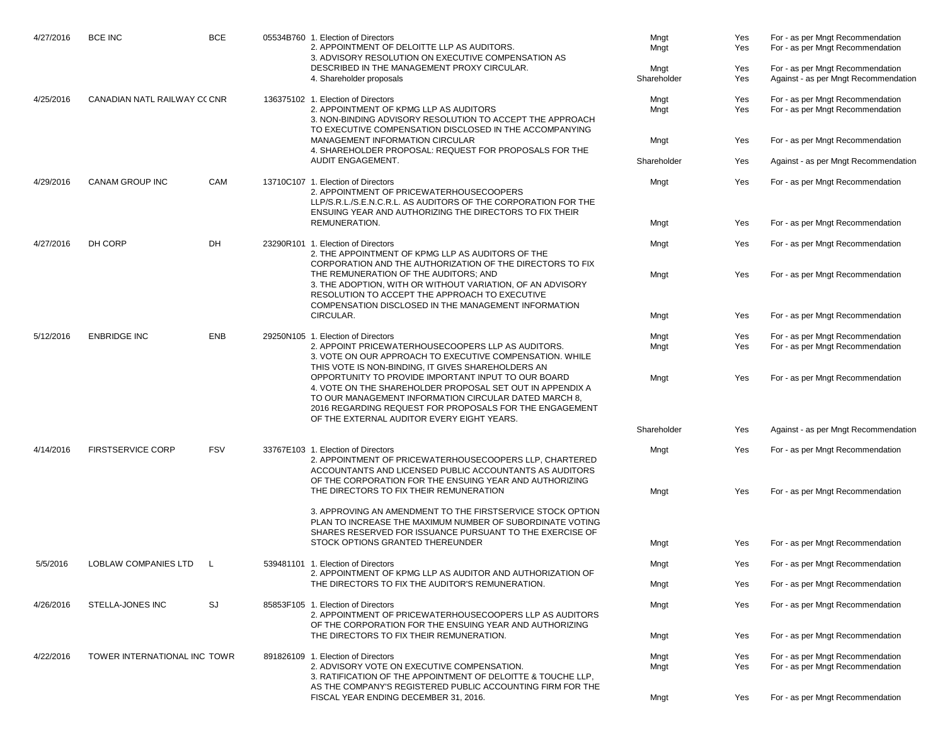| 4/27/2016 | <b>BCE INC</b>              | <b>BCE</b> |  | 05534B760 1. Election of Directors<br>2. APPOINTMENT OF DELOITTE LLP AS AUDITORS.<br>3. ADVISORY RESOLUTION ON EXECUTIVE COMPENSATION AS<br>DESCRIBED IN THE MANAGEMENT PROXY CIRCULAR.                                                                                            | Mngt<br>Mngt<br>Mngt         | Yes<br>Yes<br>Yes | For - as per Mngt Recommendation<br>For - as per Mngt Recommendation<br>For - as per Mngt Recommendation |                                                                                                |            |                                                                                                                                                   |                                                                                                                                                                                                                     |            |                                                                      |                                  |
|-----------|-----------------------------|------------|--|------------------------------------------------------------------------------------------------------------------------------------------------------------------------------------------------------------------------------------------------------------------------------------|------------------------------|-------------------|----------------------------------------------------------------------------------------------------------|------------------------------------------------------------------------------------------------|------------|---------------------------------------------------------------------------------------------------------------------------------------------------|---------------------------------------------------------------------------------------------------------------------------------------------------------------------------------------------------------------------|------------|----------------------------------------------------------------------|----------------------------------|
| 4/25/2016 | CANADIAN NATL RAILWAY COCNR |            |  | 4. Shareholder proposals<br>136375102 1. Election of Directors                                                                                                                                                                                                                     | Shareholder<br>Mngt          | Yes<br>Yes        | Against - as per Mngt Recommendation<br>For - as per Mngt Recommendation                                 |                                                                                                |            |                                                                                                                                                   |                                                                                                                                                                                                                     |            |                                                                      |                                  |
|           |                             |            |  | 2. APPOINTMENT OF KPMG LLP AS AUDITORS<br>3. NON-BINDING ADVISORY RESOLUTION TO ACCEPT THE APPROACH<br>TO EXECUTIVE COMPENSATION DISCLOSED IN THE ACCOMPANYING                                                                                                                     | Mngt                         | Yes               | For - as per Mngt Recommendation                                                                         |                                                                                                |            |                                                                                                                                                   |                                                                                                                                                                                                                     |            |                                                                      |                                  |
|           |                             |            |  | MANAGEMENT INFORMATION CIRCULAR<br>4. SHAREHOLDER PROPOSAL: REQUEST FOR PROPOSALS FOR THE                                                                                                                                                                                          | Mngt                         | Yes               | For - as per Mngt Recommendation                                                                         |                                                                                                |            |                                                                                                                                                   |                                                                                                                                                                                                                     |            |                                                                      |                                  |
|           |                             |            |  | AUDIT ENGAGEMENT.                                                                                                                                                                                                                                                                  | Shareholder                  | Yes               | Against - as per Mngt Recommendation                                                                     |                                                                                                |            |                                                                                                                                                   |                                                                                                                                                                                                                     |            |                                                                      |                                  |
| 4/29/2016 | CANAM GROUP INC             | CAM        |  | 13710C107 1. Election of Directors<br>2. APPOINTMENT OF PRICEWATERHOUSECOOPERS<br>LLP/S.R.L./S.E.N.C.R.L. AS AUDITORS OF THE CORPORATION FOR THE<br>ENSUING YEAR AND AUTHORIZING THE DIRECTORS TO FIX THEIR                                                                        | Mngt                         | Yes               | For - as per Mngt Recommendation                                                                         |                                                                                                |            |                                                                                                                                                   |                                                                                                                                                                                                                     |            |                                                                      |                                  |
|           |                             |            |  | REMUNERATION.                                                                                                                                                                                                                                                                      | Mngt                         | Yes               | For - as per Mngt Recommendation                                                                         |                                                                                                |            |                                                                                                                                                   |                                                                                                                                                                                                                     |            |                                                                      |                                  |
| 4/27/2016 | DH CORP                     | DH         |  | 23290R101 1. Election of Directors<br>2. THE APPOINTMENT OF KPMG LLP AS AUDITORS OF THE<br>CORPORATION AND THE AUTHORIZATION OF THE DIRECTORS TO FIX                                                                                                                               | Mngt                         | Yes               | For - as per Mngt Recommendation                                                                         |                                                                                                |            |                                                                                                                                                   |                                                                                                                                                                                                                     |            |                                                                      |                                  |
|           |                             |            |  | THE REMUNERATION OF THE AUDITORS; AND<br>3. THE ADOPTION, WITH OR WITHOUT VARIATION, OF AN ADVISORY<br>RESOLUTION TO ACCEPT THE APPROACH TO EXECUTIVE<br>COMPENSATION DISCLOSED IN THE MANAGEMENT INFORMATION                                                                      | Mngt                         | Yes               | For - as per Mngt Recommendation                                                                         |                                                                                                |            |                                                                                                                                                   |                                                                                                                                                                                                                     |            |                                                                      |                                  |
|           |                             |            |  | CIRCULAR.                                                                                                                                                                                                                                                                          | Mngt                         | Yes               | For - as per Mngt Recommendation                                                                         |                                                                                                |            |                                                                                                                                                   |                                                                                                                                                                                                                     |            |                                                                      |                                  |
| 5/12/2016 | <b>ENBRIDGE INC</b>         | <b>ENB</b> |  | 29250N105 1. Election of Directors<br>2. APPOINT PRICEWATERHOUSECOOPERS LLP AS AUDITORS.<br>3. VOTE ON OUR APPROACH TO EXECUTIVE COMPENSATION. WHILE<br>THIS VOTE IS NON-BINDING, IT GIVES SHAREHOLDERS AN                                                                         | Mngt<br>Mngt                 | Yes<br>Yes        | For - as per Mngt Recommendation<br>For - as per Mngt Recommendation                                     |                                                                                                |            |                                                                                                                                                   |                                                                                                                                                                                                                     |            |                                                                      |                                  |
|           |                             |            |  | OPPORTUNITY TO PROVIDE IMPORTANT INPUT TO OUR BOARD<br>4. VOTE ON THE SHAREHOLDER PROPOSAL SET OUT IN APPENDIX A<br>TO OUR MANAGEMENT INFORMATION CIRCULAR DATED MARCH 8,<br>2016 REGARDING REQUEST FOR PROPOSALS FOR THE ENGAGEMENT<br>OF THE EXTERNAL AUDITOR EVERY EIGHT YEARS. | Mngt                         | Yes               | For - as per Mngt Recommendation                                                                         |                                                                                                |            |                                                                                                                                                   |                                                                                                                                                                                                                     |            |                                                                      |                                  |
|           |                             |            |  |                                                                                                                                                                                                                                                                                    | Shareholder                  | Yes               | Against - as per Mngt Recommendation                                                                     |                                                                                                |            |                                                                                                                                                   |                                                                                                                                                                                                                     |            |                                                                      |                                  |
| 4/14/2016 | <b>FIRSTSERVICE CORP</b>    |            |  |                                                                                                                                                                                                                                                                                    |                              |                   |                                                                                                          |                                                                                                | <b>FSV</b> |                                                                                                                                                   | 33767E103 1. Election of Directors<br>2. APPOINTMENT OF PRICEWATERHOUSECOOPERS LLP, CHARTERED<br>ACCOUNTANTS AND LICENSED PUBLIC ACCOUNTANTS AS AUDITORS<br>OF THE CORPORATION FOR THE ENSUING YEAR AND AUTHORIZING | Mngt       | Yes                                                                  | For - as per Mngt Recommendation |
|           |                             |            |  | THE DIRECTORS TO FIX THEIR REMUNERATION                                                                                                                                                                                                                                            | Mngt                         | Yes               | For - as per Mngt Recommendation                                                                         |                                                                                                |            |                                                                                                                                                   |                                                                                                                                                                                                                     |            |                                                                      |                                  |
|           |                             |            |  | 3. APPROVING AN AMENDMENT TO THE FIRSTSERVICE STOCK OPTION<br>PLAN TO INCREASE THE MAXIMUM NUMBER OF SUBORDINATE VOTING<br>SHARES RESERVED FOR ISSUANCE PURSUANT TO THE EXERCISE OF                                                                                                |                              |                   |                                                                                                          |                                                                                                |            |                                                                                                                                                   |                                                                                                                                                                                                                     |            |                                                                      |                                  |
|           |                             |            |  | STOCK OPTIONS GRANTED THEREUNDER                                                                                                                                                                                                                                                   | Mngt                         | Yes               | For - as per Mngt Recommendation                                                                         |                                                                                                |            |                                                                                                                                                   |                                                                                                                                                                                                                     |            |                                                                      |                                  |
| 5/5/2016  | LOBLAW COMPANIES LTD        |            |  | 539481101 1. Election of Directors<br>2. APPOINTMENT OF KPMG LLP AS AUDITOR AND AUTHORIZATION OF                                                                                                                                                                                   | Mngt                         | Yes               | For - as per Mngt Recommendation                                                                         |                                                                                                |            |                                                                                                                                                   |                                                                                                                                                                                                                     |            |                                                                      |                                  |
|           |                             |            |  | THE DIRECTORS TO FIX THE AUDITOR'S REMUNERATION.                                                                                                                                                                                                                                   | Mngt                         | Yes               | For - as per Mngt Recommendation                                                                         |                                                                                                |            |                                                                                                                                                   |                                                                                                                                                                                                                     |            |                                                                      |                                  |
| 4/26/2016 | STELLA-JONES INC            |            |  |                                                                                                                                                                                                                                                                                    |                              | SJ                |                                                                                                          | 85853F105 1. Election of Directors<br>2. APPOINTMENT OF PRICEWATERHOUSECOOPERS LLP AS AUDITORS | Mngt       | Yes                                                                                                                                               | For - as per Mngt Recommendation                                                                                                                                                                                    |            |                                                                      |                                  |
|           |                             |            |  | OF THE CORPORATION FOR THE ENSUING YEAR AND AUTHORIZING<br>THE DIRECTORS TO FIX THEIR REMUNERATION.                                                                                                                                                                                | Mngt                         | Yes               | For - as per Mngt Recommendation                                                                         |                                                                                                |            |                                                                                                                                                   |                                                                                                                                                                                                                     |            |                                                                      |                                  |
| 4/22/2016 |                             |            |  |                                                                                                                                                                                                                                                                                    | TOWER INTERNATIONAL INC TOWR |                   |                                                                                                          |                                                                                                |            | 891826109 1. Election of Directors<br>2. ADVISORY VOTE ON EXECUTIVE COMPENSATION.<br>3. RATIFICATION OF THE APPOINTMENT OF DELOITTE & TOUCHE LLP. | Mngt<br>Mngt                                                                                                                                                                                                        | Yes<br>Yes | For - as per Mngt Recommendation<br>For - as per Mngt Recommendation |                                  |
|           |                             |            |  | AS THE COMPANY'S REGISTERED PUBLIC ACCOUNTING FIRM FOR THE<br>FISCAL YEAR ENDING DECEMBER 31, 2016.                                                                                                                                                                                | Mngt                         | Yes               | For - as per Mngt Recommendation                                                                         |                                                                                                |            |                                                                                                                                                   |                                                                                                                                                                                                                     |            |                                                                      |                                  |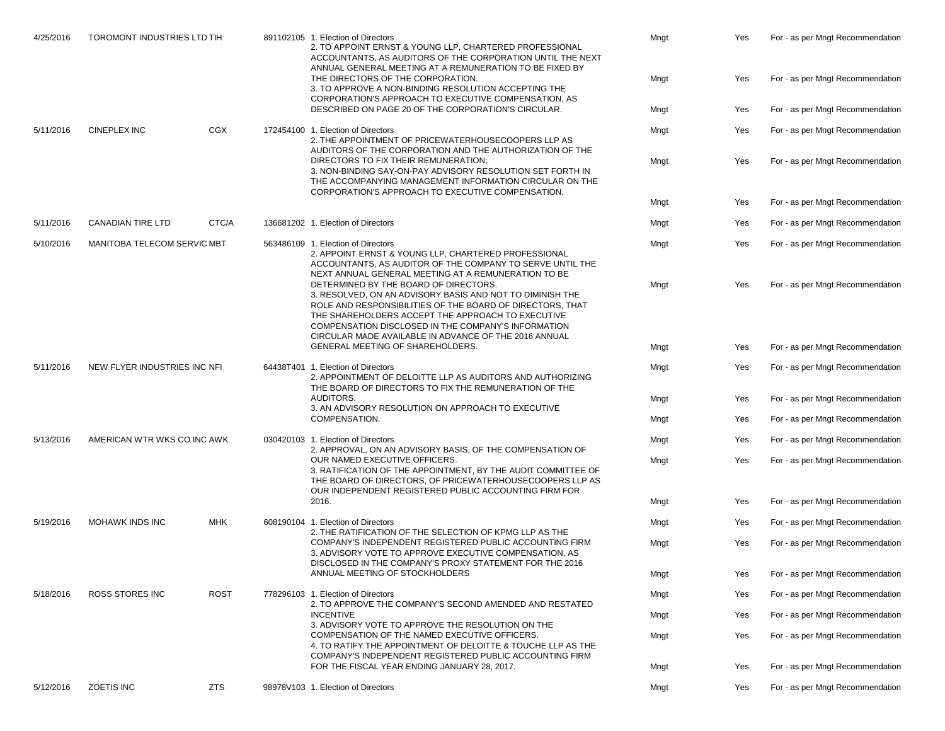| 4/25/2016 | <b>TOROMONT INDUSTRIES LTD TIH</b> |                                    | 891102105 1. Election of Directors<br>2. TO APPOINT ERNST & YOUNG LLP, CHARTERED PROFESSIONAL<br>ACCOUNTANTS, AS AUDITORS OF THE CORPORATION UNTIL THE NEXT<br>ANNUAL GENERAL MEETING AT A REMUNERATION TO BE FIXED BY                                                                                                               |                                                                                                                                                                                                                                                                               | Mngt | Yes                              | For - as per Mngt Recommendation |
|-----------|------------------------------------|------------------------------------|--------------------------------------------------------------------------------------------------------------------------------------------------------------------------------------------------------------------------------------------------------------------------------------------------------------------------------------|-------------------------------------------------------------------------------------------------------------------------------------------------------------------------------------------------------------------------------------------------------------------------------|------|----------------------------------|----------------------------------|
|           |                                    |                                    |                                                                                                                                                                                                                                                                                                                                      | THE DIRECTORS OF THE CORPORATION.<br>3. TO APPROVE A NON-BINDING RESOLUTION ACCEPTING THE<br>CORPORATION'S APPROACH TO EXECUTIVE COMPENSATION, AS                                                                                                                             | Mngt | Yes                              | For - as per Mngt Recommendation |
|           |                                    |                                    |                                                                                                                                                                                                                                                                                                                                      | DESCRIBED ON PAGE 20 OF THE CORPORATION'S CIRCULAR.                                                                                                                                                                                                                           | Mngt | Yes                              | For - as per Mngt Recommendation |
| 5/11/2016 | <b>CINEPLEX INC</b>                | <b>CGX</b>                         |                                                                                                                                                                                                                                                                                                                                      | 172454100 1. Election of Directors<br>2. THE APPOINTMENT OF PRICEWATERHOUSECOOPERS LLP AS<br>AUDITORS OF THE CORPORATION AND THE AUTHORIZATION OF THE                                                                                                                         | Mngt | Yes                              | For - as per Mngt Recommendation |
|           |                                    |                                    |                                                                                                                                                                                                                                                                                                                                      | DIRECTORS TO FIX THEIR REMUNERATION:<br>3. NON-BINDING SAY-ON-PAY ADVISORY RESOLUTION SET FORTH IN<br>THE ACCOMPANYING MANAGEMENT INFORMATION CIRCULAR ON THE<br>CORPORATION'S APPROACH TO EXECUTIVE COMPENSATION.                                                            | Mngt | Yes                              | For - as per Mngt Recommendation |
|           |                                    |                                    |                                                                                                                                                                                                                                                                                                                                      |                                                                                                                                                                                                                                                                               | Mngt | Yes                              | For - as per Mngt Recommendation |
| 5/11/2016 | <b>CANADIAN TIRE LTD</b>           | CTC/A                              |                                                                                                                                                                                                                                                                                                                                      | 136681202 1. Election of Directors                                                                                                                                                                                                                                            | Mngt | Yes                              | For - as per Mngt Recommendation |
| 5/10/2016 | MANITOBA TELECOM SERVIC MBT        |                                    |                                                                                                                                                                                                                                                                                                                                      | 563486109 1. Election of Directors<br>2. APPOINT ERNST & YOUNG LLP, CHARTERED PROFESSIONAL<br>ACCOUNTANTS, AS AUDITOR OF THE COMPANY TO SERVE UNTIL THE<br>NEXT ANNUAL GENERAL MEETING AT A REMUNERATION TO BE                                                                | Mngt | Yes                              | For - as per Mngt Recommendation |
|           |                                    |                                    | DETERMINED BY THE BOARD OF DIRECTORS.<br>3. RESOLVED, ON AN ADVISORY BASIS AND NOT TO DIMINISH THE<br>ROLE AND RESPONSIBILITIES OF THE BOARD OF DIRECTORS, THAT<br>THE SHAREHOLDERS ACCEPT THE APPROACH TO EXECUTIVE<br>COMPENSATION DISCLOSED IN THE COMPANY'S INFORMATION<br>CIRCULAR MADE AVAILABLE IN ADVANCE OF THE 2016 ANNUAL | Mngt                                                                                                                                                                                                                                                                          | Yes  | For - as per Mngt Recommendation |                                  |
|           |                                    |                                    |                                                                                                                                                                                                                                                                                                                                      | GENERAL MEETING OF SHAREHOLDERS.                                                                                                                                                                                                                                              | Mngt | Yes                              | For - as per Mngt Recommendation |
| 5/11/2016 | NEW FLYER INDUSTRIES INC NFI       | 64438T401 1. Election of Directors |                                                                                                                                                                                                                                                                                                                                      | 2. APPOINTMENT OF DELOITTE LLP AS AUDITORS AND AUTHORIZING<br>THE BOARD OF DIRECTORS TO FIX THE REMUNERATION OF THE                                                                                                                                                           | Mngt | Yes                              | For - as per Mngt Recommendation |
|           |                                    |                                    | AUDITORS.<br>3. AN ADVISORY RESOLUTION ON APPROACH TO EXECUTIVE                                                                                                                                                                                                                                                                      | Mngt                                                                                                                                                                                                                                                                          | Yes  | For - as per Mngt Recommendation |                                  |
|           |                                    |                                    |                                                                                                                                                                                                                                                                                                                                      | COMPENSATION.                                                                                                                                                                                                                                                                 | Mngt | Yes                              | For - as per Mngt Recommendation |
| 5/13/2016 | AMERICAN WTR WKS CO INC AWK        |                                    |                                                                                                                                                                                                                                                                                                                                      | 030420103 1. Election of Directors                                                                                                                                                                                                                                            | Mngt | Yes                              | For - as per Mngt Recommendation |
|           |                                    |                                    |                                                                                                                                                                                                                                                                                                                                      | 2. APPROVAL, ON AN ADVISORY BASIS, OF THE COMPENSATION OF<br>OUR NAMED EXECUTIVE OFFICERS.<br>3. RATIFICATION OF THE APPOINTMENT, BY THE AUDIT COMMITTEE OF<br>THE BOARD OF DIRECTORS, OF PRICEWATERHOUSECOOPERS LLP AS                                                       | Mngt | Yes                              | For - as per Mngt Recommendation |
|           |                                    |                                    |                                                                                                                                                                                                                                                                                                                                      | OUR INDEPENDENT REGISTERED PUBLIC ACCOUNTING FIRM FOR<br>2016.                                                                                                                                                                                                                | Mngt | Yes                              | For - as per Mngt Recommendation |
| 5/19/2016 | <b>MOHAWK INDS INC</b>             | <b>MHK</b>                         |                                                                                                                                                                                                                                                                                                                                      | 608190104 1. Election of Directors                                                                                                                                                                                                                                            | Mngt | Yes                              | For - as per Mngt Recommendation |
|           |                                    |                                    |                                                                                                                                                                                                                                                                                                                                      | 2. THE RATIFICATION OF THE SELECTION OF KPMG LLP AS THE<br>COMPANY'S INDEPENDENT REGISTERED PUBLIC ACCOUNTING FIRM                                                                                                                                                            | Mngt | Yes                              | For - as per Mngt Recommendation |
|           |                                    |                                    |                                                                                                                                                                                                                                                                                                                                      | 3. ADVISORY VOTE TO APPROVE EXECUTIVE COMPENSATION, AS<br>DISCLOSED IN THE COMPANY'S PROXY STATEMENT FOR THE 2016                                                                                                                                                             |      |                                  |                                  |
|           |                                    |                                    |                                                                                                                                                                                                                                                                                                                                      | ANNUAL MEETING OF STOCKHOLDERS                                                                                                                                                                                                                                                | Mngt | Yes                              | For - as per Mngt Recommendation |
| 5/18/2016 | <b>ROSS STORES INC</b>             | <b>ROST</b>                        |                                                                                                                                                                                                                                                                                                                                      | 778296103 1. Election of Directors                                                                                                                                                                                                                                            | Mngt | Yes                              | For - as per Mngt Recommendation |
|           |                                    |                                    |                                                                                                                                                                                                                                                                                                                                      | 2. TO APPROVE THE COMPANY'S SECOND AMENDED AND RESTATED<br><b>INCENTIVE</b>                                                                                                                                                                                                   | Mngt | Yes                              | For - as per Mngt Recommendation |
|           |                                    |                                    |                                                                                                                                                                                                                                                                                                                                      | 3. ADVISORY VOTE TO APPROVE THE RESOLUTION ON THE<br>COMPENSATION OF THE NAMED EXECUTIVE OFFICERS.<br>4. TO RATIFY THE APPOINTMENT OF DELOITTE & TOUCHE LLP AS THE<br>COMPANY'S INDEPENDENT REGISTERED PUBLIC ACCOUNTING FIRM<br>FOR THE FISCAL YEAR ENDING JANUARY 28, 2017. | Mngt | Yes                              | For - as per Mngt Recommendation |
|           |                                    |                                    |                                                                                                                                                                                                                                                                                                                                      |                                                                                                                                                                                                                                                                               | Mngt | Yes                              | For - as per Mngt Recommendation |
| 5/12/2016 | ZOETIS INC                         | <b>ZTS</b>                         |                                                                                                                                                                                                                                                                                                                                      | 98978V103 1. Election of Directors                                                                                                                                                                                                                                            | Mngt | Yes                              | For - as per Mngt Recommendation |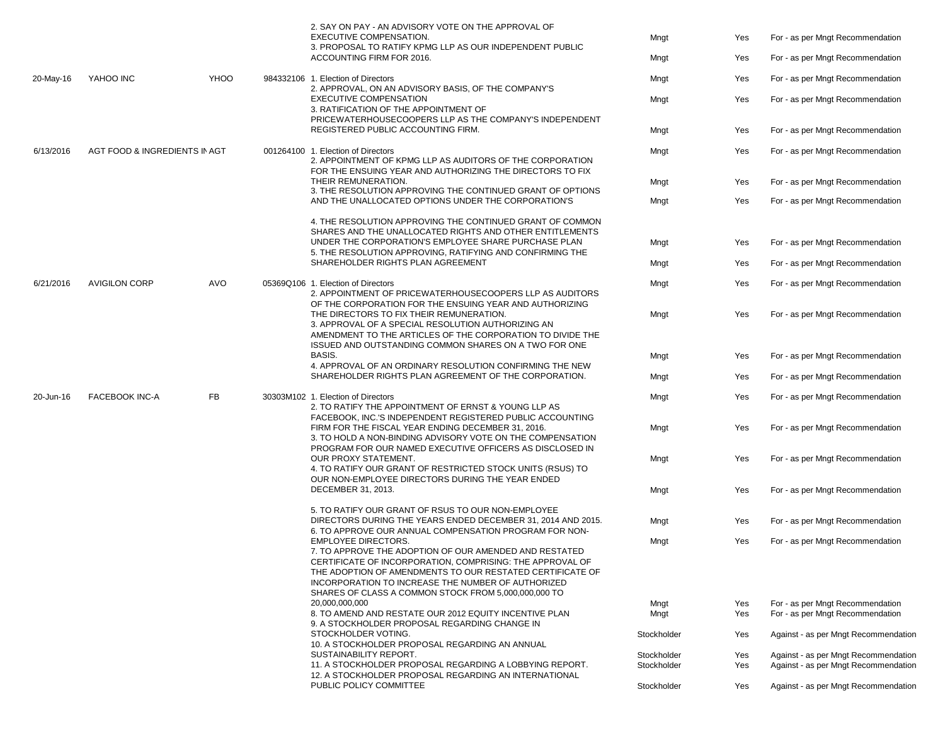|           |                               |      |                                                                                                                                                                                                                                                                                                                                         | 2. SAY ON PAY - AN ADVISORY VOTE ON THE APPROVAL OF<br><b>EXECUTIVE COMPENSATION.</b><br>3. PROPOSAL TO RATIFY KPMG LLP AS OUR INDEPENDENT PUBLIC<br>ACCOUNTING FIRM FOR 2016.                                                                                                                                               | Mngt<br>Mngt                                                                                                                                  | Yes<br>Yes                       | For - as per Mngt Recommendation<br>For - as per Mngt Recommendation         |
|-----------|-------------------------------|------|-----------------------------------------------------------------------------------------------------------------------------------------------------------------------------------------------------------------------------------------------------------------------------------------------------------------------------------------|------------------------------------------------------------------------------------------------------------------------------------------------------------------------------------------------------------------------------------------------------------------------------------------------------------------------------|-----------------------------------------------------------------------------------------------------------------------------------------------|----------------------------------|------------------------------------------------------------------------------|
| 20-May-16 | YAHOO INC                     | YHOO |                                                                                                                                                                                                                                                                                                                                         | 984332106 1. Election of Directors                                                                                                                                                                                                                                                                                           | Mngt                                                                                                                                          | Yes                              | For - as per Mngt Recommendation                                             |
|           |                               |      |                                                                                                                                                                                                                                                                                                                                         | 2. APPROVAL, ON AN ADVISORY BASIS, OF THE COMPANY'S<br><b>EXECUTIVE COMPENSATION</b><br>3. RATIFICATION OF THE APPOINTMENT OF                                                                                                                                                                                                | Mngt                                                                                                                                          | Yes                              | For - as per Mngt Recommendation                                             |
|           |                               |      |                                                                                                                                                                                                                                                                                                                                         | PRICEWATERHOUSECOOPERS LLP AS THE COMPANY'S INDEPENDENT<br>REGISTERED PUBLIC ACCOUNTING FIRM.                                                                                                                                                                                                                                | Mngt                                                                                                                                          | Yes                              | For - as per Mngt Recommendation                                             |
| 6/13/2016 | AGT FOOD & INGREDIENTS IN AGT |      |                                                                                                                                                                                                                                                                                                                                         | 001264100 1. Election of Directors<br>2. APPOINTMENT OF KPMG LLP AS AUDITORS OF THE CORPORATION<br>FOR THE ENSUING YEAR AND AUTHORIZING THE DIRECTORS TO FIX                                                                                                                                                                 | Mngt                                                                                                                                          | Yes                              | For - as per Mngt Recommendation                                             |
|           |                               |      |                                                                                                                                                                                                                                                                                                                                         | THEIR REMUNERATION.<br>3. THE RESOLUTION APPROVING THE CONTINUED GRANT OF OPTIONS                                                                                                                                                                                                                                            | Mngt                                                                                                                                          | Yes                              | For - as per Mngt Recommendation                                             |
|           |                               |      |                                                                                                                                                                                                                                                                                                                                         | AND THE UNALLOCATED OPTIONS UNDER THE CORPORATION'S                                                                                                                                                                                                                                                                          | Mngt                                                                                                                                          | Yes                              | For - as per Mngt Recommendation                                             |
|           |                               |      |                                                                                                                                                                                                                                                                                                                                         | 4. THE RESOLUTION APPROVING THE CONTINUED GRANT OF COMMON<br>SHARES AND THE UNALLOCATED RIGHTS AND OTHER ENTITLEMENTS                                                                                                                                                                                                        |                                                                                                                                               |                                  |                                                                              |
|           |                               |      |                                                                                                                                                                                                                                                                                                                                         | UNDER THE CORPORATION'S EMPLOYEE SHARE PURCHASE PLAN<br>5. THE RESOLUTION APPROVING, RATIFYING AND CONFIRMING THE                                                                                                                                                                                                            | Mngt                                                                                                                                          | Yes                              | For - as per Mngt Recommendation                                             |
|           |                               |      |                                                                                                                                                                                                                                                                                                                                         | SHAREHOLDER RIGHTS PLAN AGREEMENT                                                                                                                                                                                                                                                                                            | Mngt                                                                                                                                          | Yes                              | For - as per Mngt Recommendation                                             |
| 6/21/2016 | <b>AVIGILON CORP</b>          | AVO  |                                                                                                                                                                                                                                                                                                                                         | 05369Q106 1. Election of Directors<br>2. APPOINTMENT OF PRICEWATERHOUSECOOPERS LLP AS AUDITORS                                                                                                                                                                                                                               | Mngt                                                                                                                                          | Yes                              | For - as per Mngt Recommendation                                             |
|           |                               |      |                                                                                                                                                                                                                                                                                                                                         | OF THE CORPORATION FOR THE ENSUING YEAR AND AUTHORIZING<br>THE DIRECTORS TO FIX THEIR REMUNERATION.<br>3. APPROVAL OF A SPECIAL RESOLUTION AUTHORIZING AN<br>AMENDMENT TO THE ARTICLES OF THE CORPORATION TO DIVIDE THE                                                                                                      | Mngt                                                                                                                                          | Yes                              | For - as per Mngt Recommendation                                             |
|           |                               |      |                                                                                                                                                                                                                                                                                                                                         | ISSUED AND OUTSTANDING COMMON SHARES ON A TWO FOR ONE<br><b>BASIS.</b><br>4. APPROVAL OF AN ORDINARY RESOLUTION CONFIRMING THE NEW                                                                                                                                                                                           | Mngt                                                                                                                                          | Yes                              | For - as per Mngt Recommendation                                             |
|           |                               |      |                                                                                                                                                                                                                                                                                                                                         | SHAREHOLDER RIGHTS PLAN AGREEMENT OF THE CORPORATION.                                                                                                                                                                                                                                                                        | Mngt                                                                                                                                          | Yes                              | For - as per Mngt Recommendation                                             |
| 20-Jun-16 | <b>FACEBOOK INC-A</b>         | FB   | 30303M102 1. Election of Directors<br>2. TO RATIFY THE APPOINTMENT OF ERNST & YOUNG LLP AS<br>FACEBOOK, INC.'S INDEPENDENT REGISTERED PUBLIC ACCOUNTING<br>FIRM FOR THE FISCAL YEAR ENDING DECEMBER 31, 2016.<br>3. TO HOLD A NON-BINDING ADVISORY VOTE ON THE COMPENSATION<br>PROGRAM FOR OUR NAMED EXECUTIVE OFFICERS AS DISCLOSED IN |                                                                                                                                                                                                                                                                                                                              | Mngt                                                                                                                                          | Yes                              | For - as per Mngt Recommendation                                             |
|           |                               |      |                                                                                                                                                                                                                                                                                                                                         | Mngt                                                                                                                                                                                                                                                                                                                         | Yes                                                                                                                                           | For - as per Mngt Recommendation |                                                                              |
|           |                               |      |                                                                                                                                                                                                                                                                                                                                         |                                                                                                                                                                                                                                                                                                                              | <b>OUR PROXY STATEMENT.</b><br>4. TO RATIFY OUR GRANT OF RESTRICTED STOCK UNITS (RSUS) TO<br>OUR NON-EMPLOYEE DIRECTORS DURING THE YEAR ENDED | Mngt                             | Yes                                                                          |
|           |                               |      |                                                                                                                                                                                                                                                                                                                                         | DECEMBER 31, 2013.                                                                                                                                                                                                                                                                                                           | Mngt                                                                                                                                          | Yes                              | For - as per Mngt Recommendation                                             |
|           |                               |      |                                                                                                                                                                                                                                                                                                                                         | 5. TO RATIFY OUR GRANT OF RSUS TO OUR NON-EMPLOYEE<br>DIRECTORS DURING THE YEARS ENDED DECEMBER 31, 2014 AND 2015.<br>6. TO APPROVE OUR ANNUAL COMPENSATION PROGRAM FOR NON-                                                                                                                                                 | Mngt                                                                                                                                          | Yes                              | For - as per Mngt Recommendation                                             |
|           |                               |      |                                                                                                                                                                                                                                                                                                                                         | <b>EMPLOYEE DIRECTORS.</b><br>7. TO APPROVE THE ADOPTION OF OUR AMENDED AND RESTATED<br>CERTIFICATE OF INCORPORATION, COMPRISING: THE APPROVAL OF<br>THE ADOPTION OF AMENDMENTS TO OUR RESTATED CERTIFICATE OF<br>INCORPORATION TO INCREASE THE NUMBER OF AUTHORIZED<br>SHARES OF CLASS A COMMON STOCK FROM 5,000,000,000 TO | Mngt                                                                                                                                          | Yes                              | For - as per Mngt Recommendation                                             |
|           |                               |      |                                                                                                                                                                                                                                                                                                                                         | 20,000,000,000<br>8. TO AMEND AND RESTATE OUR 2012 EQUITY INCENTIVE PLAN                                                                                                                                                                                                                                                     | Mngt<br>Mngt                                                                                                                                  | Yes<br>Yes                       | For - as per Mngt Recommendation<br>For - as per Mngt Recommendation         |
|           |                               |      |                                                                                                                                                                                                                                                                                                                                         | 9. A STOCKHOLDER PROPOSAL REGARDING CHANGE IN<br>STOCKHOLDER VOTING.<br>10. A STOCKHOLDER PROPOSAL REGARDING AN ANNUAL<br>SUSTAINABILITY REPORT.                                                                                                                                                                             | Stockholder                                                                                                                                   | Yes                              | Against - as per Mngt Recommendation                                         |
|           |                               |      |                                                                                                                                                                                                                                                                                                                                         |                                                                                                                                                                                                                                                                                                                              | Stockholder                                                                                                                                   | Yes                              | Against - as per Mngt Recommendation<br>Against - as per Mngt Recommendation |
|           |                               |      |                                                                                                                                                                                                                                                                                                                                         | 11. A STOCKHOLDER PROPOSAL REGARDING A LOBBYING REPORT.<br>12. A STOCKHOLDER PROPOSAL REGARDING AN INTERNATIONAL                                                                                                                                                                                                             | Stockholder                                                                                                                                   | Yes                              |                                                                              |
|           |                               |      |                                                                                                                                                                                                                                                                                                                                         | PUBLIC POLICY COMMITTEE                                                                                                                                                                                                                                                                                                      | Stockholder                                                                                                                                   | Yes                              | Against - as per Mngt Recommendation                                         |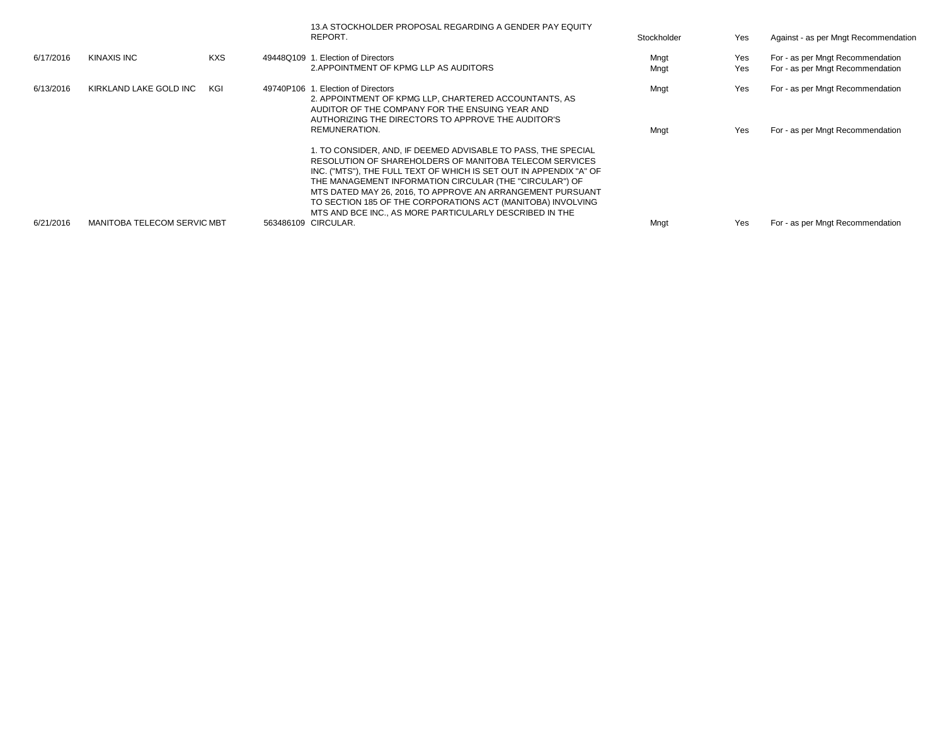|           |                                    |            | 13.A STOCKHOLDER PROPOSAL REGARDING A GENDER PAY EQUITY<br>REPORT.                                                                                                                                                                                                                                                                                                                                                                                | Stockholder  | Yes        | Against - as per Mngt Recommendation                                 |
|-----------|------------------------------------|------------|---------------------------------------------------------------------------------------------------------------------------------------------------------------------------------------------------------------------------------------------------------------------------------------------------------------------------------------------------------------------------------------------------------------------------------------------------|--------------|------------|----------------------------------------------------------------------|
| 6/17/2016 | KINAXIS INC                        | <b>KXS</b> | 49448Q109 1. Election of Directors<br>2. APPOINTMENT OF KPMG LLP AS AUDITORS                                                                                                                                                                                                                                                                                                                                                                      | Mngt<br>Mngt | Yes<br>Yes | For - as per Mngt Recommendation<br>For - as per Mngt Recommendation |
| 6/13/2016 | KIRKLAND LAKE GOLD INC             | KGI        | 49740P106 1. Election of Directors<br>2. APPOINTMENT OF KPMG LLP, CHARTERED ACCOUNTANTS, AS<br>AUDITOR OF THE COMPANY FOR THE ENSUING YEAR AND<br>AUTHORIZING THE DIRECTORS TO APPROVE THE AUDITOR'S<br>REMUNERATION.                                                                                                                                                                                                                             | Mngt<br>Mngt | Yes<br>Yes | For - as per Mngt Recommendation<br>For - as per Mngt Recommendation |
|           |                                    |            | 1. TO CONSIDER. AND. IF DEEMED ADVISABLE TO PASS. THE SPECIAL<br>RESOLUTION OF SHAREHOLDERS OF MANITOBA TELECOM SERVICES<br>INC. ("MTS"), THE FULL TEXT OF WHICH IS SET OUT IN APPENDIX "A" OF<br>THE MANAGEMENT INFORMATION CIRCULAR (THE "CIRCULAR") OF<br>MTS DATED MAY 26, 2016. TO APPROVE AN ARRANGEMENT PURSUANT<br>TO SECTION 185 OF THE CORPORATIONS ACT (MANITOBA) INVOLVING<br>MTS AND BCE INC., AS MORE PARTICULARLY DESCRIBED IN THE |              |            |                                                                      |
| 6/21/2016 | <b>MANITOBA TELECOM SERVIC MBT</b> |            | 563486109 CIRCULAR.                                                                                                                                                                                                                                                                                                                                                                                                                               | Mngt         | Yes        | For - as per Mngt Recommendation                                     |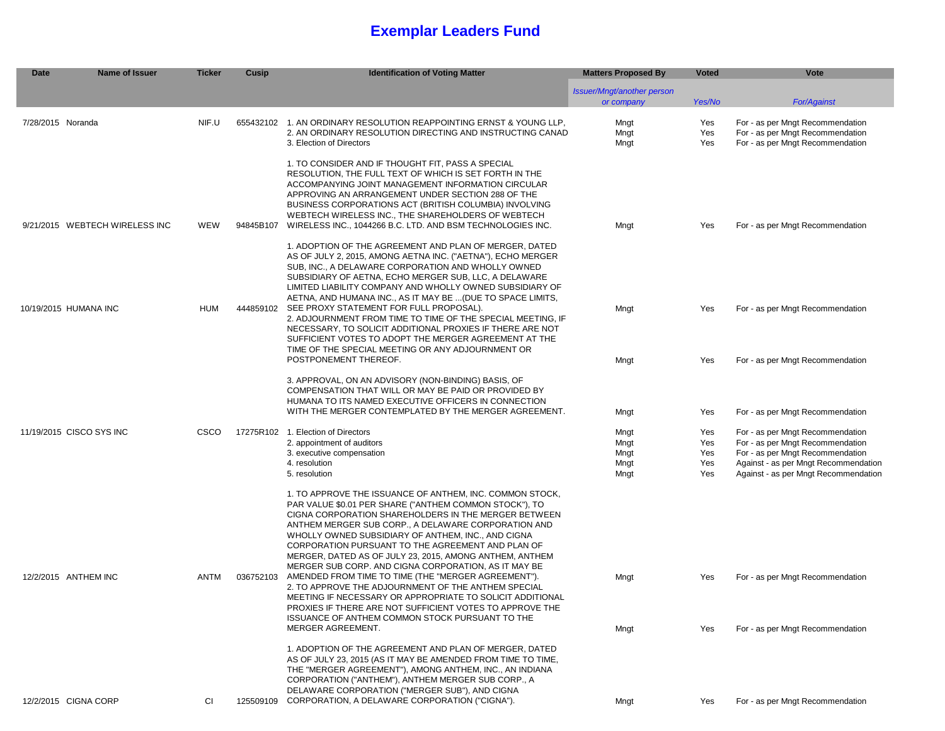### **Exemplar Leaders Fund**

| <b>Date</b><br><b>Name of Issuer</b> | <b>Ticker</b> | Cusip     | <b>Identification of Voting Matter</b>                                                                                                                                                                                                                                                                                                                                                                                                                                                                                                                                                                                                                                                                                                                                         | <b>Matters Proposed By</b>               | <b>Voted</b>                    | Vote                                                                                                                                                                                     |
|--------------------------------------|---------------|-----------|--------------------------------------------------------------------------------------------------------------------------------------------------------------------------------------------------------------------------------------------------------------------------------------------------------------------------------------------------------------------------------------------------------------------------------------------------------------------------------------------------------------------------------------------------------------------------------------------------------------------------------------------------------------------------------------------------------------------------------------------------------------------------------|------------------------------------------|---------------------------------|------------------------------------------------------------------------------------------------------------------------------------------------------------------------------------------|
|                                      |               |           |                                                                                                                                                                                                                                                                                                                                                                                                                                                                                                                                                                                                                                                                                                                                                                                | Issuer/Mngt/another person<br>or company | Yes/No                          | <b>For/Against</b>                                                                                                                                                                       |
| 7/28/2015 Noranda                    | NIF.U         |           | 655432102 1. AN ORDINARY RESOLUTION REAPPOINTING ERNST & YOUNG LLP.<br>2. AN ORDINARY RESOLUTION DIRECTING AND INSTRUCTING CANAD<br>3. Election of Directors                                                                                                                                                                                                                                                                                                                                                                                                                                                                                                                                                                                                                   | Mngt<br>Mngt<br>Mngt                     | Yes<br>Yes<br>Yes               | For - as per Mngt Recommendation<br>For - as per Mngt Recommendation<br>For - as per Mngt Recommendation                                                                                 |
| 9/21/2015 WEBTECH WIRELESS INC       | WEW           | 94845B107 | 1. TO CONSIDER AND IF THOUGHT FIT, PASS A SPECIAL<br>RESOLUTION, THE FULL TEXT OF WHICH IS SET FORTH IN THE<br>ACCOMPANYING JOINT MANAGEMENT INFORMATION CIRCULAR<br>APPROVING AN ARRANGEMENT UNDER SECTION 288 OF THE<br>BUSINESS CORPORATIONS ACT (BRITISH COLUMBIA) INVOLVING<br>WEBTECH WIRELESS INC., THE SHAREHOLDERS OF WEBTECH<br>WIRELESS INC., 1044266 B.C. LTD. AND BSM TECHNOLOGIES INC.                                                                                                                                                                                                                                                                                                                                                                           | Mngt                                     | Yes                             | For - as per Mngt Recommendation                                                                                                                                                         |
| 10/19/2015 HUMANA INC                | <b>HUM</b>    |           | 1. ADOPTION OF THE AGREEMENT AND PLAN OF MERGER, DATED<br>AS OF JULY 2, 2015, AMONG AETNA INC. ("AETNA"), ECHO MERGER<br>SUB, INC., A DELAWARE CORPORATION AND WHOLLY OWNED<br>SUBSIDIARY OF AETNA, ECHO MERGER SUB, LLC, A DELAWARE<br>LIMITED LIABILITY COMPANY AND WHOLLY OWNED SUBSIDIARY OF<br>AETNA, AND HUMANA INC., AS IT MAY BE  (DUE TO SPACE LIMITS,<br>444859102 SEE PROXY STATEMENT FOR FULL PROPOSAL).<br>2. ADJOURNMENT FROM TIME TO TIME OF THE SPECIAL MEETING. IF<br>NECESSARY, TO SOLICIT ADDITIONAL PROXIES IF THERE ARE NOT<br>SUFFICIENT VOTES TO ADOPT THE MERGER AGREEMENT AT THE                                                                                                                                                                      | Mngt                                     | Yes                             | For - as per Mngt Recommendation                                                                                                                                                         |
|                                      |               |           | TIME OF THE SPECIAL MEETING OR ANY ADJOURNMENT OR<br>POSTPONEMENT THEREOF.                                                                                                                                                                                                                                                                                                                                                                                                                                                                                                                                                                                                                                                                                                     | Mngt                                     | Yes                             | For - as per Mngt Recommendation                                                                                                                                                         |
|                                      |               |           | 3. APPROVAL, ON AN ADVISORY (NON-BINDING) BASIS, OF<br>COMPENSATION THAT WILL OR MAY BE PAID OR PROVIDED BY<br>HUMANA TO ITS NAMED EXECUTIVE OFFICERS IN CONNECTION<br>WITH THE MERGER CONTEMPLATED BY THE MERGER AGREEMENT.                                                                                                                                                                                                                                                                                                                                                                                                                                                                                                                                                   | Mngt                                     | Yes                             | For - as per Mngt Recommendation                                                                                                                                                         |
| 11/19/2015 CISCO SYS INC             | <b>CSCO</b>   |           | 17275R102 1. Election of Directors<br>2. appointment of auditors<br>3. executive compensation<br>4. resolution<br>5. resolution                                                                                                                                                                                                                                                                                                                                                                                                                                                                                                                                                                                                                                                | Mngt<br>Mngt<br>Mngt<br>Mngt<br>Mngt     | Yes<br>Yes<br>Yes<br>Yes<br>Yes | For - as per Mngt Recommendation<br>For - as per Mngt Recommendation<br>For - as per Mngt Recommendation<br>Against - as per Mngt Recommendation<br>Against - as per Mngt Recommendation |
| 12/2/2015 ANTHEM INC                 | ANTM          | 036752103 | 1. TO APPROVE THE ISSUANCE OF ANTHEM, INC. COMMON STOCK,<br>PAR VALUE \$0.01 PER SHARE ("ANTHEM COMMON STOCK"), TO<br>CIGNA CORPORATION SHAREHOLDERS IN THE MERGER BETWEEN<br>ANTHEM MERGER SUB CORP., A DELAWARE CORPORATION AND<br>WHOLLY OWNED SUBSIDIARY OF ANTHEM, INC., AND CIGNA<br>CORPORATION PURSUANT TO THE AGREEMENT AND PLAN OF<br>MERGER, DATED AS OF JULY 23, 2015, AMONG ANTHEM, ANTHEM<br>MERGER SUB CORP. AND CIGNA CORPORATION, AS IT MAY BE<br>AMENDED FROM TIME TO TIME (THE "MERGER AGREEMENT").<br>2. TO APPROVE THE ADJOURNMENT OF THE ANTHEM SPECIAL<br>MEETING IF NECESSARY OR APPROPRIATE TO SOLICIT ADDITIONAL<br>PROXIES IF THERE ARE NOT SUFFICIENT VOTES TO APPROVE THE<br>ISSUANCE OF ANTHEM COMMON STOCK PURSUANT TO THE<br>MERGER AGREEMENT. | Mngt<br>Mngt                             | Yes<br>Yes                      | For - as per Mngt Recommendation<br>For - as per Mngt Recommendation                                                                                                                     |
| 12/2/2015 CIGNA CORP                 | CI            |           | 1. ADOPTION OF THE AGREEMENT AND PLAN OF MERGER. DATED<br>AS OF JULY 23, 2015 (AS IT MAY BE AMENDED FROM TIME TO TIME,<br>THE "MERGER AGREEMENT"), AMONG ANTHEM, INC., AN INDIANA<br>CORPORATION ("ANTHEM"), ANTHEM MERGER SUB CORP., A<br>DELAWARE CORPORATION ("MERGER SUB"), AND CIGNA<br>125509109 CORPORATION, A DELAWARE CORPORATION ("CIGNA").                                                                                                                                                                                                                                                                                                                                                                                                                          | Mngt                                     | Yes                             | For - as per Mngt Recommendation                                                                                                                                                         |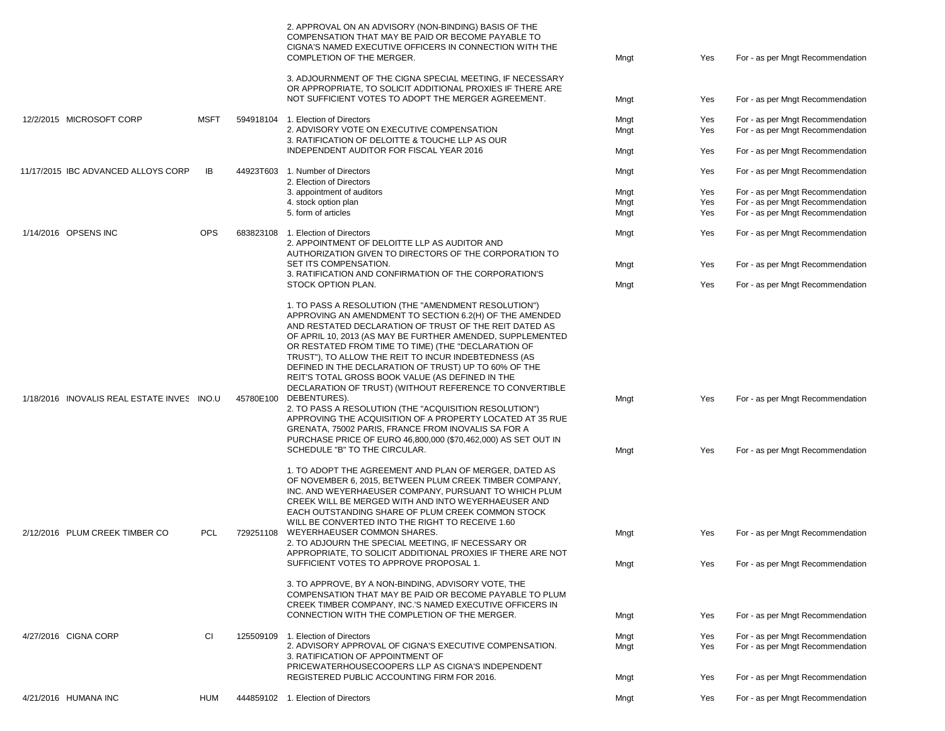|                                            |             |           | 2. APPROVAL ON AN ADVISORY (NON-BINDING) BASIS OF THE<br>COMPENSATION THAT MAY BE PAID OR BECOME PAYABLE TO<br>CIGNA'S NAMED EXECUTIVE OFFICERS IN CONNECTION WITH THE<br>COMPLETION OF THE MERGER.                                                                                                                                                                                                                                                                                                                            | Mngt         | Yes        | For - as per Mngt Recommendation                                     |
|--------------------------------------------|-------------|-----------|--------------------------------------------------------------------------------------------------------------------------------------------------------------------------------------------------------------------------------------------------------------------------------------------------------------------------------------------------------------------------------------------------------------------------------------------------------------------------------------------------------------------------------|--------------|------------|----------------------------------------------------------------------|
|                                            |             |           | 3. ADJOURNMENT OF THE CIGNA SPECIAL MEETING, IF NECESSARY<br>OR APPROPRIATE, TO SOLICIT ADDITIONAL PROXIES IF THERE ARE                                                                                                                                                                                                                                                                                                                                                                                                        |              |            |                                                                      |
|                                            |             |           | NOT SUFFICIENT VOTES TO ADOPT THE MERGER AGREEMENT.                                                                                                                                                                                                                                                                                                                                                                                                                                                                            | Mngt         | Yes        | For - as per Mngt Recommendation                                     |
| 12/2/2015 MICROSOFT CORP                   | <b>MSFT</b> | 594918104 | 1. Election of Directors                                                                                                                                                                                                                                                                                                                                                                                                                                                                                                       | Mngt         | Yes        | For - as per Mngt Recommendation                                     |
|                                            |             |           | 2. ADVISORY VOTE ON EXECUTIVE COMPENSATION<br>3. RATIFICATION OF DELOITTE & TOUCHE LLP AS OUR                                                                                                                                                                                                                                                                                                                                                                                                                                  | Mngt         | Yes        | For - as per Mngt Recommendation                                     |
|                                            |             |           | INDEPENDENT AUDITOR FOR FISCAL YEAR 2016                                                                                                                                                                                                                                                                                                                                                                                                                                                                                       | Mngt         | Yes        | For - as per Mngt Recommendation                                     |
| 11/17/2015 IBC ADVANCED ALLOYS CORP        | IB          | 44923T603 | 1. Number of Directors                                                                                                                                                                                                                                                                                                                                                                                                                                                                                                         | Mngt         | Yes        | For - as per Mngt Recommendation                                     |
|                                            |             |           | 2. Election of Directors<br>3. appointment of auditors                                                                                                                                                                                                                                                                                                                                                                                                                                                                         | Mngt         | Yes        | For - as per Mngt Recommendation                                     |
|                                            |             |           | 4. stock option plan                                                                                                                                                                                                                                                                                                                                                                                                                                                                                                           | Mngt         | Yes        | For - as per Mngt Recommendation                                     |
|                                            |             |           | 5. form of articles                                                                                                                                                                                                                                                                                                                                                                                                                                                                                                            | Mngt         | Yes        | For - as per Mngt Recommendation                                     |
| 1/14/2016 OPSENS INC                       | <b>OPS</b>  |           | 683823108 1. Election of Directors<br>2. APPOINTMENT OF DELOITTE LLP AS AUDITOR AND<br>AUTHORIZATION GIVEN TO DIRECTORS OF THE CORPORATION TO                                                                                                                                                                                                                                                                                                                                                                                  | Mngt         | Yes        | For - as per Mngt Recommendation                                     |
|                                            |             |           | SET ITS COMPENSATION.                                                                                                                                                                                                                                                                                                                                                                                                                                                                                                          | Mngt         | Yes        | For - as per Mngt Recommendation                                     |
|                                            |             |           | 3. RATIFICATION AND CONFIRMATION OF THE CORPORATION'S<br>STOCK OPTION PLAN.                                                                                                                                                                                                                                                                                                                                                                                                                                                    | Mngt         | Yes        | For - as per Mngt Recommendation                                     |
|                                            |             |           | 1. TO PASS A RESOLUTION (THE "AMENDMENT RESOLUTION")<br>APPROVING AN AMENDMENT TO SECTION 6.2(H) OF THE AMENDED<br>AND RESTATED DECLARATION OF TRUST OF THE REIT DATED AS<br>OF APRIL 10, 2013 (AS MAY BE FURTHER AMENDED, SUPPLEMENTED<br>OR RESTATED FROM TIME TO TIME) (THE "DECLARATION OF<br>TRUST"), TO ALLOW THE REIT TO INCUR INDEBTEDNESS (AS<br>DEFINED IN THE DECLARATION OF TRUST) UP TO 60% OF THE<br>REIT'S TOTAL GROSS BOOK VALUE (AS DEFINED IN THE<br>DECLARATION OF TRUST) (WITHOUT REFERENCE TO CONVERTIBLE |              |            |                                                                      |
| 1/18/2016 INOVALIS REAL ESTATE INVES INO.U |             | 45780E100 | DEBENTURES).<br>2. TO PASS A RESOLUTION (THE "ACQUISITION RESOLUTION")<br>APPROVING THE ACQUISITION OF A PROPERTY LOCATED AT 35 RUE<br>GRENATA, 75002 PARIS, FRANCE FROM INOVALIS SA FOR A<br>PURCHASE PRICE OF EURO 46,800,000 (\$70,462,000) AS SET OUT IN<br>SCHEDULE "B" TO THE CIRCULAR.                                                                                                                                                                                                                                  | Mngt         | Yes<br>Yes | For - as per Mngt Recommendation<br>For - as per Mngt Recommendation |
|                                            |             |           |                                                                                                                                                                                                                                                                                                                                                                                                                                                                                                                                | Mngt         |            |                                                                      |
|                                            |             |           | 1. TO ADOPT THE AGREEMENT AND PLAN OF MERGER, DATED AS<br>OF NOVEMBER 6, 2015, BETWEEN PLUM CREEK TIMBER COMPANY,<br>INC. AND WEYERHAEUSER COMPANY, PURSUANT TO WHICH PLUM<br>CREEK WILL BE MERGED WITH AND INTO WEYERHAEUSER AND<br>EACH OUTSTANDING SHARE OF PLUM CREEK COMMON STOCK<br>WILL BE CONVERTED INTO THE RIGHT TO RECEIVE 1.60                                                                                                                                                                                     |              |            |                                                                      |
| 2/12/2016 PLUM CREEK TIMBER CO             | <b>PCL</b>  | 729251108 | WEYERHAEUSER COMMON SHARES.<br>2. TO ADJOURN THE SPECIAL MEETING, IF NECESSARY OR                                                                                                                                                                                                                                                                                                                                                                                                                                              | Mngt         | Yes        | For - as per Mngt Recommendation                                     |
|                                            |             |           | APPROPRIATE. TO SOLICIT ADDITIONAL PROXIES IF THERE ARE NOT<br>SUFFICIENT VOTES TO APPROVE PROPOSAL 1.                                                                                                                                                                                                                                                                                                                                                                                                                         | Mngt         | Yes        | For - as per Mngt Recommendation                                     |
|                                            |             |           | 3. TO APPROVE, BY A NON-BINDING, ADVISORY VOTE, THE<br>COMPENSATION THAT MAY BE PAID OR BECOME PAYABLE TO PLUM<br>CREEK TIMBER COMPANY, INC.'S NAMED EXECUTIVE OFFICERS IN<br>CONNECTION WITH THE COMPLETION OF THE MERGER.                                                                                                                                                                                                                                                                                                    |              |            |                                                                      |
|                                            |             |           |                                                                                                                                                                                                                                                                                                                                                                                                                                                                                                                                | Mngt         | Yes        | For - as per Mngt Recommendation                                     |
| 4/27/2016 CIGNA CORP                       | СI          |           | 125509109 1. Election of Directors<br>2. ADVISORY APPROVAL OF CIGNA'S EXECUTIVE COMPENSATION.<br>3. RATIFICATION OF APPOINTMENT OF                                                                                                                                                                                                                                                                                                                                                                                             | Mngt<br>Mngt | Yes<br>Yes | For - as per Mngt Recommendation<br>For - as per Mngt Recommendation |
|                                            |             |           | PRICEWATERHOUSECOOPERS LLP AS CIGNA'S INDEPENDENT<br>REGISTERED PUBLIC ACCOUNTING FIRM FOR 2016.                                                                                                                                                                                                                                                                                                                                                                                                                               | Mngt         | Yes        | For - as per Mngt Recommendation                                     |
| 4/21/2016 HUMANA INC                       | HUM         |           | 444859102 1. Election of Directors                                                                                                                                                                                                                                                                                                                                                                                                                                                                                             | Mngt         | Yes        | For - as per Mngt Recommendation                                     |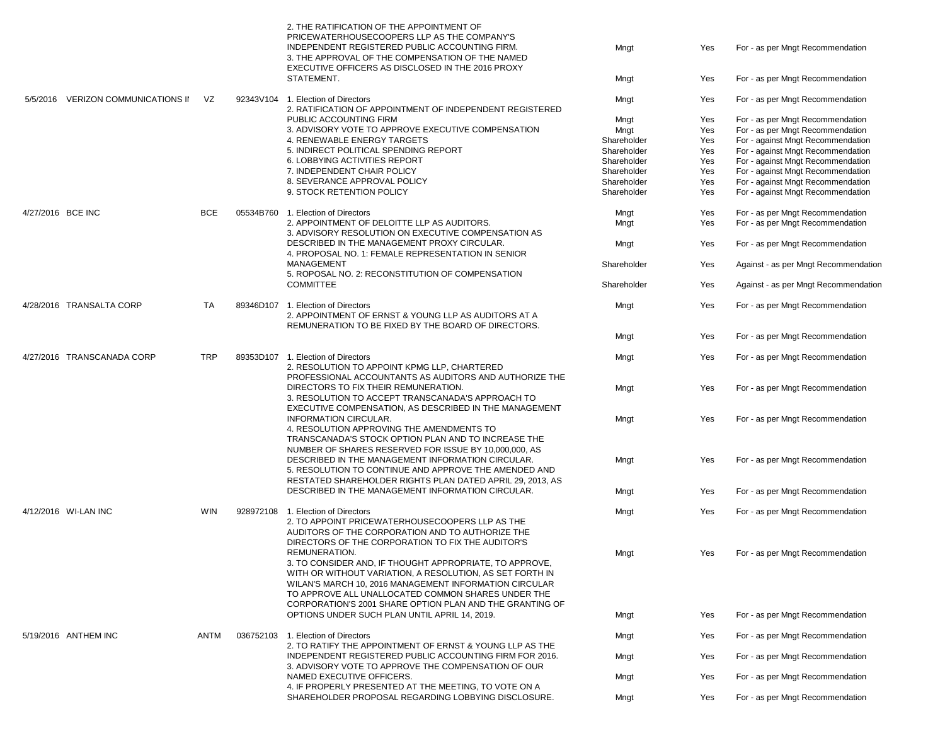|                          |                            |            |  | 2. THE RATIFICATION OF THE APPOINTMENT OF<br>PRICEWATERHOUSECOOPERS LLP AS THE COMPANY'S<br>INDEPENDENT REGISTERED PUBLIC ACCOUNTING FIRM.<br>3. THE APPROVAL OF THE COMPENSATION OF THE NAMED<br>EXECUTIVE OFFICERS AS DISCLOSED IN THE 2016 PROXY<br>STATEMENT.                                         | Mngt<br>Mngt               | Yes<br>Yes | For - as per Mngt Recommendation<br>For - as per Mngt Recommendation   |
|--------------------------|----------------------------|------------|--|-----------------------------------------------------------------------------------------------------------------------------------------------------------------------------------------------------------------------------------------------------------------------------------------------------------|----------------------------|------------|------------------------------------------------------------------------|
| 5/5/2016                 | VERIZON COMMUNICATIONS II  | VZ         |  | 92343V104 1. Election of Directors                                                                                                                                                                                                                                                                        | Mngt                       | Yes        | For - as per Mngt Recommendation                                       |
|                          |                            |            |  | 2. RATIFICATION OF APPOINTMENT OF INDEPENDENT REGISTERED                                                                                                                                                                                                                                                  |                            |            |                                                                        |
|                          |                            |            |  | PUBLIC ACCOUNTING FIRM                                                                                                                                                                                                                                                                                    | Mngt                       | Yes        | For - as per Mngt Recommendation                                       |
|                          |                            |            |  | 3. ADVISORY VOTE TO APPROVE EXECUTIVE COMPENSATION<br>4. RENEWABLE ENERGY TARGETS                                                                                                                                                                                                                         | Mngt                       | Yes        | For - as per Mngt Recommendation                                       |
|                          |                            |            |  | 5. INDIRECT POLITICAL SPENDING REPORT                                                                                                                                                                                                                                                                     | Shareholder<br>Shareholder | Yes<br>Yes | For - against Mngt Recommendation                                      |
|                          |                            |            |  | 6. LOBBYING ACTIVITIES REPORT                                                                                                                                                                                                                                                                             | Shareholder                | Yes        | For - against Mngt Recommendation<br>For - against Mngt Recommendation |
|                          |                            |            |  | 7. INDEPENDENT CHAIR POLICY                                                                                                                                                                                                                                                                               | Shareholder                | Yes        | For - against Mngt Recommendation                                      |
|                          |                            |            |  | 8. SEVERANCE APPROVAL POLICY                                                                                                                                                                                                                                                                              | Shareholder                | Yes        | For - against Mngt Recommendation                                      |
|                          |                            |            |  | 9. STOCK RETENTION POLICY                                                                                                                                                                                                                                                                                 | Shareholder                | Yes        | For - against Mngt Recommendation                                      |
| 4/27/2016 BCE INC        |                            | <b>BCE</b> |  | 05534B760 1. Election of Directors                                                                                                                                                                                                                                                                        | Mngt                       | Yes        | For - as per Mngt Recommendation                                       |
|                          |                            |            |  | 2. APPOINTMENT OF DELOITTE LLP AS AUDITORS.                                                                                                                                                                                                                                                               | Mngt                       | Yes        | For - as per Mngt Recommendation                                       |
|                          |                            |            |  | 3. ADVISORY RESOLUTION ON EXECUTIVE COMPENSATION AS                                                                                                                                                                                                                                                       |                            |            |                                                                        |
|                          |                            |            |  | DESCRIBED IN THE MANAGEMENT PROXY CIRCULAR.<br>4. PROPOSAL NO. 1: FEMALE REPRESENTATION IN SENIOR                                                                                                                                                                                                         | Mngt                       | Yes        | For - as per Mngt Recommendation                                       |
|                          |                            |            |  | MANAGEMENT<br>5. ROPOSAL NO. 2: RECONSTITUTION OF COMPENSATION                                                                                                                                                                                                                                            | Shareholder                | Yes        | Against - as per Mngt Recommendation                                   |
|                          |                            |            |  | <b>COMMITTEE</b>                                                                                                                                                                                                                                                                                          | Shareholder                | Yes        | Against - as per Mngt Recommendation                                   |
| 4/28/2016 TRANSALTA CORP |                            | <b>TA</b>  |  | 89346D107 1. Election of Directors<br>2. APPOINTMENT OF ERNST & YOUNG LLP AS AUDITORS AT A<br>REMUNERATION TO BE FIXED BY THE BOARD OF DIRECTORS.                                                                                                                                                         | Mngt                       | Yes        | For - as per Mngt Recommendation                                       |
|                          |                            |            |  |                                                                                                                                                                                                                                                                                                           | Mngt                       | Yes        | For - as per Mngt Recommendation                                       |
|                          | 4/27/2016 TRANSCANADA CORP | <b>TRP</b> |  | 89353D107 1. Election of Directors<br>2. RESOLUTION TO APPOINT KPMG LLP, CHARTERED<br>PROFESSIONAL ACCOUNTANTS AS AUDITORS AND AUTHORIZE THE                                                                                                                                                              | Mngt                       | Yes        | For - as per Mngt Recommendation                                       |
|                          |                            |            |  | DIRECTORS TO FIX THEIR REMUNERATION.<br>3. RESOLUTION TO ACCEPT TRANSCANADA'S APPROACH TO<br>EXECUTIVE COMPENSATION, AS DESCRIBED IN THE MANAGEMENT                                                                                                                                                       | Mngt                       | Yes        | For - as per Mngt Recommendation                                       |
|                          |                            |            |  | <b>INFORMATION CIRCULAR.</b><br>4. RESOLUTION APPROVING THE AMENDMENTS TO<br>TRANSCANADA'S STOCK OPTION PLAN AND TO INCREASE THE<br>NUMBER OF SHARES RESERVED FOR ISSUE BY 10,000,000, AS                                                                                                                 | Mngt                       | Yes        | For - as per Mngt Recommendation                                       |
|                          |                            |            |  | DESCRIBED IN THE MANAGEMENT INFORMATION CIRCULAR.<br>5. RESOLUTION TO CONTINUE AND APPROVE THE AMENDED AND<br>RESTATED SHAREHOLDER RIGHTS PLAN DATED APRIL 29, 2013, AS                                                                                                                                   | Mngt                       | Yes        | For - as per Mngt Recommendation                                       |
|                          |                            |            |  | DESCRIBED IN THE MANAGEMENT INFORMATION CIRCULAR.                                                                                                                                                                                                                                                         | Mngt                       | Yes        | For - as per Mngt Recommendation                                       |
|                          | 4/12/2016 WI-LAN INC       | WIN        |  | 928972108 1. Election of Directors<br>2. TO APPOINT PRICEWATERHOUSECOOPERS LLP AS THE<br>AUDITORS OF THE CORPORATION AND TO AUTHORIZE THE                                                                                                                                                                 | Mngt                       | Yes        | For - as per Mngt Recommendation                                       |
|                          |                            |            |  | DIRECTORS OF THE CORPORATION TO FIX THE AUDITOR'S<br>REMUNERATION.<br>3. TO CONSIDER AND, IF THOUGHT APPROPRIATE, TO APPROVE,<br>WITH OR WITHOUT VARIATION, A RESOLUTION, AS SET FORTH IN<br>WILAN'S MARCH 10, 2016 MANAGEMENT INFORMATION CIRCULAR<br>TO APPROVE ALL UNALLOCATED COMMON SHARES UNDER THE | Mngt                       | Yes        | For - as per Mngt Recommendation                                       |
|                          |                            |            |  | CORPORATION'S 2001 SHARE OPTION PLAN AND THE GRANTING OF<br>OPTIONS UNDER SUCH PLAN UNTIL APRIL 14, 2019.                                                                                                                                                                                                 | Mngt                       | Yes        | For - as per Mngt Recommendation                                       |
|                          | 5/19/2016 ANTHEM INC       | ANTM       |  | 036752103 1. Election of Directors                                                                                                                                                                                                                                                                        | Mngt                       | Yes        | For - as per Mngt Recommendation                                       |
|                          |                            |            |  | 2. TO RATIFY THE APPOINTMENT OF ERNST & YOUNG LLP AS THE                                                                                                                                                                                                                                                  |                            |            |                                                                        |
|                          |                            |            |  | INDEPENDENT REGISTERED PUBLIC ACCOUNTING FIRM FOR 2016.<br>3. ADVISORY VOTE TO APPROVE THE COMPENSATION OF OUR                                                                                                                                                                                            | Mngt                       | Yes        | For - as per Mngt Recommendation                                       |
|                          |                            |            |  | NAMED EXECUTIVE OFFICERS.<br>4. IF PROPERLY PRESENTED AT THE MEETING. TO VOTE ON A                                                                                                                                                                                                                        | Mngt                       | Yes        | For - as per Mngt Recommendation                                       |
|                          |                            |            |  | SHAREHOLDER PROPOSAL REGARDING LOBBYING DISCLOSURE.                                                                                                                                                                                                                                                       | Mngt                       | Yes        | For - as per Mngt Recommendation                                       |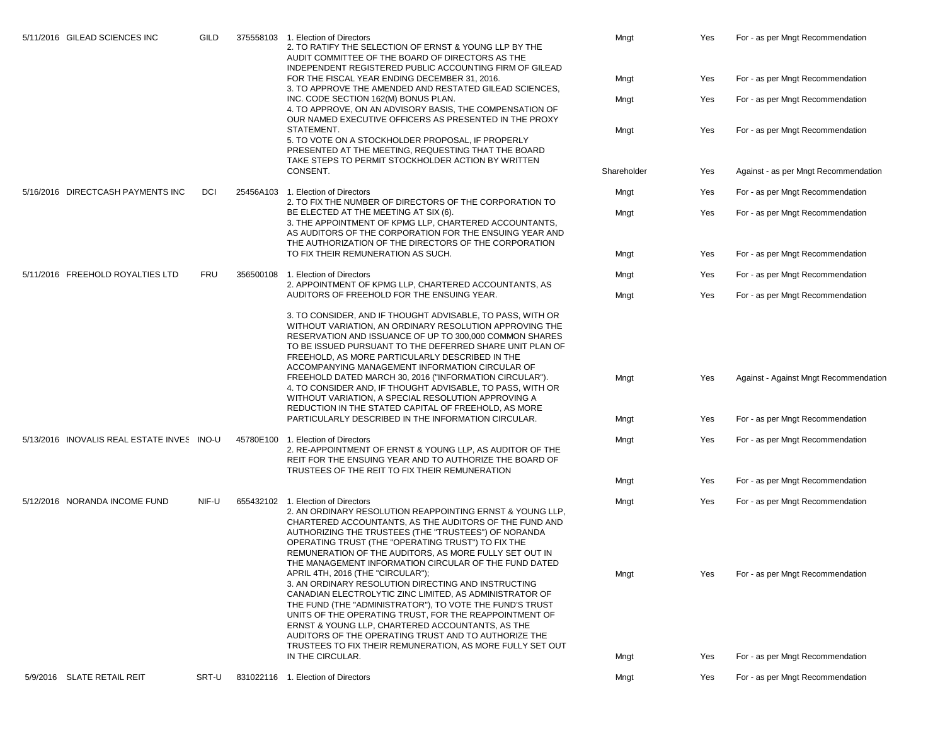|  | 5/11/2016 GILEAD SCIENCES INC              | GILD  |  | 375558103 1. Election of Directors<br>2. TO RATIFY THE SELECTION OF ERNST & YOUNG LLP BY THE<br>AUDIT COMMITTEE OF THE BOARD OF DIRECTORS AS THE                                                                                                                                                                                                                                                                                                                                                            | Mngt        | Yes | For - as per Mngt Recommendation      |
|--|--------------------------------------------|-------|--|-------------------------------------------------------------------------------------------------------------------------------------------------------------------------------------------------------------------------------------------------------------------------------------------------------------------------------------------------------------------------------------------------------------------------------------------------------------------------------------------------------------|-------------|-----|---------------------------------------|
|  |                                            |       |  | INDEPENDENT REGISTERED PUBLIC ACCOUNTING FIRM OF GILEAD<br>FOR THE FISCAL YEAR ENDING DECEMBER 31, 2016.<br>3. TO APPROVE THE AMENDED AND RESTATED GILEAD SCIENCES,                                                                                                                                                                                                                                                                                                                                         | Mngt        | Yes | For - as per Mngt Recommendation      |
|  |                                            |       |  | INC. CODE SECTION 162(M) BONUS PLAN.<br>4. TO APPROVE, ON AN ADVISORY BASIS, THE COMPENSATION OF<br>OUR NAMED EXECUTIVE OFFICERS AS PRESENTED IN THE PROXY                                                                                                                                                                                                                                                                                                                                                  | Mngt        | Yes | For - as per Mngt Recommendation      |
|  |                                            |       |  | STATEMENT.<br>5. TO VOTE ON A STOCKHOLDER PROPOSAL, IF PROPERLY<br>PRESENTED AT THE MEETING. REQUESTING THAT THE BOARD<br>TAKE STEPS TO PERMIT STOCKHOLDER ACTION BY WRITTEN                                                                                                                                                                                                                                                                                                                                | Mngt        | Yes | For - as per Mngt Recommendation      |
|  |                                            |       |  | CONSENT.                                                                                                                                                                                                                                                                                                                                                                                                                                                                                                    | Shareholder | Yes | Against - as per Mngt Recommendation  |
|  | 5/16/2016 DIRECTCASH PAYMENTS INC          | DCI   |  | 25456A103 1. Election of Directors<br>2. TO FIX THE NUMBER OF DIRECTORS OF THE CORPORATION TO                                                                                                                                                                                                                                                                                                                                                                                                               | Mngt        | Yes | For - as per Mngt Recommendation      |
|  |                                            |       |  | BE ELECTED AT THE MEETING AT SIX (6).<br>3. THE APPOINTMENT OF KPMG LLP, CHARTERED ACCOUNTANTS,<br>AS AUDITORS OF THE CORPORATION FOR THE ENSUING YEAR AND<br>THE AUTHORIZATION OF THE DIRECTORS OF THE CORPORATION                                                                                                                                                                                                                                                                                         | Mngt        | Yes | For - as per Mngt Recommendation      |
|  |                                            |       |  | TO FIX THEIR REMUNERATION AS SUCH.                                                                                                                                                                                                                                                                                                                                                                                                                                                                          | Mngt        | Yes | For - as per Mngt Recommendation      |
|  | 5/11/2016 FREEHOLD ROYALTIES LTD           | FRU   |  | 356500108 1. Election of Directors<br>2. APPOINTMENT OF KPMG LLP, CHARTERED ACCOUNTANTS, AS<br>AUDITORS OF FREEHOLD FOR THE ENSUING YEAR.                                                                                                                                                                                                                                                                                                                                                                   | Mngt        | Yes | For - as per Mngt Recommendation      |
|  |                                            |       |  |                                                                                                                                                                                                                                                                                                                                                                                                                                                                                                             | Mngt        | Yes | For - as per Mngt Recommendation      |
|  |                                            |       |  | 3. TO CONSIDER, AND IF THOUGHT ADVISABLE, TO PASS, WITH OR<br>WITHOUT VARIATION, AN ORDINARY RESOLUTION APPROVING THE<br>RESERVATION AND ISSUANCE OF UP TO 300,000 COMMON SHARES<br>TO BE ISSUED PURSUANT TO THE DEFERRED SHARE UNIT PLAN OF<br>FREEHOLD, AS MORE PARTICULARLY DESCRIBED IN THE<br>ACCOMPANYING MANAGEMENT INFORMATION CIRCULAR OF                                                                                                                                                          |             |     |                                       |
|  |                                            |       |  | FREEHOLD DATED MARCH 30, 2016 ("INFORMATION CIRCULAR").<br>4. TO CONSIDER AND, IF THOUGHT ADVISABLE, TO PASS, WITH OR<br>WITHOUT VARIATION, A SPECIAL RESOLUTION APPROVING A<br>REDUCTION IN THE STATED CAPITAL OF FREEHOLD, AS MORE                                                                                                                                                                                                                                                                        | Mngt        | Yes | Against - Against Mngt Recommendation |
|  |                                            |       |  | PARTICULARLY DESCRIBED IN THE INFORMATION CIRCULAR.                                                                                                                                                                                                                                                                                                                                                                                                                                                         | Mngt        | Yes | For - as per Mngt Recommendation      |
|  | 5/13/2016 INOVALIS REAL ESTATE INVES INO-U |       |  | 45780E100 1. Election of Directors<br>2. RE-APPOINTMENT OF ERNST & YOUNG LLP, AS AUDITOR OF THE<br>REIT FOR THE ENSUING YEAR AND TO AUTHORIZE THE BOARD OF<br>TRUSTEES OF THE REIT TO FIX THEIR REMUNERATION                                                                                                                                                                                                                                                                                                | Mngt        | Yes | For - as per Mngt Recommendation      |
|  |                                            |       |  |                                                                                                                                                                                                                                                                                                                                                                                                                                                                                                             | Mngt        | Yes | For - as per Mngt Recommendation      |
|  | 5/12/2016 NORANDA INCOME FUND              | NIF-U |  | 655432102 1. Election of Directors<br>2. AN ORDINARY RESOLUTION REAPPOINTING ERNST & YOUNG LLP.<br>CHARTERED ACCOUNTANTS, AS THE AUDITORS OF THE FUND AND<br>AUTHORIZING THE TRUSTEES (THE "TRUSTEES") OF NORANDA<br>OPERATING TRUST (THE "OPERATING TRUST") TO FIX THE<br>REMUNERATION OF THE AUDITORS, AS MORE FULLY SET OUT IN                                                                                                                                                                           | Mngt        | Yes | For - as per Mngt Recommendation      |
|  |                                            |       |  | THE MANAGEMENT INFORMATION CIRCULAR OF THE FUND DATED<br>APRIL 4TH, 2016 (THE "CIRCULAR");<br>3. AN ORDINARY RESOLUTION DIRECTING AND INSTRUCTING<br>CANADIAN ELECTROLYTIC ZINC LIMITED, AS ADMINISTRATOR OF<br>THE FUND (THE "ADMINISTRATOR"), TO VOTE THE FUND'S TRUST<br>UNITS OF THE OPERATING TRUST. FOR THE REAPPOINTMENT OF<br>ERNST & YOUNG LLP, CHARTERED ACCOUNTANTS, AS THE<br>AUDITORS OF THE OPERATING TRUST AND TO AUTHORIZE THE<br>TRUSTEES TO FIX THEIR REMUNERATION, AS MORE FULLY SET OUT | Mngt        | Yes | For - as per Mngt Recommendation      |
|  |                                            |       |  | IN THE CIRCULAR.                                                                                                                                                                                                                                                                                                                                                                                                                                                                                            | Mngt        | Yes | For - as per Mngt Recommendation      |
|  | 5/9/2016 SLATE RETAIL REIT                 | SRT-U |  | 831022116 1. Election of Directors                                                                                                                                                                                                                                                                                                                                                                                                                                                                          | Mngt        | Yes | For - as per Mngt Recommendation      |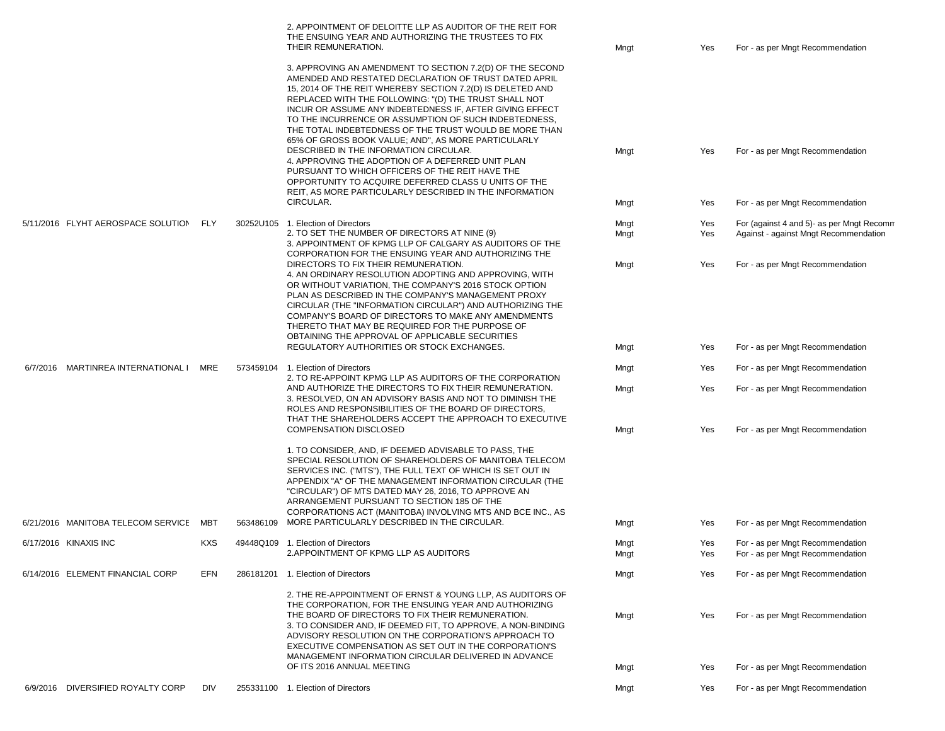|                                       |            | 2. APPOINTMENT OF DELOITTE LLP AS AUDITOR OF THE REIT FOR<br>THE ENSUING YEAR AND AUTHORIZING THE TRUSTEES TO FIX<br>THEIR REMUNERATION.                                                                                                                                                                                                                                                                                                                                        | Mngt         | Yes        | For - as per Mngt Recommendation                                                   |
|---------------------------------------|------------|---------------------------------------------------------------------------------------------------------------------------------------------------------------------------------------------------------------------------------------------------------------------------------------------------------------------------------------------------------------------------------------------------------------------------------------------------------------------------------|--------------|------------|------------------------------------------------------------------------------------|
|                                       |            | 3. APPROVING AN AMENDMENT TO SECTION 7.2(D) OF THE SECOND<br>AMENDED AND RESTATED DECLARATION OF TRUST DATED APRIL<br>15, 2014 OF THE REIT WHEREBY SECTION 7.2(D) IS DELETED AND<br>REPLACED WITH THE FOLLOWING: "(D) THE TRUST SHALL NOT<br>INCUR OR ASSUME ANY INDEBTEDNESS IF, AFTER GIVING EFFECT<br>TO THE INCURRENCE OR ASSUMPTION OF SUCH INDEBTEDNESS,<br>THE TOTAL INDEBTEDNESS OF THE TRUST WOULD BE MORE THAN<br>65% OF GROSS BOOK VALUE; AND", AS MORE PARTICULARLY |              |            |                                                                                    |
|                                       |            | DESCRIBED IN THE INFORMATION CIRCULAR.<br>4. APPROVING THE ADOPTION OF A DEFERRED UNIT PLAN<br>PURSUANT TO WHICH OFFICERS OF THE REIT HAVE THE<br>OPPORTUNITY TO ACQUIRE DEFERRED CLASS U UNITS OF THE<br>REIT, AS MORE PARTICULARLY DESCRIBED IN THE INFORMATION                                                                                                                                                                                                               | Mngt         | Yes        | For - as per Mngt Recommendation                                                   |
|                                       |            | CIRCULAR.                                                                                                                                                                                                                                                                                                                                                                                                                                                                       | Mngt         | Yes        | For - as per Mngt Recommendation                                                   |
| 5/11/2016 FLYHT AEROSPACE SOLUTION    | FLY        | 30252U105 1. Election of Directors<br>2. TO SET THE NUMBER OF DIRECTORS AT NINE (9)<br>3. APPOINTMENT OF KPMG LLP OF CALGARY AS AUDITORS OF THE<br>CORPORATION FOR THE ENSUING YEAR AND AUTHORIZING THE                                                                                                                                                                                                                                                                         | Mngt<br>Mngt | Yes<br>Yes | For (against 4 and 5)- as per Mngt Recomm<br>Against - against Mngt Recommendation |
|                                       |            | DIRECTORS TO FIX THEIR REMUNERATION.<br>4. AN ORDINARY RESOLUTION ADOPTING AND APPROVING, WITH<br>OR WITHOUT VARIATION, THE COMPANY'S 2016 STOCK OPTION<br>PLAN AS DESCRIBED IN THE COMPANY'S MANAGEMENT PROXY<br>CIRCULAR (THE "INFORMATION CIRCULAR") AND AUTHORIZING THE<br>COMPANY'S BOARD OF DIRECTORS TO MAKE ANY AMENDMENTS<br>THERETO THAT MAY BE REQUIRED FOR THE PURPOSE OF<br>OBTAINING THE APPROVAL OF APPLICABLE SECURITIES                                        | Mngt         | Yes        | For - as per Mngt Recommendation                                                   |
|                                       |            | REGULATORY AUTHORITIES OR STOCK EXCHANGES.                                                                                                                                                                                                                                                                                                                                                                                                                                      | Mngt         | Yes        | For - as per Mngt Recommendation                                                   |
| MARTINREA INTERNATIONAL I<br>6/7/2016 | <b>MRE</b> | 573459104 1. Election of Directors<br>2. TO RE-APPOINT KPMG LLP AS AUDITORS OF THE CORPORATION                                                                                                                                                                                                                                                                                                                                                                                  | Mngt         | Yes        | For - as per Mngt Recommendation                                                   |
|                                       |            | AND AUTHORIZE THE DIRECTORS TO FIX THEIR REMUNERATION.<br>3. RESOLVED, ON AN ADVISORY BASIS AND NOT TO DIMINISH THE<br>ROLES AND RESPONSIBILITIES OF THE BOARD OF DIRECTORS,<br>THAT THE SHAREHOLDERS ACCEPT THE APPROACH TO EXECUTIVE                                                                                                                                                                                                                                          | Mngt         | Yes        | For - as per Mngt Recommendation                                                   |
|                                       |            | <b>COMPENSATION DISCLOSED</b>                                                                                                                                                                                                                                                                                                                                                                                                                                                   | Mngt         | Yes        | For - as per Mngt Recommendation                                                   |
|                                       |            | 1. TO CONSIDER, AND, IF DEEMED ADVISABLE TO PASS, THE<br>SPECIAL RESOLUTION OF SHAREHOLDERS OF MANITOBA TELECOM<br>SERVICES INC. ("MTS"), THE FULL TEXT OF WHICH IS SET OUT IN<br>APPENDIX "A" OF THE MANAGEMENT INFORMATION CIRCULAR (THE<br>"CIRCULAR") OF MTS DATED MAY 26, 2016, TO APPROVE AN<br>ARRANGEMENT PURSUANT TO SECTION 185 OF THE<br>CORPORATIONS ACT (MANITOBA) INVOLVING MTS AND BCE INC., AS                                                                  |              |            |                                                                                    |
| 6/21/2016 MANITOBA TELECOM SERVICE    | MBT        | 563486109 MORE PARTICULARLY DESCRIBED IN THE CIRCULAR.                                                                                                                                                                                                                                                                                                                                                                                                                          | Mngt         | Yes        | For - as per Mngt Recommendation                                                   |
| 6/17/2016 KINAXIS INC                 | <b>KXS</b> | 49448Q109 1. Election of Directors<br>2.APPOINTMENT OF KPMG LLP AS AUDITORS                                                                                                                                                                                                                                                                                                                                                                                                     | Mngt<br>Mngt | Yes<br>Yes | For - as per Mngt Recommendation<br>For - as per Mngt Recommendation               |
| 6/14/2016 ELEMENT FINANCIAL CORP      | EFN        | 286181201 1. Election of Directors                                                                                                                                                                                                                                                                                                                                                                                                                                              | Mngt         | Yes        | For - as per Mngt Recommendation                                                   |
|                                       |            | 2. THE RE-APPOINTMENT OF ERNST & YOUNG LLP, AS AUDITORS OF<br>THE CORPORATION, FOR THE ENSUING YEAR AND AUTHORIZING<br>THE BOARD OF DIRECTORS TO FIX THEIR REMUNERATION.<br>3. TO CONSIDER AND, IF DEEMED FIT, TO APPROVE, A NON-BINDING<br>ADVISORY RESOLUTION ON THE CORPORATION'S APPROACH TO<br>EXECUTIVE COMPENSATION AS SET OUT IN THE CORPORATION'S<br>MANAGEMENT INFORMATION CIRCULAR DELIVERED IN ADVANCE                                                              | Mngt         | Yes        | For - as per Mngt Recommendation                                                   |
|                                       |            | OF ITS 2016 ANNUAL MEETING                                                                                                                                                                                                                                                                                                                                                                                                                                                      | Mngt         | Yes        | For - as per Mngt Recommendation                                                   |
| 6/9/2016 DIVERSIFIED ROYALTY CORP     | DIV        | 255331100 1. Election of Directors                                                                                                                                                                                                                                                                                                                                                                                                                                              | Mngt         | Yes        | For - as per Mngt Recommendation                                                   |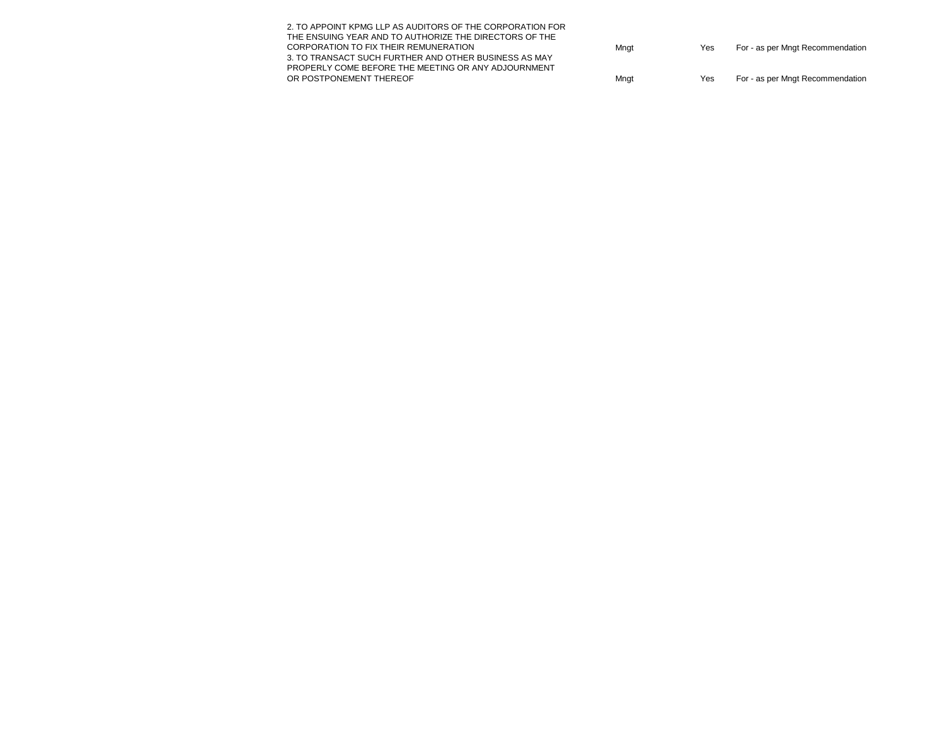| Mngt | Yes | For - as per Mngt Recommendation |
|------|-----|----------------------------------|
|      |     |                                  |
|      |     |                                  |
| Mngt | Yes | For - as per Mngt Recommendation |
|      |     |                                  |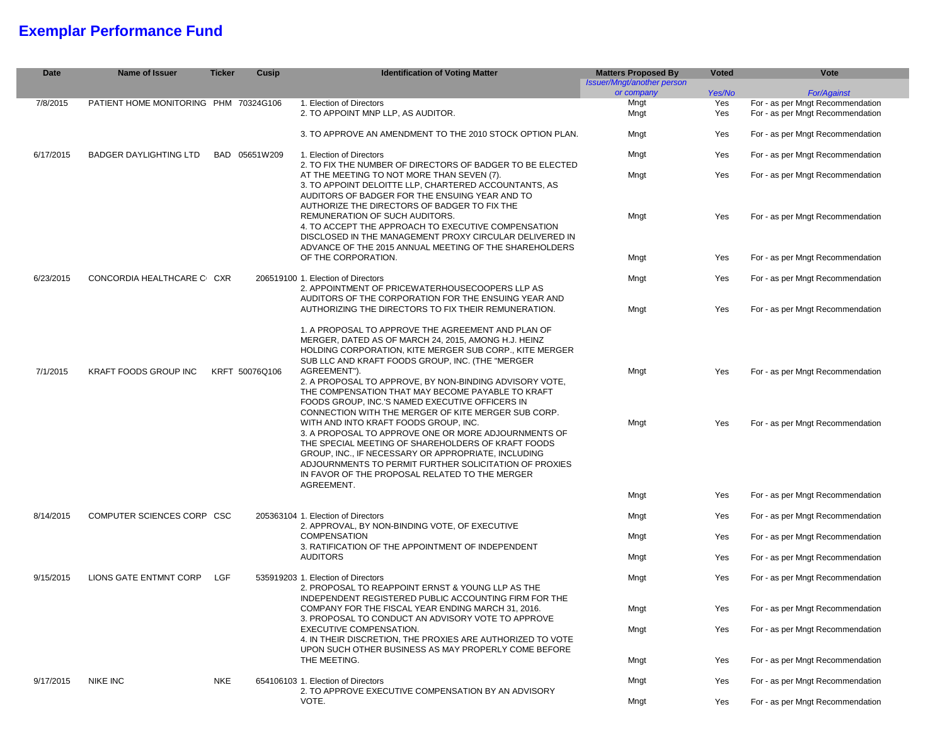# **Exemplar Performance Fund**

| <b>Date</b> | Name of Issuer                        | <b>Ticker</b>  | Cusip         | <b>Identification of Voting Matter</b>                                                                                                                                                                                                                                                                                               | <b>Matters Proposed By</b><br><b>Issuer/Mngt/another person</b> | <b>Voted</b> | Vote                                                                 |
|-------------|---------------------------------------|----------------|---------------|--------------------------------------------------------------------------------------------------------------------------------------------------------------------------------------------------------------------------------------------------------------------------------------------------------------------------------------|-----------------------------------------------------------------|--------------|----------------------------------------------------------------------|
|             |                                       |                |               |                                                                                                                                                                                                                                                                                                                                      | or company                                                      | Yes/No       | <b>For/Against</b>                                                   |
| 7/8/2015    | PATIENT HOME MONITORING PHM 70324G106 |                |               | 1. Election of Directors<br>2. TO APPOINT MNP LLP, AS AUDITOR.                                                                                                                                                                                                                                                                       | Mngt<br>Mngt                                                    | Yes<br>Yes   | For - as per Mngt Recommendation<br>For - as per Mngt Recommendation |
|             |                                       |                |               | 3. TO APPROVE AN AMENDMENT TO THE 2010 STOCK OPTION PLAN.                                                                                                                                                                                                                                                                            | Mngt                                                            | Yes          | For - as per Mngt Recommendation                                     |
| 6/17/2015   | <b>BADGER DAYLIGHTING LTD</b>         |                | BAD 05651W209 | 1. Election of Directors<br>2. TO FIX THE NUMBER OF DIRECTORS OF BADGER TO BE ELECTED                                                                                                                                                                                                                                                | Mngt                                                            | Yes          | For - as per Mngt Recommendation                                     |
|             |                                       |                |               | AT THE MEETING TO NOT MORE THAN SEVEN (7).<br>3. TO APPOINT DELOITTE LLP, CHARTERED ACCOUNTANTS, AS<br>AUDITORS OF BADGER FOR THE ENSUING YEAR AND TO<br>AUTHORIZE THE DIRECTORS OF BADGER TO FIX THE                                                                                                                                | Mngt                                                            | Yes          | For - as per Mngt Recommendation                                     |
|             |                                       |                |               | REMUNERATION OF SUCH AUDITORS.<br>4. TO ACCEPT THE APPROACH TO EXECUTIVE COMPENSATION<br>DISCLOSED IN THE MANAGEMENT PROXY CIRCULAR DELIVERED IN<br>ADVANCE OF THE 2015 ANNUAL MEETING OF THE SHAREHOLDERS                                                                                                                           | Mngt                                                            | Yes          | For - as per Mngt Recommendation                                     |
|             |                                       |                |               | OF THE CORPORATION.                                                                                                                                                                                                                                                                                                                  | Mngt                                                            | Yes          | For - as per Mngt Recommendation                                     |
| 6/23/2015   | CONCORDIA HEALTHCARE C CXR            |                |               | 206519100 1. Election of Directors<br>2. APPOINTMENT OF PRICEWATERHOUSECOOPERS LLP AS                                                                                                                                                                                                                                                | Mngt                                                            | Yes          | For - as per Mngt Recommendation                                     |
|             |                                       |                |               | AUDITORS OF THE CORPORATION FOR THE ENSUING YEAR AND<br>AUTHORIZING THE DIRECTORS TO FIX THEIR REMUNERATION.                                                                                                                                                                                                                         | Mngt                                                            | Yes          | For - as per Mngt Recommendation                                     |
| 7/1/2015    | <b>KRAFT FOODS GROUP INC</b>          | KRFT 50076Q106 |               | 1. A PROPOSAL TO APPROVE THE AGREEMENT AND PLAN OF<br>MERGER, DATED AS OF MARCH 24, 2015, AMONG H.J. HEINZ<br>HOLDING CORPORATION, KITE MERGER SUB CORP., KITE MERGER<br>SUB LLC AND KRAFT FOODS GROUP, INC. (THE "MERGER<br>AGREEMENT").                                                                                            | Mngt                                                            | Yes          | For - as per Mngt Recommendation                                     |
|             |                                       |                |               | 2. A PROPOSAL TO APPROVE, BY NON-BINDING ADVISORY VOTE,<br>THE COMPENSATION THAT MAY BECOME PAYABLE TO KRAFT<br>FOODS GROUP, INC.'S NAMED EXECUTIVE OFFICERS IN<br>CONNECTION WITH THE MERGER OF KITE MERGER SUB CORP.                                                                                                               |                                                                 |              |                                                                      |
|             |                                       |                |               | WITH AND INTO KRAFT FOODS GROUP, INC.<br>3. A PROPOSAL TO APPROVE ONE OR MORE ADJOURNMENTS OF<br>THE SPECIAL MEETING OF SHAREHOLDERS OF KRAFT FOODS<br>GROUP, INC., IF NECESSARY OR APPROPRIATE, INCLUDING<br>ADJOURNMENTS TO PERMIT FURTHER SOLICITATION OF PROXIES<br>IN FAVOR OF THE PROPOSAL RELATED TO THE MERGER<br>AGREEMENT. | Mngt                                                            | Yes          | For - as per Mngt Recommendation                                     |
|             |                                       |                |               |                                                                                                                                                                                                                                                                                                                                      | Mngt                                                            | Yes          | For - as per Mngt Recommendation                                     |
| 8/14/2015   | COMPUTER SCIENCES CORP CSC            |                |               | 205363104 1. Election of Directors<br>2. APPROVAL, BY NON-BINDING VOTE, OF EXECUTIVE                                                                                                                                                                                                                                                 | Mngt                                                            | Yes          | For - as per Mngt Recommendation                                     |
|             |                                       |                |               | <b>COMPENSATION</b><br>3. RATIFICATION OF THE APPOINTMENT OF INDEPENDENT                                                                                                                                                                                                                                                             | Mngt                                                            | Yes          | For - as per Mngt Recommendation                                     |
|             |                                       |                |               | <b>AUDITORS</b>                                                                                                                                                                                                                                                                                                                      | Mngt                                                            | Yes          | For - as per Mngt Recommendation                                     |
| 9/15/2015   | LIONS GATE ENTMNT CORP                | LGF            |               | 535919203 1. Election of Directors<br>2. PROPOSAL TO REAPPOINT ERNST & YOUNG LLP AS THE<br>INDEPENDENT REGISTERED PUBLIC ACCOUNTING FIRM FOR THE                                                                                                                                                                                     | Mngt                                                            | Yes          | For - as per Mngt Recommendation                                     |
|             |                                       |                |               | COMPANY FOR THE FISCAL YEAR ENDING MARCH 31, 2016.                                                                                                                                                                                                                                                                                   | Mngt                                                            | Yes          | For - as per Mngt Recommendation                                     |
|             |                                       |                |               | 3. PROPOSAL TO CONDUCT AN ADVISORY VOTE TO APPROVE<br>EXECUTIVE COMPENSATION.<br>4. IN THEIR DISCRETION, THE PROXIES ARE AUTHORIZED TO VOTE<br>UPON SUCH OTHER BUSINESS AS MAY PROPERLY COME BEFORE                                                                                                                                  | Mngt                                                            | Yes          | For - as per Mngt Recommendation                                     |
|             |                                       |                |               | THE MEETING.                                                                                                                                                                                                                                                                                                                         | Mngt                                                            | Yes          | For - as per Mngt Recommendation                                     |
| 9/17/2015   | <b>NIKE INC</b>                       | <b>NKE</b>     |               | 654106103 1. Election of Directors<br>2. TO APPROVE EXECUTIVE COMPENSATION BY AN ADVISORY<br>VOTE.                                                                                                                                                                                                                                   | Mngt                                                            | Yes          | For - as per Mngt Recommendation                                     |
|             |                                       |                |               |                                                                                                                                                                                                                                                                                                                                      | Mngt                                                            | Yes          | For - as per Mngt Recommendation                                     |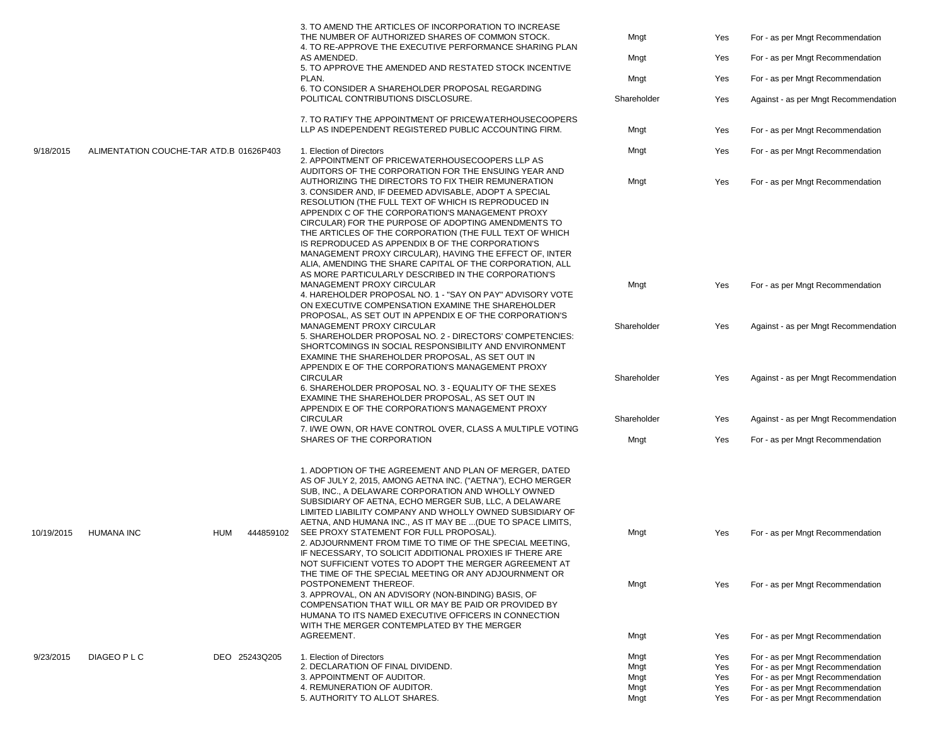|            |                                         |     |               | 3. TO AMEND THE ARTICLES OF INCORPORATION TO INCREASE<br>THE NUMBER OF AUTHORIZED SHARES OF COMMON STOCK.<br>4. TO RE-APPROVE THE EXECUTIVE PERFORMANCE SHARING PLAN<br>AS AMENDED.<br>5. TO APPROVE THE AMENDED AND RESTATED STOCK INCENTIVE<br>PLAN.<br>6. TO CONSIDER A SHAREHOLDER PROPOSAL REGARDING<br>POLITICAL CONTRIBUTIONS DISCLOSURE.<br>7. TO RATIFY THE APPOINTMENT OF PRICEWATERHOUSECOOPERS<br>LLP AS INDEPENDENT REGISTERED PUBLIC ACCOUNTING FIRM. | Mngt<br>Mngt<br>Mngt<br>Shareholder<br>Mngt | Yes<br>Yes<br>Yes<br>Yes<br>Yes | For - as per Mngt Recommendation<br>For - as per Mngt Recommendation<br>For - as per Mngt Recommendation<br>Against - as per Mngt Recommendation<br>For - as per Mngt Recommendation |
|------------|-----------------------------------------|-----|---------------|---------------------------------------------------------------------------------------------------------------------------------------------------------------------------------------------------------------------------------------------------------------------------------------------------------------------------------------------------------------------------------------------------------------------------------------------------------------------|---------------------------------------------|---------------------------------|--------------------------------------------------------------------------------------------------------------------------------------------------------------------------------------|
| 9/18/2015  | ALIMENTATION COUCHE-TAR ATD.B 01626P403 |     |               | 1. Election of Directors                                                                                                                                                                                                                                                                                                                                                                                                                                            | Mngt                                        | Yes                             | For - as per Mngt Recommendation                                                                                                                                                     |
|            |                                         |     |               | 2. APPOINTMENT OF PRICEWATERHOUSECOOPERS LLP AS<br>AUDITORS OF THE CORPORATION FOR THE ENSUING YEAR AND<br>AUTHORIZING THE DIRECTORS TO FIX THEIR REMUNERATION<br>3. CONSIDER AND, IF DEEMED ADVISABLE, ADOPT A SPECIAL<br>RESOLUTION (THE FULL TEXT OF WHICH IS REPRODUCED IN<br>APPENDIX C OF THE CORPORATION'S MANAGEMENT PROXY<br>CIRCULAR) FOR THE PURPOSE OF ADOPTING AMENDMENTS TO                                                                           | Mngt                                        | Yes                             | For - as per Mngt Recommendation                                                                                                                                                     |
|            |                                         |     |               | THE ARTICLES OF THE CORPORATION (THE FULL TEXT OF WHICH<br>IS REPRODUCED AS APPENDIX B OF THE CORPORATION'S<br>MANAGEMENT PROXY CIRCULAR), HAVING THE EFFECT OF, INTER<br>ALIA, AMENDING THE SHARE CAPITAL OF THE CORPORATION, ALL<br>AS MORE PARTICULARLY DESCRIBED IN THE CORPORATION'S<br>MANAGEMENT PROXY CIRCULAR                                                                                                                                              |                                             |                                 |                                                                                                                                                                                      |
|            |                                         |     |               | 4. HAREHOLDER PROPOSAL NO. 1 - "SAY ON PAY" ADVISORY VOTE<br>ON EXECUTIVE COMPENSATION EXAMINE THE SHAREHOLDER<br>PROPOSAL, AS SET OUT IN APPENDIX E OF THE CORPORATION'S                                                                                                                                                                                                                                                                                           | Mngt                                        | Yes                             | For - as per Mngt Recommendation                                                                                                                                                     |
|            |                                         |     |               | MANAGEMENT PROXY CIRCULAR<br>5. SHAREHOLDER PROPOSAL NO. 2 - DIRECTORS' COMPETENCIES:<br>SHORTCOMINGS IN SOCIAL RESPONSIBILITY AND ENVIRONMENT<br>EXAMINE THE SHAREHOLDER PROPOSAL, AS SET OUT IN<br>APPENDIX E OF THE CORPORATION'S MANAGEMENT PROXY                                                                                                                                                                                                               | Shareholder                                 | Yes                             | Against - as per Mngt Recommendation                                                                                                                                                 |
|            |                                         |     |               | <b>CIRCULAR</b><br>6. SHAREHOLDER PROPOSAL NO. 3 - EQUALITY OF THE SEXES<br>EXAMINE THE SHAREHOLDER PROPOSAL, AS SET OUT IN<br>APPENDIX E OF THE CORPORATION'S MANAGEMENT PROXY                                                                                                                                                                                                                                                                                     | Shareholder                                 | Yes                             | Against - as per Mngt Recommendation                                                                                                                                                 |
|            |                                         |     |               | <b>CIRCULAR</b><br>7. I/WE OWN, OR HAVE CONTROL OVER, CLASS A MULTIPLE VOTING                                                                                                                                                                                                                                                                                                                                                                                       | Shareholder                                 | Yes                             | Against - as per Mngt Recommendation                                                                                                                                                 |
|            |                                         |     |               | SHARES OF THE CORPORATION                                                                                                                                                                                                                                                                                                                                                                                                                                           | Mngt                                        | Yes                             | For - as per Mngt Recommendation                                                                                                                                                     |
|            |                                         |     |               | 1. ADOPTION OF THE AGREEMENT AND PLAN OF MERGER, DATED<br>AS OF JULY 2, 2015, AMONG AETNA INC. ("AETNA"), ECHO MERGER<br>SUB, INC., A DELAWARE CORPORATION AND WHOLLY OWNED<br>SUBSIDIARY OF AETNA, ECHO MERGER SUB, LLC, A DELAWARE<br>LIMITED LIABILITY COMPANY AND WHOLLY OWNED SUBSIDIARY OF<br>AETNA, AND HUMANA INC., AS IT MAY BE  (DUE TO SPACE LIMITS,                                                                                                     |                                             |                                 |                                                                                                                                                                                      |
| 10/19/2015 | <b>HUMANA INC</b>                       | HUM | 444859102     | SEE PROXY STATEMENT FOR FULL PROPOSAL).<br>2. ADJOURNMENT FROM TIME TO TIME OF THE SPECIAL MEETING.<br>IF NECESSARY, TO SOLICIT ADDITIONAL PROXIES IF THERE ARE<br>NOT SUFFICIENT VOTES TO ADOPT THE MERGER AGREEMENT AT<br>THE TIME OF THE SPECIAL MEETING OR ANY ADJOURNMENT OR                                                                                                                                                                                   | Mngt                                        | Yes                             | For - as per Mngt Recommendation                                                                                                                                                     |
|            |                                         |     |               | POSTPONEMENT THEREOF.<br>3. APPROVAL, ON AN ADVISORY (NON-BINDING) BASIS, OF<br>COMPENSATION THAT WILL OR MAY BE PAID OR PROVIDED BY<br>HUMANA TO ITS NAMED EXECUTIVE OFFICERS IN CONNECTION<br>WITH THE MERGER CONTEMPLATED BY THE MERGER                                                                                                                                                                                                                          | Mngt                                        | Yes                             | For - as per Mngt Recommendation                                                                                                                                                     |
|            |                                         |     |               | AGREEMENT.                                                                                                                                                                                                                                                                                                                                                                                                                                                          | Mngt                                        | Yes                             | For - as per Mngt Recommendation                                                                                                                                                     |
| 9/23/2015  | DIAGEO P L C                            |     | DEO 25243Q205 | 1. Election of Directors                                                                                                                                                                                                                                                                                                                                                                                                                                            | Mngt                                        | Yes                             | For - as per Mngt Recommendation                                                                                                                                                     |
|            |                                         |     |               | 2. DECLARATION OF FINAL DIVIDEND.                                                                                                                                                                                                                                                                                                                                                                                                                                   | Mngt                                        | Yes                             | For - as per Mngt Recommendation                                                                                                                                                     |
|            |                                         |     |               | 3. APPOINTMENT OF AUDITOR.                                                                                                                                                                                                                                                                                                                                                                                                                                          | Mngt                                        | Yes                             | For - as per Mngt Recommendation                                                                                                                                                     |
|            |                                         |     |               | 4. REMUNERATION OF AUDITOR.                                                                                                                                                                                                                                                                                                                                                                                                                                         | Mngt                                        | Yes                             | For - as per Mngt Recommendation                                                                                                                                                     |
|            |                                         |     |               | 5. AUTHORITY TO ALLOT SHARES.                                                                                                                                                                                                                                                                                                                                                                                                                                       | Mngt                                        | Yes                             | For - as per Mngt Recommendation                                                                                                                                                     |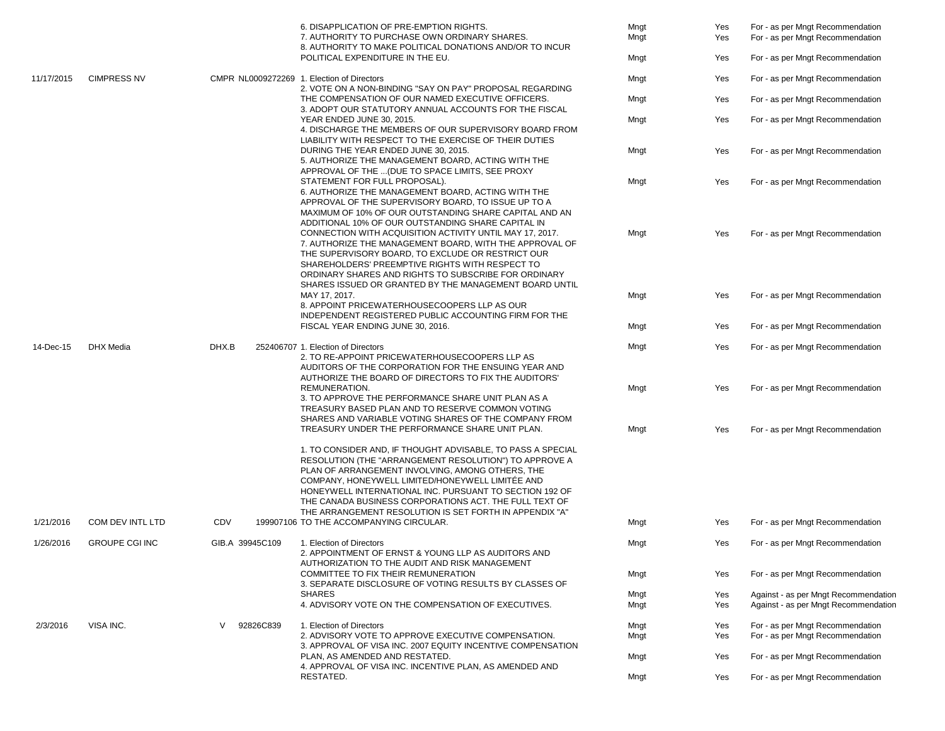|            |                       |                 | 6. DISAPPLICATION OF PRE-EMPTION RIGHTS.<br>7. AUTHORITY TO PURCHASE OWN ORDINARY SHARES.<br>8. AUTHORITY TO MAKE POLITICAL DONATIONS AND/OR TO INCUR                                                                                                                                                                                         | Mngt<br>Mngt | Yes<br>Yes | For - as per Mngt Recommendation<br>For - as per Mngt Recommendation         |
|------------|-----------------------|-----------------|-----------------------------------------------------------------------------------------------------------------------------------------------------------------------------------------------------------------------------------------------------------------------------------------------------------------------------------------------|--------------|------------|------------------------------------------------------------------------------|
|            |                       |                 | POLITICAL EXPENDITURE IN THE EU.                                                                                                                                                                                                                                                                                                              | Mngt         | Yes        | For - as per Mngt Recommendation                                             |
| 11/17/2015 | <b>CIMPRESS NV</b>    |                 | CMPR NL0009272269 1. Election of Directors                                                                                                                                                                                                                                                                                                    | Mngt         | Yes        | For - as per Mngt Recommendation                                             |
|            |                       |                 | 2. VOTE ON A NON-BINDING "SAY ON PAY" PROPOSAL REGARDING<br>THE COMPENSATION OF OUR NAMED EXECUTIVE OFFICERS.<br>3. ADOPT OUR STATUTORY ANNUAL ACCOUNTS FOR THE FISCAL                                                                                                                                                                        | Mngt         | Yes        | For - as per Mngt Recommendation                                             |
|            |                       |                 | YEAR ENDED JUNE 30, 2015.<br>4. DISCHARGE THE MEMBERS OF OUR SUPERVISORY BOARD FROM<br>LIABILITY WITH RESPECT TO THE EXERCISE OF THEIR DUTIES                                                                                                                                                                                                 | Mngt         | Yes        | For - as per Mngt Recommendation                                             |
|            |                       |                 | DURING THE YEAR ENDED JUNE 30, 2015.<br>5. AUTHORIZE THE MANAGEMENT BOARD. ACTING WITH THE<br>APPROVAL OF THE  (DUE TO SPACE LIMITS, SEE PROXY                                                                                                                                                                                                | Mngt         | Yes        | For - as per Mngt Recommendation                                             |
|            |                       |                 | STATEMENT FOR FULL PROPOSAL).<br>6. AUTHORIZE THE MANAGEMENT BOARD, ACTING WITH THE<br>APPROVAL OF THE SUPERVISORY BOARD, TO ISSUE UP TO A<br>MAXIMUM OF 10% OF OUR OUTSTANDING SHARE CAPITAL AND AN<br>ADDITIONAL 10% OF OUR OUTSTANDING SHARE CAPITAL IN                                                                                    | Mngt         | Yes        | For - as per Mngt Recommendation                                             |
|            |                       |                 | CONNECTION WITH ACQUISITION ACTIVITY UNTIL MAY 17, 2017.<br>7. AUTHORIZE THE MANAGEMENT BOARD, WITH THE APPROVAL OF<br>THE SUPERVISORY BOARD, TO EXCLUDE OR RESTRICT OUR<br>SHAREHOLDERS' PREEMPTIVE RIGHTS WITH RESPECT TO<br>ORDINARY SHARES AND RIGHTS TO SUBSCRIBE FOR ORDINARY<br>SHARES ISSUED OR GRANTED BY THE MANAGEMENT BOARD UNTIL | Mngt         | Yes        | For - as per Mngt Recommendation                                             |
|            |                       |                 | MAY 17, 2017.<br>8. APPOINT PRICEWATERHOUSECOOPERS LLP AS OUR<br>INDEPENDENT REGISTERED PUBLIC ACCOUNTING FIRM FOR THE                                                                                                                                                                                                                        | Mngt         | Yes        | For - as per Mngt Recommendation                                             |
|            |                       |                 | FISCAL YEAR ENDING JUNE 30, 2016.                                                                                                                                                                                                                                                                                                             | Mngt         | Yes        | For - as per Mngt Recommendation                                             |
| 14-Dec-15  | <b>DHX</b> Media      | DHX.B           | 252406707 1. Election of Directors<br>2. TO RE-APPOINT PRICEWATERHOUSECOOPERS LLP AS<br>AUDITORS OF THE CORPORATION FOR THE ENSUING YEAR AND                                                                                                                                                                                                  | Mngt         | Yes        | For - as per Mngt Recommendation                                             |
|            |                       |                 | AUTHORIZE THE BOARD OF DIRECTORS TO FIX THE AUDITORS'<br>REMUNERATION.<br>3. TO APPROVE THE PERFORMANCE SHARE UNIT PLAN AS A<br>TREASURY BASED PLAN AND TO RESERVE COMMON VOTING<br>SHARES AND VARIABLE VOTING SHARES OF THE COMPANY FROM                                                                                                     | Mngt         | Yes        | For - as per Mngt Recommendation                                             |
|            |                       |                 | TREASURY UNDER THE PERFORMANCE SHARE UNIT PLAN.<br>1. TO CONSIDER AND, IF THOUGHT ADVISABLE, TO PASS A SPECIAL<br>RESOLUTION (THE "ARRANGEMENT RESOLUTION") TO APPROVE A<br>PLAN OF ARRANGEMENT INVOLVING, AMONG OTHERS, THE<br>COMPANY, HONEYWELL LIMITED/HONEYWELL LIMITÉE AND<br>HONEYWELL INTERNATIONAL INC. PURSUANT TO SECTION 192 OF   | Mngt         | Yes        | For - as per Mngt Recommendation                                             |
|            |                       |                 | THE CANADA BUSINESS CORPORATIONS ACT. THE FULL TEXT OF<br>THE ARRANGEMENT RESOLUTION IS SET FORTH IN APPENDIX "A"                                                                                                                                                                                                                             |              |            |                                                                              |
| 1/21/2016  | COM DEV INTL LTD      | CDV             | 199907106 TO THE ACCOMPANYING CIRCULAR.                                                                                                                                                                                                                                                                                                       | Mngt         | Yes        | For - as per Mngt Recommendation                                             |
| 1/26/2016  | <b>GROUPE CGI INC</b> | GIB.A 39945C109 | 1. Election of Directors<br>2. APPOINTMENT OF ERNST & YOUNG LLP AS AUDITORS AND                                                                                                                                                                                                                                                               | Mngt         | Yes        | For - as per Mngt Recommendation                                             |
|            |                       |                 | AUTHORIZATION TO THE AUDIT AND RISK MANAGEMENT<br>COMMITTEE TO FIX THEIR REMUNERATION<br>3. SEPARATE DISCLOSURE OF VOTING RESULTS BY CLASSES OF                                                                                                                                                                                               | Mngt         | Yes        | For - as per Mngt Recommendation                                             |
|            |                       |                 | <b>SHARES</b><br>4. ADVISORY VOTE ON THE COMPENSATION OF EXECUTIVES.                                                                                                                                                                                                                                                                          | Mngt<br>Mngt | Yes<br>Yes | Against - as per Mngt Recommendation<br>Against - as per Mngt Recommendation |
| 2/3/2016   | VISA INC.             | 92826C839<br>V  | 1. Election of Directors<br>2. ADVISORY VOTE TO APPROVE EXECUTIVE COMPENSATION.                                                                                                                                                                                                                                                               | Mngt<br>Mngt | Yes<br>Yes | For - as per Mngt Recommendation<br>For - as per Mngt Recommendation         |
|            |                       |                 | 3. APPROVAL OF VISA INC. 2007 EQUITY INCENTIVE COMPENSATION<br>PLAN, AS AMENDED AND RESTATED.                                                                                                                                                                                                                                                 | Mngt         | Yes        | For - as per Mngt Recommendation                                             |
|            |                       |                 | 4. APPROVAL OF VISA INC. INCENTIVE PLAN, AS AMENDED AND<br>RESTATED.                                                                                                                                                                                                                                                                          | Mngt         | Yes        | For - as per Mngt Recommendation                                             |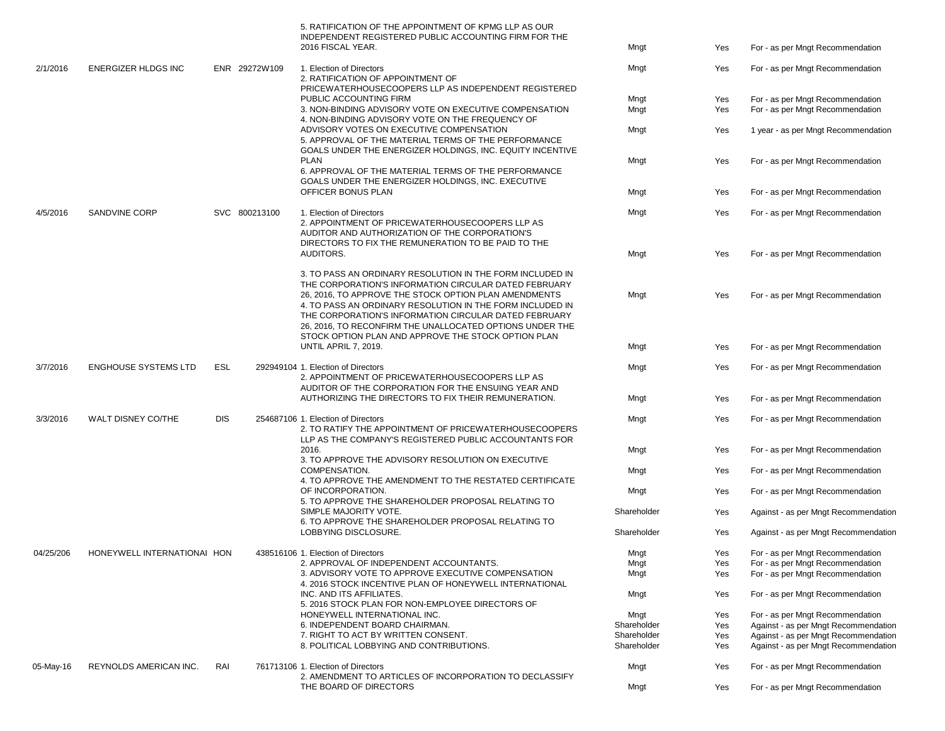|           |                             |            |               | 5. RATIFICATION OF THE APPOINTMENT OF KPMG LLP AS OUR<br><b>INDEPENDENT REGISTERED PUBLIC ACCOUNTING FIRM FOR THE</b><br>2016 FISCAL YEAR.                                                                                                                                                                                                                    | Mngt        | Yes | For - as per Mngt Recommendation     |
|-----------|-----------------------------|------------|---------------|---------------------------------------------------------------------------------------------------------------------------------------------------------------------------------------------------------------------------------------------------------------------------------------------------------------------------------------------------------------|-------------|-----|--------------------------------------|
| 2/1/2016  | <b>ENERGIZER HLDGS INC</b>  |            | ENR 29272W109 | 1. Election of Directors<br>2. RATIFICATION OF APPOINTMENT OF<br>PRICEWATERHOUSECOOPERS LLP AS INDEPENDENT REGISTERED                                                                                                                                                                                                                                         | Mngt        | Yes | For - as per Mngt Recommendation     |
|           |                             |            |               | PUBLIC ACCOUNTING FIRM                                                                                                                                                                                                                                                                                                                                        | Mngt        | Yes | For - as per Mngt Recommendation     |
|           |                             |            |               | 3. NON-BINDING ADVISORY VOTE ON EXECUTIVE COMPENSATION<br>4. NON-BINDING ADVISORY VOTE ON THE FREQUENCY OF                                                                                                                                                                                                                                                    | Mngt        | Yes | For - as per Mngt Recommendation     |
|           |                             |            |               | ADVISORY VOTES ON EXECUTIVE COMPENSATION<br>5. APPROVAL OF THE MATERIAL TERMS OF THE PERFORMANCE<br>GOALS UNDER THE ENERGIZER HOLDINGS, INC. EQUITY INCENTIVE                                                                                                                                                                                                 | Mngt        | Yes | 1 year - as per Mngt Recommendation  |
|           |                             |            |               | <b>PLAN</b><br>6. APPROVAL OF THE MATERIAL TERMS OF THE PERFORMANCE                                                                                                                                                                                                                                                                                           | Mngt        | Yes | For - as per Mngt Recommendation     |
|           |                             |            |               | GOALS UNDER THE ENERGIZER HOLDINGS, INC. EXECUTIVE<br>OFFICER BONUS PLAN                                                                                                                                                                                                                                                                                      | Mngt        | Yes | For - as per Mngt Recommendation     |
| 4/5/2016  | SANDVINE CORP               |            | SVC 800213100 | 1. Election of Directors<br>2. APPOINTMENT OF PRICEWATERHOUSECOOPERS LLP AS<br>AUDITOR AND AUTHORIZATION OF THE CORPORATION'S                                                                                                                                                                                                                                 | Mngt        | Yes | For - as per Mngt Recommendation     |
|           |                             |            |               | DIRECTORS TO FIX THE REMUNERATION TO BE PAID TO THE<br>AUDITORS.                                                                                                                                                                                                                                                                                              | Mngt        | Yes | For - as per Mngt Recommendation     |
|           |                             |            |               | 3. TO PASS AN ORDINARY RESOLUTION IN THE FORM INCLUDED IN<br>THE CORPORATION'S INFORMATION CIRCULAR DATED FEBRUARY<br>26, 2016, TO APPROVE THE STOCK OPTION PLAN AMENDMENTS<br>4. TO PASS AN ORDINARY RESOLUTION IN THE FORM INCLUDED IN<br>THE CORPORATION'S INFORMATION CIRCULAR DATED FEBRUARY<br>26, 2016, TO RECONFIRM THE UNALLOCATED OPTIONS UNDER THE | Mngt        | Yes | For - as per Mngt Recommendation     |
|           |                             |            |               | STOCK OPTION PLAN AND APPROVE THE STOCK OPTION PLAN<br>UNTIL APRIL 7, 2019.                                                                                                                                                                                                                                                                                   | Mngt        | Yes | For - as per Mngt Recommendation     |
| 3/7/2016  | <b>ENGHOUSE SYSTEMS LTD</b> | ESL        |               | 292949104 1. Election of Directors<br>2. APPOINTMENT OF PRICEWATERHOUSECOOPERS LLP AS                                                                                                                                                                                                                                                                         | Mngt        | Yes | For - as per Mngt Recommendation     |
|           |                             |            |               | AUDITOR OF THE CORPORATION FOR THE ENSUING YEAR AND<br>AUTHORIZING THE DIRECTORS TO FIX THEIR REMUNERATION.                                                                                                                                                                                                                                                   | Mngt        | Yes | For - as per Mngt Recommendation     |
| 3/3/2016  | <b>WALT DISNEY CO/THE</b>   | <b>DIS</b> |               | 254687106 1. Election of Directors<br>2. TO RATIFY THE APPOINTMENT OF PRICEWATERHOUSECOOPERS<br>LLP AS THE COMPANY'S REGISTERED PUBLIC ACCOUNTANTS FOR                                                                                                                                                                                                        | Mngt        | Yes | For - as per Mngt Recommendation     |
|           |                             |            |               | 2016.<br>3. TO APPROVE THE ADVISORY RESOLUTION ON EXECUTIVE                                                                                                                                                                                                                                                                                                   | Mngt        | Yes | For - as per Mngt Recommendation     |
|           |                             |            |               | COMPENSATION.<br>4. TO APPROVE THE AMENDMENT TO THE RESTATED CERTIFICATE                                                                                                                                                                                                                                                                                      | Mngt        | Yes | For - as per Mngt Recommendation     |
|           |                             |            |               | OF INCORPORATION.<br>5. TO APPROVE THE SHAREHOLDER PROPOSAL RELATING TO                                                                                                                                                                                                                                                                                       | Mngt        | Yes | For - as per Mngt Recommendation     |
|           |                             |            |               | SIMPLE MAJORITY VOTE.<br>6. TO APPROVE THE SHAREHOLDER PROPOSAL RELATING TO                                                                                                                                                                                                                                                                                   | Shareholder | Yes | Against - as per Mngt Recommendation |
|           |                             |            |               | LOBBYING DISCLOSURE.                                                                                                                                                                                                                                                                                                                                          | Shareholder | Yes | Against - as per Mngt Recommendation |
| 04/25/206 | HONEYWELL INTERNATIONAL HON |            |               | 438516106 1. Election of Directors                                                                                                                                                                                                                                                                                                                            | Mngt        | Yes | For - as per Mngt Recommendation     |
|           |                             |            |               | 2. APPROVAL OF INDEPENDENT ACCOUNTANTS.                                                                                                                                                                                                                                                                                                                       | Mngt        | Yes | For - as per Mngt Recommendation     |
|           |                             |            |               | 3. ADVISORY VOTE TO APPROVE EXECUTIVE COMPENSATION<br>4. 2016 STOCK INCENTIVE PLAN OF HONEYWELL INTERNATIONAL                                                                                                                                                                                                                                                 | Mngt        | Yes | For - as per Mngt Recommendation     |
|           |                             |            |               | INC. AND ITS AFFILIATES.<br>5. 2016 STOCK PLAN FOR NON-EMPLOYEE DIRECTORS OF                                                                                                                                                                                                                                                                                  | Mngt        | Yes | For - as per Mngt Recommendation     |
|           |                             |            |               | HONEYWELL INTERNATIONAL INC.                                                                                                                                                                                                                                                                                                                                  | Mngt        | Yes | For - as per Mngt Recommendation     |
|           |                             |            |               | 6. INDEPENDENT BOARD CHAIRMAN.                                                                                                                                                                                                                                                                                                                                | Shareholder | Yes | Against - as per Mngt Recommendation |
|           |                             |            |               | 7. RIGHT TO ACT BY WRITTEN CONSENT.                                                                                                                                                                                                                                                                                                                           | Shareholder | Yes | Against - as per Mngt Recommendation |
|           |                             |            |               | 8. POLITICAL LOBBYING AND CONTRIBUTIONS.                                                                                                                                                                                                                                                                                                                      | Shareholder | Yes | Against - as per Mngt Recommendation |
| 05-May-16 | REYNOLDS AMERICAN INC.      | RAI        |               | 761713106 1. Election of Directors<br>2. AMENDMENT TO ARTICLES OF INCORPORATION TO DECLASSIFY                                                                                                                                                                                                                                                                 | Mngt        | Yes | For - as per Mngt Recommendation     |
|           |                             |            |               | THE BOARD OF DIRECTORS                                                                                                                                                                                                                                                                                                                                        | Mngt        | Yes | For - as per Mngt Recommendation     |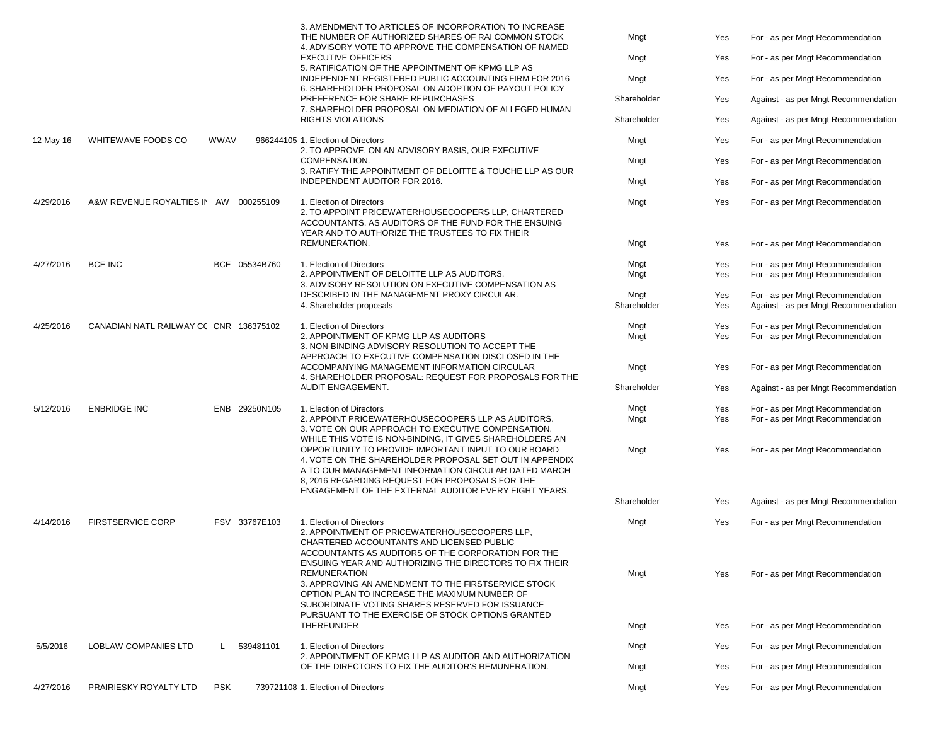|           |                                        |            |                                                                                        | 3. AMENDMENT TO ARTICLES OF INCORPORATION TO INCREASE<br>THE NUMBER OF AUTHORIZED SHARES OF RAI COMMON STOCK                                                                                                                                                                                   | Mngt        | Yes | For - as per Mngt Recommendation     |
|-----------|----------------------------------------|------------|----------------------------------------------------------------------------------------|------------------------------------------------------------------------------------------------------------------------------------------------------------------------------------------------------------------------------------------------------------------------------------------------|-------------|-----|--------------------------------------|
|           |                                        |            |                                                                                        | 4. ADVISORY VOTE TO APPROVE THE COMPENSATION OF NAMED                                                                                                                                                                                                                                          |             |     |                                      |
|           |                                        |            |                                                                                        | <b>EXECUTIVE OFFICERS</b><br>5. RATIFICATION OF THE APPOINTMENT OF KPMG LLP AS                                                                                                                                                                                                                 | Mngt        | Yes | For - as per Mngt Recommendation     |
|           |                                        |            |                                                                                        | INDEPENDENT REGISTERED PUBLIC ACCOUNTING FIRM FOR 2016<br>6. SHAREHOLDER PROPOSAL ON ADOPTION OF PAYOUT POLICY                                                                                                                                                                                 | Mngt        | Yes | For - as per Mngt Recommendation     |
|           |                                        |            |                                                                                        | PREFERENCE FOR SHARE REPURCHASES                                                                                                                                                                                                                                                               | Shareholder | Yes | Against - as per Mngt Recommendation |
|           |                                        |            |                                                                                        | 7. SHAREHOLDER PROPOSAL ON MEDIATION OF ALLEGED HUMAN<br>RIGHTS VIOLATIONS                                                                                                                                                                                                                     | Shareholder | Yes | Against - as per Mngt Recommendation |
| 12-May-16 | WHITEWAVE FOODS CO                     | WWAV       |                                                                                        | 966244105 1. Election of Directors<br>2. TO APPROVE, ON AN ADVISORY BASIS, OUR EXECUTIVE                                                                                                                                                                                                       | Mngt        | Yes | For - as per Mngt Recommendation     |
|           |                                        |            |                                                                                        | COMPENSATION.<br>3. RATIFY THE APPOINTMENT OF DELOITTE & TOUCHE LLP AS OUR                                                                                                                                                                                                                     | Mngt        | Yes | For - as per Mngt Recommendation     |
|           |                                        |            |                                                                                        | INDEPENDENT AUDITOR FOR 2016.                                                                                                                                                                                                                                                                  | Mngt        | Yes | For - as per Mngt Recommendation     |
| 4/29/2016 | A&W REVENUE ROYALTIES IN AW 000255109  |            |                                                                                        | 1. Election of Directors<br>2. TO APPOINT PRICEWATERHOUSECOOPERS LLP, CHARTERED<br>ACCOUNTANTS, AS AUDITORS OF THE FUND FOR THE ENSUING<br>YEAR AND TO AUTHORIZE THE TRUSTEES TO FIX THEIR                                                                                                     | Mngt        | Yes | For - as per Mngt Recommendation     |
|           |                                        |            |                                                                                        | REMUNERATION.                                                                                                                                                                                                                                                                                  | Mngt        | Yes | For - as per Mngt Recommendation     |
| 4/27/2016 | <b>BCE INC</b>                         |            | BCE 05534B760                                                                          | 1. Election of Directors                                                                                                                                                                                                                                                                       | Mngt        | Yes | For - as per Mngt Recommendation     |
|           |                                        |            |                                                                                        | 2. APPOINTMENT OF DELOITTE LLP AS AUDITORS.<br>3. ADVISORY RESOLUTION ON EXECUTIVE COMPENSATION AS                                                                                                                                                                                             | Mngt        | Yes | For - as per Mngt Recommendation     |
|           |                                        |            |                                                                                        | DESCRIBED IN THE MANAGEMENT PROXY CIRCULAR.                                                                                                                                                                                                                                                    | Mngt        | Yes | For - as per Mngt Recommendation     |
|           |                                        |            |                                                                                        | 4. Shareholder proposals                                                                                                                                                                                                                                                                       | Shareholder | Yes | Against - as per Mngt Recommendation |
| 4/25/2016 | CANADIAN NATL RAILWAY CC CNR 136375102 |            |                                                                                        | 1. Election of Directors                                                                                                                                                                                                                                                                       | Mngt        | Yes | For - as per Mngt Recommendation     |
|           |                                        |            |                                                                                        | 2. APPOINTMENT OF KPMG LLP AS AUDITORS<br>3. NON-BINDING ADVISORY RESOLUTION TO ACCEPT THE<br>APPROACH TO EXECUTIVE COMPENSATION DISCLOSED IN THE                                                                                                                                              | Mngt        | Yes | For - as per Mngt Recommendation     |
|           |                                        |            |                                                                                        | ACCOMPANYING MANAGEMENT INFORMATION CIRCULAR<br>4. SHAREHOLDER PROPOSAL: REQUEST FOR PROPOSALS FOR THE                                                                                                                                                                                         | Mngt        | Yes | For - as per Mngt Recommendation     |
|           |                                        |            |                                                                                        | AUDIT ENGAGEMENT.                                                                                                                                                                                                                                                                              | Shareholder | Yes | Against - as per Mngt Recommendation |
| 5/12/2016 | <b>ENBRIDGE INC</b>                    |            | ENB 29250N105                                                                          | 1. Election of Directors                                                                                                                                                                                                                                                                       | Mngt        | Yes | For - as per Mngt Recommendation     |
|           |                                        |            |                                                                                        | 2. APPOINT PRICEWATERHOUSECOOPERS LLP AS AUDITORS.<br>3. VOTE ON OUR APPROACH TO EXECUTIVE COMPENSATION.<br>WHILE THIS VOTE IS NON-BINDING, IT GIVES SHAREHOLDERS AN                                                                                                                           | Mngt        | Yes | For - as per Mngt Recommendation     |
|           |                                        |            |                                                                                        | OPPORTUNITY TO PROVIDE IMPORTANT INPUT TO OUR BOARD<br>4. VOTE ON THE SHAREHOLDER PROPOSAL SET OUT IN APPENDIX<br>A TO OUR MANAGEMENT INFORMATION CIRCULAR DATED MARCH<br>8, 2016 REGARDING REQUEST FOR PROPOSALS FOR THE<br>ENGAGEMENT OF THE EXTERNAL AUDITOR EVERY EIGHT YEARS.             | Mngt        | Yes | For - as per Mngt Recommendation     |
|           |                                        |            |                                                                                        |                                                                                                                                                                                                                                                                                                | Shareholder | Yes | Against - as per Mngt Recommendation |
| 4/14/2016 | <b>FIRSTSERVICE CORP</b>               |            | FSV 33767E103<br>1. Election of Directors<br>CHARTERED ACCOUNTANTS AND LICENSED PUBLIC | 2. APPOINTMENT OF PRICEWATERHOUSECOOPERS LLP.<br>ACCOUNTANTS AS AUDITORS OF THE CORPORATION FOR THE                                                                                                                                                                                            | Mngt        | Yes | For - as per Mngt Recommendation     |
|           |                                        |            |                                                                                        | ENSUING YEAR AND AUTHORIZING THE DIRECTORS TO FIX THEIR<br><b>REMUNERATION</b><br>3. APPROVING AN AMENDMENT TO THE FIRSTSERVICE STOCK<br>OPTION PLAN TO INCREASE THE MAXIMUM NUMBER OF<br>SUBORDINATE VOTING SHARES RESERVED FOR ISSUANCE<br>PURSUANT TO THE EXERCISE OF STOCK OPTIONS GRANTED | Mngt        | Yes | For - as per Mngt Recommendation     |
|           |                                        |            |                                                                                        | THEREUNDER                                                                                                                                                                                                                                                                                     | Mngt        | Yes | For - as per Mngt Recommendation     |
| 5/5/2016  | <b>LOBLAW COMPANIES LTD</b>            |            | 539481101                                                                              | 1. Election of Directors                                                                                                                                                                                                                                                                       | Mngt        | Yes | For - as per Mngt Recommendation     |
|           |                                        |            |                                                                                        | 2. APPOINTMENT OF KPMG LLP AS AUDITOR AND AUTHORIZATION<br>OF THE DIRECTORS TO FIX THE AUDITOR'S REMUNERATION.                                                                                                                                                                                 | Mngt        | Yes | For - as per Mngt Recommendation     |
| 4/27/2016 | PRAIRIESKY ROYALTY LTD                 | <b>PSK</b> |                                                                                        | 739721108 1. Election of Directors                                                                                                                                                                                                                                                             | Mngt        | Yes | For - as per Mngt Recommendation     |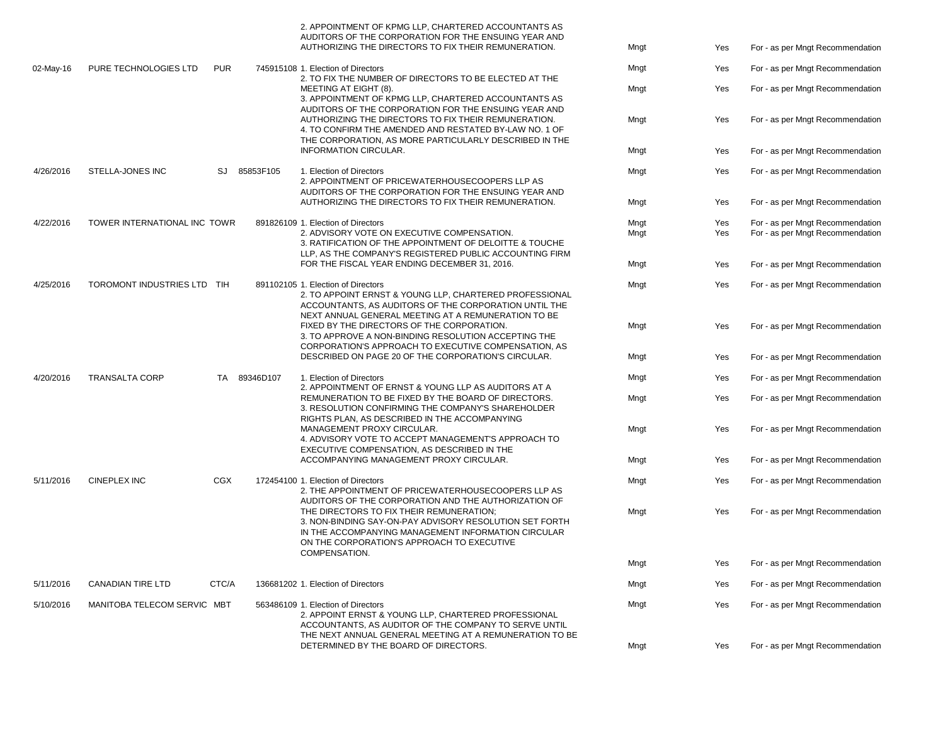|           |                              |            |              | 2. APPOINTMENT OF KPMG LLP, CHARTERED ACCOUNTANTS AS<br>AUDITORS OF THE CORPORATION FOR THE ENSUING YEAR AND<br>AUTHORIZING THE DIRECTORS TO FIX THEIR REMUNERATION.                                                                           | Mngt                                                                                                                                                                                                           | Yes        | For - as per Mngt Recommendation                                     |                                  |
|-----------|------------------------------|------------|--------------|------------------------------------------------------------------------------------------------------------------------------------------------------------------------------------------------------------------------------------------------|----------------------------------------------------------------------------------------------------------------------------------------------------------------------------------------------------------------|------------|----------------------------------------------------------------------|----------------------------------|
| 02-May-16 | PURE TECHNOLOGIES LTD        | <b>PUR</b> |              | 745915108 1. Election of Directors                                                                                                                                                                                                             | Mngt                                                                                                                                                                                                           | Yes        | For - as per Mngt Recommendation                                     |                                  |
|           |                              |            |              | 2. TO FIX THE NUMBER OF DIRECTORS TO BE ELECTED AT THE<br>MEETING AT EIGHT (8).<br>3. APPOINTMENT OF KPMG LLP, CHARTERED ACCOUNTANTS AS<br>AUDITORS OF THE CORPORATION FOR THE ENSUING YEAR AND                                                | Mngt                                                                                                                                                                                                           | Yes        | For - as per Mngt Recommendation                                     |                                  |
|           |                              |            |              | AUTHORIZING THE DIRECTORS TO FIX THEIR REMUNERATION.<br>4. TO CONFIRM THE AMENDED AND RESTATED BY-LAW NO. 1 OF<br>THE CORPORATION, AS MORE PARTICULARLY DESCRIBED IN THE                                                                       | Mngt                                                                                                                                                                                                           | Yes        | For - as per Mngt Recommendation                                     |                                  |
|           |                              |            |              | INFORMATION CIRCULAR.                                                                                                                                                                                                                          | Mngt                                                                                                                                                                                                           | Yes        | For - as per Mngt Recommendation                                     |                                  |
| 4/26/2016 | STELLA-JONES INC             |            | SJ 85853F105 | 1. Election of Directors<br>2. APPOINTMENT OF PRICEWATERHOUSECOOPERS LLP AS<br>AUDITORS OF THE CORPORATION FOR THE ENSUING YEAR AND<br>AUTHORIZING THE DIRECTORS TO FIX THEIR REMUNERATION.                                                    | Mngt                                                                                                                                                                                                           | Yes        | For - as per Mngt Recommendation                                     |                                  |
|           |                              |            |              |                                                                                                                                                                                                                                                | Mngt                                                                                                                                                                                                           | Yes        | For - as per Mngt Recommendation                                     |                                  |
| 4/22/2016 | TOWER INTERNATIONAL INC TOWR |            |              | 891826109 1. Election of Directors<br>2. ADVISORY VOTE ON EXECUTIVE COMPENSATION.                                                                                                                                                              | Mngt<br>Mngt                                                                                                                                                                                                   | Yes<br>Yes | For - as per Mngt Recommendation<br>For - as per Mngt Recommendation |                                  |
|           |                              |            |              | 3. RATIFICATION OF THE APPOINTMENT OF DELOITTE & TOUCHE<br>LLP, AS THE COMPANY'S REGISTERED PUBLIC ACCOUNTING FIRM                                                                                                                             |                                                                                                                                                                                                                |            |                                                                      |                                  |
|           |                              |            |              | FOR THE FISCAL YEAR ENDING DECEMBER 31, 2016.                                                                                                                                                                                                  | Mngt                                                                                                                                                                                                           | Yes        | For - as per Mngt Recommendation                                     |                                  |
| 4/25/2016 | TOROMONT INDUSTRIES LTD TIH  |            |              | 891102105 1. Election of Directors<br>2. TO APPOINT ERNST & YOUNG LLP, CHARTERED PROFESSIONAL<br>ACCOUNTANTS, AS AUDITORS OF THE CORPORATION UNTIL THE<br>NEXT ANNUAL GENERAL MEETING AT A REMUNERATION TO BE                                  | Mngt                                                                                                                                                                                                           | Yes        | For - as per Mngt Recommendation                                     |                                  |
|           |                              |            |              | FIXED BY THE DIRECTORS OF THE CORPORATION.<br>3. TO APPROVE A NON-BINDING RESOLUTION ACCEPTING THE<br>CORPORATION'S APPROACH TO EXECUTIVE COMPENSATION, AS                                                                                     | Mngt                                                                                                                                                                                                           | Yes        | For - as per Mngt Recommendation                                     |                                  |
|           |                              |            |              | DESCRIBED ON PAGE 20 OF THE CORPORATION'S CIRCULAR.                                                                                                                                                                                            | Mngt                                                                                                                                                                                                           | Yes        | For - as per Mngt Recommendation                                     |                                  |
| 4/20/2016 | <b>TRANSALTA CORP</b>        | TA         | 89346D107    | 1. Election of Directors<br>2. APPOINTMENT OF ERNST & YOUNG LLP AS AUDITORS AT A<br>REMUNERATION TO BE FIXED BY THE BOARD OF DIRECTORS.<br>3. RESOLUTION CONFIRMING THE COMPANY'S SHAREHOLDER<br>RIGHTS PLAN, AS DESCRIBED IN THE ACCOMPANYING | Mngt                                                                                                                                                                                                           | Yes        | For - as per Mngt Recommendation                                     |                                  |
|           |                              |            |              |                                                                                                                                                                                                                                                | Mngt                                                                                                                                                                                                           | Yes        | For - as per Mngt Recommendation                                     |                                  |
|           |                              |            |              | MANAGEMENT PROXY CIRCULAR.<br>4. ADVISORY VOTE TO ACCEPT MANAGEMENT'S APPROACH TO<br>EXECUTIVE COMPENSATION, AS DESCRIBED IN THE                                                                                                               | Mngt                                                                                                                                                                                                           | Yes        | For - as per Mngt Recommendation                                     |                                  |
|           |                              |            |              | ACCOMPANYING MANAGEMENT PROXY CIRCULAR.                                                                                                                                                                                                        | Mngt                                                                                                                                                                                                           | Yes        | For - as per Mngt Recommendation                                     |                                  |
| 5/11/2016 | <b>CINEPLEX INC</b>          | <b>CGX</b> |              | 172454100 1. Election of Directors<br>2. THE APPOINTMENT OF PRICEWATERHOUSECOOPERS LLP AS<br>AUDITORS OF THE CORPORATION AND THE AUTHORIZATION OF                                                                                              | Mngt                                                                                                                                                                                                           | Yes        | For - as per Mngt Recommendation                                     |                                  |
|           |                              |            |              | THE DIRECTORS TO FIX THEIR REMUNERATION:<br>3. NON-BINDING SAY-ON-PAY ADVISORY RESOLUTION SET FORTH<br>IN THE ACCOMPANYING MANAGEMENT INFORMATION CIRCULAR<br>ON THE CORPORATION'S APPROACH TO EXECUTIVE<br>COMPENSATION.                      | Mngt                                                                                                                                                                                                           | Yes        | For - as per Mngt Recommendation                                     |                                  |
|           |                              |            |              |                                                                                                                                                                                                                                                | Mngt                                                                                                                                                                                                           | Yes        | For - as per Mngt Recommendation                                     |                                  |
| 5/11/2016 | <b>CANADIAN TIRE LTD</b>     | CTC/A      |              | 136681202 1. Election of Directors                                                                                                                                                                                                             | Mngt                                                                                                                                                                                                           | Yes        | For - as per Mngt Recommendation                                     |                                  |
| 5/10/2016 | MANITOBA TELECOM SERVIC MBT  |            |              |                                                                                                                                                                                                                                                | 563486109 1. Election of Directors<br>2. APPOINT ERNST & YOUNG LLP, CHARTERED PROFESSIONAL<br>ACCOUNTANTS, AS AUDITOR OF THE COMPANY TO SERVE UNTIL<br>THE NEXT ANNUAL GENERAL MEETING AT A REMUNERATION TO BE | Mngt       | Yes                                                                  | For - as per Mngt Recommendation |
|           |                              |            |              | DETERMINED BY THE BOARD OF DIRECTORS.                                                                                                                                                                                                          | Mngt                                                                                                                                                                                                           | Yes        | For - as per Mngt Recommendation                                     |                                  |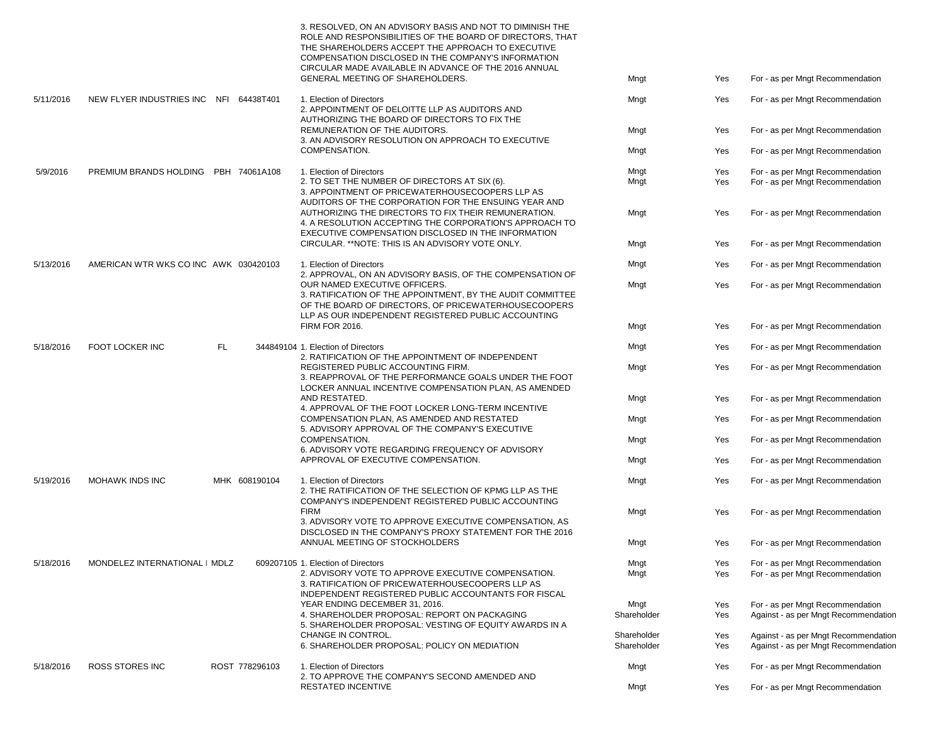|           |                                        |     |                                                                                                  | 3. RESOLVED, ON AN ADVISORY BASIS AND NOT TO DIMINISH THE<br>ROLE AND RESPONSIBILITIES OF THE BOARD OF DIRECTORS. THAT<br>THE SHAREHOLDERS ACCEPT THE APPROACH TO EXECUTIVE<br>COMPENSATION DISCLOSED IN THE COMPANY'S INFORMATION<br>CIRCULAR MADE AVAILABLE IN ADVANCE OF THE 2016 ANNUAL<br>GENERAL MEETING OF SHAREHOLDERS. | Mngt                       |                                  |                                                                              |
|-----------|----------------------------------------|-----|--------------------------------------------------------------------------------------------------|---------------------------------------------------------------------------------------------------------------------------------------------------------------------------------------------------------------------------------------------------------------------------------------------------------------------------------|----------------------------|----------------------------------|------------------------------------------------------------------------------|
|           |                                        |     |                                                                                                  |                                                                                                                                                                                                                                                                                                                                 |                            | Yes                              | For - as per Mngt Recommendation                                             |
| 5/11/2016 | NEW FLYER INDUSTRIES INC NFI 64438T401 |     |                                                                                                  | 1. Election of Directors<br>2. APPOINTMENT OF DELOITTE LLP AS AUDITORS AND<br>AUTHORIZING THE BOARD OF DIRECTORS TO FIX THE                                                                                                                                                                                                     | Mngt                       | Yes                              | For - as per Mngt Recommendation                                             |
|           |                                        |     |                                                                                                  | REMUNERATION OF THE AUDITORS.                                                                                                                                                                                                                                                                                                   | Mngt                       | Yes                              | For - as per Mngt Recommendation                                             |
|           |                                        |     |                                                                                                  | 3. AN ADVISORY RESOLUTION ON APPROACH TO EXECUTIVE                                                                                                                                                                                                                                                                              |                            |                                  |                                                                              |
|           |                                        |     |                                                                                                  | COMPENSATION.                                                                                                                                                                                                                                                                                                                   | Mngt                       | Yes                              | For - as per Mngt Recommendation                                             |
| 5/9/2016  | PREMIUM BRANDS HOLDING PBH 74061A108   |     |                                                                                                  | 1. Election of Directors                                                                                                                                                                                                                                                                                                        | Mngt                       | Yes                              |                                                                              |
|           |                                        |     |                                                                                                  | 2. TO SET THE NUMBER OF DIRECTORS AT SIX (6).                                                                                                                                                                                                                                                                                   | Mngt                       | Yes                              | For - as per Mngt Recommendation<br>For - as per Mngt Recommendation         |
|           |                                        |     |                                                                                                  | 3. APPOINTMENT OF PRICEWATERHOUSECOOPERS LLP AS                                                                                                                                                                                                                                                                                 |                            |                                  |                                                                              |
|           |                                        |     |                                                                                                  | AUDITORS OF THE CORPORATION FOR THE ENSUING YEAR AND<br>AUTHORIZING THE DIRECTORS TO FIX THEIR REMUNERATION.<br>4. A RESOLUTION ACCEPTING THE CORPORATION'S APPROACH TO<br>EXECUTIVE COMPENSATION DISCLOSED IN THE INFORMATION                                                                                                  | Mngt                       | Yes                              | For - as per Mngt Recommendation                                             |
|           |                                        |     |                                                                                                  | CIRCULAR. ** NOTE: THIS IS AN ADVISORY VOTE ONLY.                                                                                                                                                                                                                                                                               | Mngt                       | Yes                              | For - as per Mngt Recommendation                                             |
|           |                                        |     |                                                                                                  |                                                                                                                                                                                                                                                                                                                                 |                            |                                  |                                                                              |
| 5/13/2016 | AMERICAN WTR WKS CO INC AWK 030420103  |     |                                                                                                  | 1. Election of Directors<br>2. APPROVAL, ON AN ADVISORY BASIS, OF THE COMPENSATION OF                                                                                                                                                                                                                                           | Mngt                       | Yes                              | For - as per Mngt Recommendation                                             |
|           |                                        |     |                                                                                                  | OUR NAMED EXECUTIVE OFFICERS.                                                                                                                                                                                                                                                                                                   | Mngt                       | Yes                              | For - as per Mngt Recommendation                                             |
|           |                                        |     |                                                                                                  | 3. RATIFICATION OF THE APPOINTMENT, BY THE AUDIT COMMITTEE<br>OF THE BOARD OF DIRECTORS, OF PRICEWATERHOUSECOOPERS<br>LLP AS OUR INDEPENDENT REGISTERED PUBLIC ACCOUNTING                                                                                                                                                       |                            |                                  |                                                                              |
|           |                                        |     |                                                                                                  | <b>FIRM FOR 2016.</b>                                                                                                                                                                                                                                                                                                           | Mngt                       | Yes                              | For - as per Mngt Recommendation                                             |
| 5/18/2016 | <b>FOOT LOCKER INC</b>                 | FL. |                                                                                                  | 344849104 1. Election of Directors<br>2. RATIFICATION OF THE APPOINTMENT OF INDEPENDENT                                                                                                                                                                                                                                         | Mngt                       | Yes                              | For - as per Mngt Recommendation                                             |
|           |                                        |     |                                                                                                  | REGISTERED PUBLIC ACCOUNTING FIRM.<br>3. REAPPROVAL OF THE PERFORMANCE GOALS UNDER THE FOOT<br>LOCKER ANNUAL INCENTIVE COMPENSATION PLAN, AS AMENDED                                                                                                                                                                            | Mngt                       | Yes                              | For - as per Mngt Recommendation                                             |
|           |                                        |     |                                                                                                  | AND RESTATED.                                                                                                                                                                                                                                                                                                                   | Mngt                       | Yes                              | For - as per Mngt Recommendation                                             |
|           |                                        |     | 4. APPROVAL OF THE FOOT LOCKER LONG-TERM INCENTIVE<br>COMPENSATION PLAN, AS AMENDED AND RESTATED | Mngt                                                                                                                                                                                                                                                                                                                            | Yes                        | For - as per Mngt Recommendation |                                                                              |
|           |                                        |     |                                                                                                  | 5. ADVISORY APPROVAL OF THE COMPANY'S EXECUTIVE<br>COMPENSATION.                                                                                                                                                                                                                                                                | Mngt                       | Yes                              | For - as per Mngt Recommendation                                             |
|           |                                        |     |                                                                                                  | 6. ADVISORY VOTE REGARDING FREQUENCY OF ADVISORY<br>APPROVAL OF EXECUTIVE COMPENSATION.                                                                                                                                                                                                                                         | Mngt                       | Yes                              | For - as per Mngt Recommendation                                             |
|           |                                        |     |                                                                                                  |                                                                                                                                                                                                                                                                                                                                 |                            |                                  |                                                                              |
| 5/19/2016 | MOHAWK INDS INC                        |     | MHK 608190104                                                                                    | 1. Election of Directors<br>2. THE RATIFICATION OF THE SELECTION OF KPMG LLP AS THE                                                                                                                                                                                                                                             | Mngt                       | Yes                              | For - as per Mngt Recommendation                                             |
|           |                                        |     |                                                                                                  | COMPANY'S INDEPENDENT REGISTERED PUBLIC ACCOUNTING                                                                                                                                                                                                                                                                              |                            |                                  |                                                                              |
|           |                                        |     |                                                                                                  | <b>FIRM</b><br>3. ADVISORY VOTE TO APPROVE EXECUTIVE COMPENSATION, AS                                                                                                                                                                                                                                                           | Mngt                       | Yes                              | For - as per Mngt Recommendation                                             |
|           |                                        |     |                                                                                                  | DISCLOSED IN THE COMPANY'S PROXY STATEMENT FOR THE 2016                                                                                                                                                                                                                                                                         |                            |                                  |                                                                              |
|           |                                        |     |                                                                                                  | ANNUAL MEETING OF STOCKHOLDERS                                                                                                                                                                                                                                                                                                  | Mngt                       | Yes                              | For - as per Mngt Recommendation                                             |
| 5/18/2016 | MONDELEZ INTERNATIONAL   MDLZ          |     |                                                                                                  | 609207105 1. Election of Directors                                                                                                                                                                                                                                                                                              | Mngt                       | Yes                              | For - as per Mngt Recommendation                                             |
|           |                                        |     |                                                                                                  | 2. ADVISORY VOTE TO APPROVE EXECUTIVE COMPENSATION.                                                                                                                                                                                                                                                                             | Mngt                       | Yes                              | For - as per Mngt Recommendation                                             |
|           |                                        |     |                                                                                                  | 3. RATIFICATION OF PRICEWATERHOUSECOOPERS LLP AS                                                                                                                                                                                                                                                                                |                            |                                  |                                                                              |
|           |                                        |     |                                                                                                  | INDEPENDENT REGISTERED PUBLIC ACCOUNTANTS FOR FISCAL                                                                                                                                                                                                                                                                            |                            |                                  |                                                                              |
|           |                                        |     |                                                                                                  | YEAR ENDING DECEMBER 31, 2016.                                                                                                                                                                                                                                                                                                  | Mngt                       | Yes                              | For - as per Mngt Recommendation                                             |
|           |                                        |     |                                                                                                  | 4. SHAREHOLDER PROPOSAL: REPORT ON PACKAGING                                                                                                                                                                                                                                                                                    | Shareholder                | Yes                              | Against - as per Mngt Recommendation                                         |
|           |                                        |     |                                                                                                  | 5. SHAREHOLDER PROPOSAL: VESTING OF EQUITY AWARDS IN A                                                                                                                                                                                                                                                                          |                            |                                  |                                                                              |
|           |                                        |     |                                                                                                  | CHANGE IN CONTROL.<br>6. SHAREHOLDER PROPOSAL: POLICY ON MEDIATION                                                                                                                                                                                                                                                              | Shareholder<br>Shareholder | Yes<br>Yes                       | Against - as per Mngt Recommendation<br>Against - as per Mngt Recommendation |
|           |                                        |     |                                                                                                  |                                                                                                                                                                                                                                                                                                                                 |                            |                                  |                                                                              |
| 5/18/2016 | <b>ROSS STORES INC</b>                 |     | ROST 778296103                                                                                   | 1. Election of Directors<br>2. TO APPROVE THE COMPANY'S SECOND AMENDED AND                                                                                                                                                                                                                                                      | Mngt                       | Yes                              | For - as per Mngt Recommendation                                             |
|           |                                        |     |                                                                                                  | <b>RESTATED INCENTIVE</b>                                                                                                                                                                                                                                                                                                       | Mngt                       | Yes                              | For - as per Mngt Recommendation                                             |
|           |                                        |     |                                                                                                  |                                                                                                                                                                                                                                                                                                                                 |                            |                                  |                                                                              |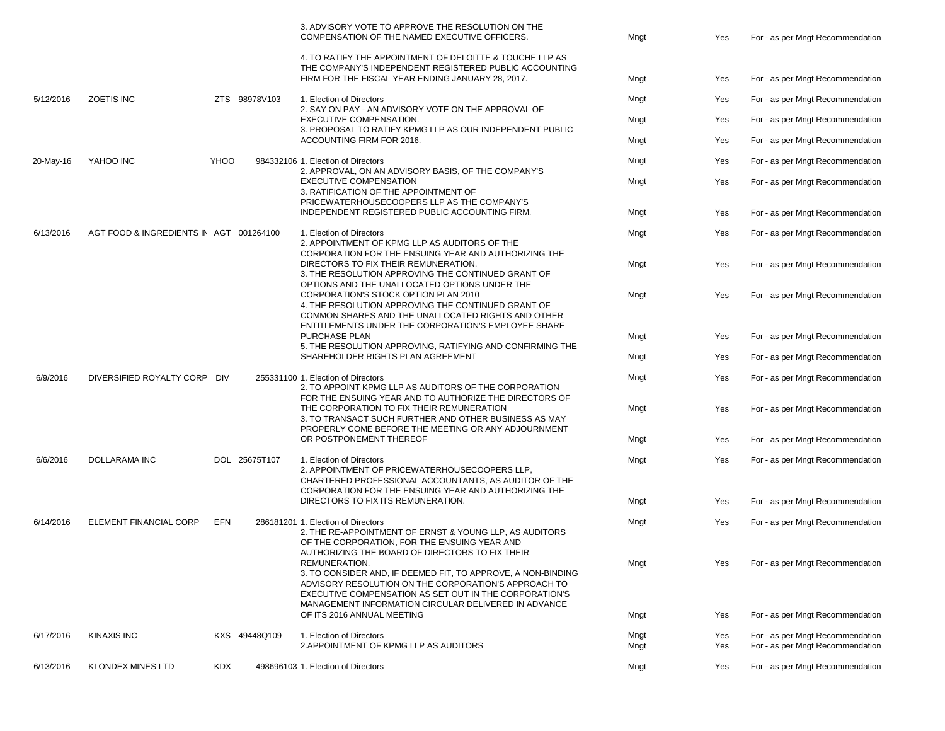|           |                                         |            |               | 3. ADVISORY VOTE TO APPROVE THE RESOLUTION ON THE<br>COMPENSATION OF THE NAMED EXECUTIVE OFFICERS.                                                                                                                                                                                                                                                                                                       | Mngt         | Yes        | For - as per Mngt Recommendation                                     |
|-----------|-----------------------------------------|------------|---------------|----------------------------------------------------------------------------------------------------------------------------------------------------------------------------------------------------------------------------------------------------------------------------------------------------------------------------------------------------------------------------------------------------------|--------------|------------|----------------------------------------------------------------------|
|           |                                         |            |               | 4. TO RATIFY THE APPOINTMENT OF DELOITTE & TOUCHE LLP AS<br>THE COMPANY'S INDEPENDENT REGISTERED PUBLIC ACCOUNTING<br>FIRM FOR THE FISCAL YEAR ENDING JANUARY 28, 2017.                                                                                                                                                                                                                                  | Mngt         | Yes        | For - as per Mngt Recommendation                                     |
| 5/12/2016 | ZOETIS INC                              |            | ZTS 98978V103 | 1. Election of Directors<br>2. SAY ON PAY - AN ADVISORY VOTE ON THE APPROVAL OF                                                                                                                                                                                                                                                                                                                          | Mngt         | Yes        | For - as per Mngt Recommendation                                     |
|           |                                         |            |               | EXECUTIVE COMPENSATION.                                                                                                                                                                                                                                                                                                                                                                                  | Mngt         | Yes        | For - as per Mngt Recommendation                                     |
|           |                                         |            |               | 3. PROPOSAL TO RATIFY KPMG LLP AS OUR INDEPENDENT PUBLIC<br>ACCOUNTING FIRM FOR 2016.                                                                                                                                                                                                                                                                                                                    | Mngt         | Yes        | For - as per Mngt Recommendation                                     |
| 20-May-16 | YAHOO INC                               | YHOO       |               | 984332106 1. Election of Directors                                                                                                                                                                                                                                                                                                                                                                       | Mngt         | Yes        | For - as per Mngt Recommendation                                     |
|           |                                         |            |               | 2. APPROVAL, ON AN ADVISORY BASIS, OF THE COMPANY'S<br><b>EXECUTIVE COMPENSATION</b><br>3. RATIFICATION OF THE APPOINTMENT OF                                                                                                                                                                                                                                                                            | Mngt         | Yes        | For - as per Mngt Recommendation                                     |
|           |                                         |            |               | PRICEWATERHOUSECOOPERS LLP AS THE COMPANY'S<br>INDEPENDENT REGISTERED PUBLIC ACCOUNTING FIRM.                                                                                                                                                                                                                                                                                                            | Mngt         | Yes        | For - as per Mngt Recommendation                                     |
| 6/13/2016 | AGT FOOD & INGREDIENTS IN AGT 001264100 |            |               | 1. Election of Directors                                                                                                                                                                                                                                                                                                                                                                                 | Mngt         | Yes        | For - as per Mngt Recommendation                                     |
|           |                                         |            |               | 2. APPOINTMENT OF KPMG LLP AS AUDITORS OF THE<br>CORPORATION FOR THE ENSUING YEAR AND AUTHORIZING THE<br>DIRECTORS TO FIX THEIR REMUNERATION.<br>3. THE RESOLUTION APPROVING THE CONTINUED GRANT OF<br>OPTIONS AND THE UNALLOCATED OPTIONS UNDER THE<br>CORPORATION'S STOCK OPTION PLAN 2010<br>4. THE RESOLUTION APPROVING THE CONTINUED GRANT OF<br>COMMON SHARES AND THE UNALLOCATED RIGHTS AND OTHER | Mngt         | Yes        | For - as per Mngt Recommendation                                     |
|           |                                         |            |               |                                                                                                                                                                                                                                                                                                                                                                                                          | Mngt         | Yes        | For - as per Mngt Recommendation                                     |
|           |                                         |            |               | ENTITLEMENTS UNDER THE CORPORATION'S EMPLOYEE SHARE<br>PURCHASE PLAN                                                                                                                                                                                                                                                                                                                                     | Mngt         | Yes        | For - as per Mngt Recommendation                                     |
|           |                                         |            |               | 5. THE RESOLUTION APPROVING, RATIFYING AND CONFIRMING THE<br>SHAREHOLDER RIGHTS PLAN AGREEMENT                                                                                                                                                                                                                                                                                                           | Mngt         | Yes        | For - as per Mngt Recommendation                                     |
| 6/9/2016  | DIVERSIFIED ROYALTY CORP DIV            |            |               | 255331100 1. Election of Directors<br>2. TO APPOINT KPMG LLP AS AUDITORS OF THE CORPORATION                                                                                                                                                                                                                                                                                                              | Mngt         | Yes        | For - as per Mngt Recommendation                                     |
|           |                                         |            |               | FOR THE ENSUING YEAR AND TO AUTHORIZE THE DIRECTORS OF<br>THE CORPORATION TO FIX THEIR REMUNERATION<br>3. TO TRANSACT SUCH FURTHER AND OTHER BUSINESS AS MAY                                                                                                                                                                                                                                             | Mngt         | Yes        | For - as per Mngt Recommendation                                     |
|           |                                         |            |               | PROPERLY COME BEFORE THE MEETING OR ANY ADJOURNMENT<br>OR POSTPONEMENT THEREOF                                                                                                                                                                                                                                                                                                                           | Mngt         | Yes        | For - as per Mngt Recommendation                                     |
| 6/6/2016  | DOLLARAMA INC                           |            | DOL 25675T107 | 1. Election of Directors<br>2. APPOINTMENT OF PRICEWATERHOUSECOOPERS LLP,<br>CHARTERED PROFESSIONAL ACCOUNTANTS, AS AUDITOR OF THE                                                                                                                                                                                                                                                                       | Mngt         | Yes        | For - as per Mngt Recommendation                                     |
|           |                                         |            |               | CORPORATION FOR THE ENSUING YEAR AND AUTHORIZING THE<br>DIRECTORS TO FIX ITS REMUNERATION.                                                                                                                                                                                                                                                                                                               | Mngt         | Yes        | For - as per Mngt Recommendation                                     |
| 6/14/2016 | <b>ELEMENT FINANCIAL CORP</b>           | EFN        |               | 286181201 1. Election of Directors<br>2. THE RE-APPOINTMENT OF ERNST & YOUNG LLP, AS AUDITORS                                                                                                                                                                                                                                                                                                            | Mngt         | Yes        | For - as per Mngt Recommendation                                     |
|           |                                         |            |               | OF THE CORPORATION, FOR THE ENSUING YEAR AND<br>AUTHORIZING THE BOARD OF DIRECTORS TO FIX THEIR<br>REMUNERATION.<br>3. TO CONSIDER AND, IF DEEMED FIT, TO APPROVE, A NON-BINDING<br>ADVISORY RESOLUTION ON THE CORPORATION'S APPROACH TO<br>EXECUTIVE COMPENSATION AS SET OUT IN THE CORPORATION'S<br>MANAGEMENT INFORMATION CIRCULAR DELIVERED IN ADVANCE                                               | Mngt         | Yes        | For - as per Mngt Recommendation                                     |
|           |                                         |            |               | OF ITS 2016 ANNUAL MEETING                                                                                                                                                                                                                                                                                                                                                                               | Mngt         | Yes        | For - as per Mngt Recommendation                                     |
| 6/17/2016 | <b>KINAXIS INC</b>                      |            | KXS 49448Q109 | 1. Election of Directors<br>2. APPOINTMENT OF KPMG LLP AS AUDITORS                                                                                                                                                                                                                                                                                                                                       | Mngt<br>Mngt | Yes<br>Yes | For - as per Mngt Recommendation<br>For - as per Mngt Recommendation |
| 6/13/2016 | <b>KLONDEX MINES LTD</b>                | <b>KDX</b> |               | 498696103 1. Election of Directors                                                                                                                                                                                                                                                                                                                                                                       | Mngt         | Yes        | For - as per Mngt Recommendation                                     |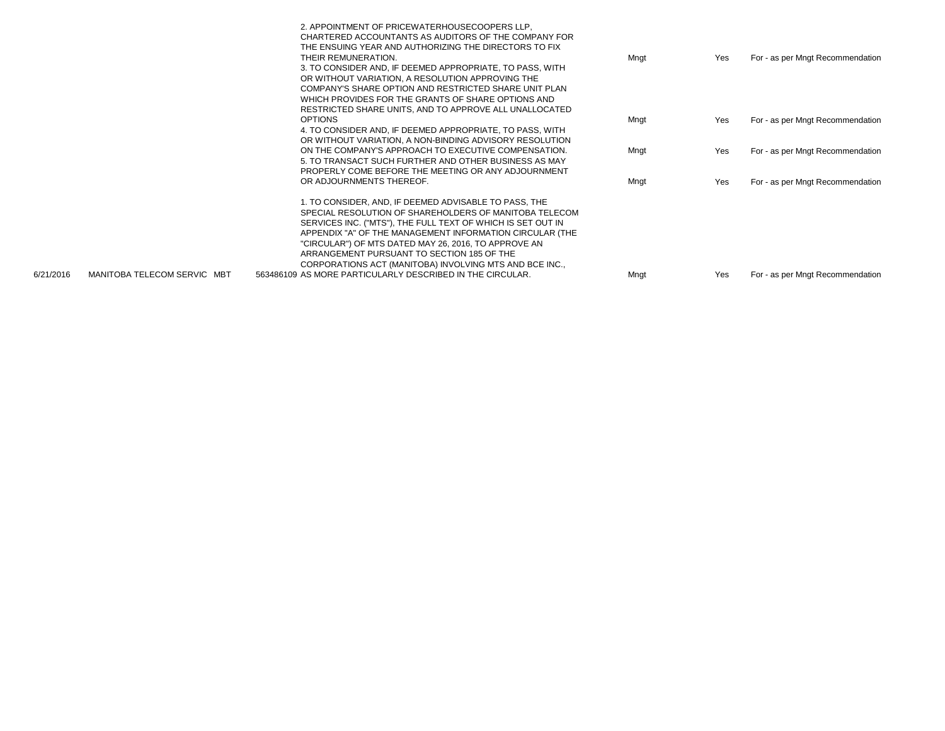|           |                             | 2. APPOINTMENT OF PRICEWATERHOUSECOOPERS LLP.<br>CHARTERED ACCOUNTANTS AS AUDITORS OF THE COMPANY FOR<br>THE ENSUING YEAR AND AUTHORIZING THE DIRECTORS TO FIX<br>THEIR REMUNERATION.<br>3. TO CONSIDER AND, IF DEEMED APPROPRIATE, TO PASS, WITH<br>OR WITHOUT VARIATION, A RESOLUTION APPROVING THE<br>COMPANY'S SHARE OPTION AND RESTRICTED SHARE UNIT PLAN<br>WHICH PROVIDES FOR THE GRANTS OF SHARE OPTIONS AND<br>RESTRICTED SHARE UNITS, AND TO APPROVE ALL UNALLOCATED | Mngt | Yes | For - as per Mngt Recommendation |
|-----------|-----------------------------|--------------------------------------------------------------------------------------------------------------------------------------------------------------------------------------------------------------------------------------------------------------------------------------------------------------------------------------------------------------------------------------------------------------------------------------------------------------------------------|------|-----|----------------------------------|
|           |                             | <b>OPTIONS</b><br>4. TO CONSIDER AND, IF DEEMED APPROPRIATE, TO PASS, WITH<br>OR WITHOUT VARIATION, A NON-BINDING ADVISORY RESOLUTION                                                                                                                                                                                                                                                                                                                                          | Mngt | Yes | For - as per Mngt Recommendation |
|           |                             | ON THE COMPANY'S APPROACH TO EXECUTIVE COMPENSATION.<br>5. TO TRANSACT SUCH FURTHER AND OTHER BUSINESS AS MAY<br>PROPERLY COME BEFORE THE MEETING OR ANY ADJOURNMENT                                                                                                                                                                                                                                                                                                           | Mngt | Yes | For - as per Mngt Recommendation |
|           |                             | OR ADJOURNMENTS THEREOF.                                                                                                                                                                                                                                                                                                                                                                                                                                                       | Mngt | Yes | For - as per Mngt Recommendation |
| 6/21/2016 | MANITOBA TELECOM SERVIC MBT | 1. TO CONSIDER, AND, IF DEEMED ADVISABLE TO PASS, THE<br>SPECIAL RESOLUTION OF SHAREHOLDERS OF MANITOBA TELECOM<br>SERVICES INC. ("MTS"), THE FULL TEXT OF WHICH IS SET OUT IN<br>APPENDIX "A" OF THE MANAGEMENT INFORMATION CIRCULAR (THE<br>"CIRCULAR") OF MTS DATED MAY 26, 2016, TO APPROVE AN<br>ARRANGEMENT PURSUANT TO SECTION 185 OF THE<br>CORPORATIONS ACT (MANITOBA) INVOLVING MTS AND BCE INC.,<br>563486109 AS MORE PARTICULARLY DESCRIBED IN THE CIRCULAR.       | Mngt | Yes | For - as per Mngt Recommendation |
|           |                             |                                                                                                                                                                                                                                                                                                                                                                                                                                                                                |      |     |                                  |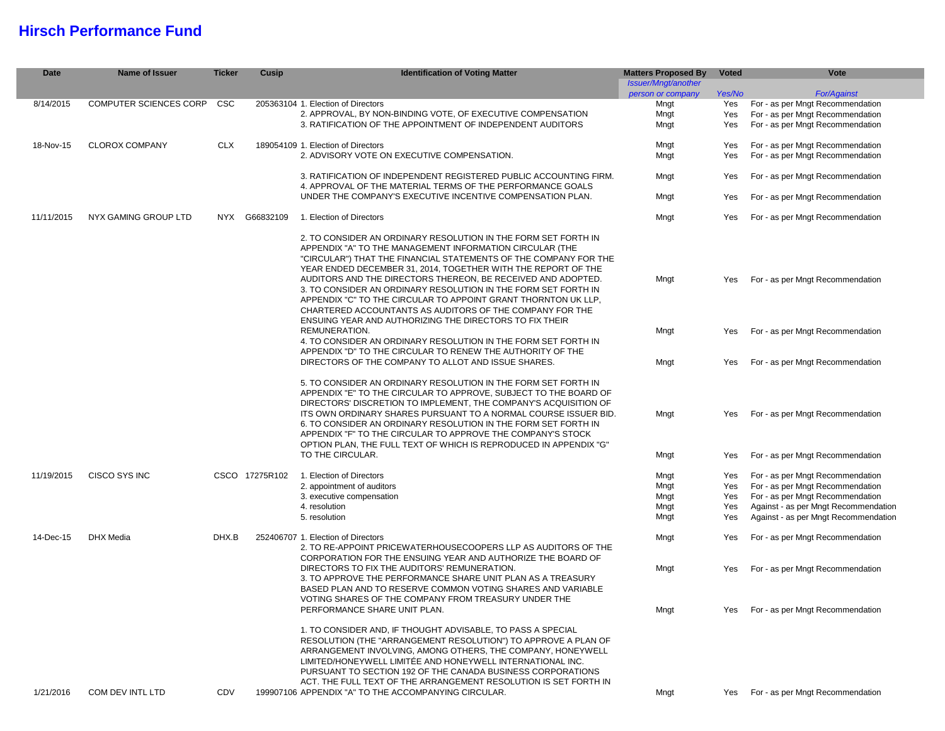#### **Hirsch Performance Fund**

I

| <b>Date</b> | <b>Name of Issuer</b>  | <b>Ticker</b> | Cusip          | <b>Identification of Voting Matter</b>                                                                                                                                                                                                                                                                                                                                                                                                                                                                                                                                                     | <b>Matters Proposed By</b> | <b>Voted</b>                                                                                                                                                        | Vote                                                                 |     |                                  |
|-------------|------------------------|---------------|----------------|--------------------------------------------------------------------------------------------------------------------------------------------------------------------------------------------------------------------------------------------------------------------------------------------------------------------------------------------------------------------------------------------------------------------------------------------------------------------------------------------------------------------------------------------------------------------------------------------|----------------------------|---------------------------------------------------------------------------------------------------------------------------------------------------------------------|----------------------------------------------------------------------|-----|----------------------------------|
|             |                        |               |                |                                                                                                                                                                                                                                                                                                                                                                                                                                                                                                                                                                                            | Issuer/Mngt/another        |                                                                                                                                                                     |                                                                      |     |                                  |
|             |                        |               |                |                                                                                                                                                                                                                                                                                                                                                                                                                                                                                                                                                                                            | person or company          | Yes/No                                                                                                                                                              | For/Against                                                          |     |                                  |
| 8/14/2015   | COMPUTER SCIENCES CORP | CSC           |                | 205363104 1. Election of Directors                                                                                                                                                                                                                                                                                                                                                                                                                                                                                                                                                         | Mngt                       | Yes                                                                                                                                                                 | For - as per Mngt Recommendation                                     |     |                                  |
|             |                        |               |                | 2. APPROVAL, BY NON-BINDING VOTE, OF EXECUTIVE COMPENSATION                                                                                                                                                                                                                                                                                                                                                                                                                                                                                                                                | Mngt                       | Yes                                                                                                                                                                 | For - as per Mngt Recommendation                                     |     |                                  |
|             |                        |               |                | 3. RATIFICATION OF THE APPOINTMENT OF INDEPENDENT AUDITORS                                                                                                                                                                                                                                                                                                                                                                                                                                                                                                                                 | Mngt                       | Yes                                                                                                                                                                 | For - as per Mngt Recommendation                                     |     |                                  |
| 18-Nov-15   | <b>CLOROX COMPANY</b>  | <b>CLX</b>    |                | 189054109 1. Election of Directors                                                                                                                                                                                                                                                                                                                                                                                                                                                                                                                                                         | Mngt                       | Yes                                                                                                                                                                 | For - as per Mngt Recommendation                                     |     |                                  |
|             |                        |               |                | 2. ADVISORY VOTE ON EXECUTIVE COMPENSATION.                                                                                                                                                                                                                                                                                                                                                                                                                                                                                                                                                | Mngt                       | Yes                                                                                                                                                                 | For - as per Mngt Recommendation                                     |     |                                  |
|             |                        |               |                | 3. RATIFICATION OF INDEPENDENT REGISTERED PUBLIC ACCOUNTING FIRM.<br>4. APPROVAL OF THE MATERIAL TERMS OF THE PERFORMANCE GOALS                                                                                                                                                                                                                                                                                                                                                                                                                                                            | Mngt                       | Yes                                                                                                                                                                 | For - as per Mngt Recommendation                                     |     |                                  |
|             |                        |               |                | UNDER THE COMPANY'S EXECUTIVE INCENTIVE COMPENSATION PLAN.                                                                                                                                                                                                                                                                                                                                                                                                                                                                                                                                 | Mngt                       | Yes                                                                                                                                                                 | For - as per Mngt Recommendation                                     |     |                                  |
| 11/11/2015  | NYX GAMING GROUP LTD   |               | NYX G66832109  | 1. Election of Directors                                                                                                                                                                                                                                                                                                                                                                                                                                                                                                                                                                   | Mngt                       | Yes                                                                                                                                                                 | For - as per Mngt Recommendation                                     |     |                                  |
|             |                        |               |                | 2. TO CONSIDER AN ORDINARY RESOLUTION IN THE FORM SET FORTH IN<br>APPENDIX "A" TO THE MANAGEMENT INFORMATION CIRCULAR (THE<br>"CIRCULAR") THAT THE FINANCIAL STATEMENTS OF THE COMPANY FOR THE<br>YEAR ENDED DECEMBER 31, 2014, TOGETHER WITH THE REPORT OF THE<br>AUDITORS AND THE DIRECTORS THEREON, BE RECEIVED AND ADOPTED.<br>3. TO CONSIDER AN ORDINARY RESOLUTION IN THE FORM SET FORTH IN<br>APPENDIX "C" TO THE CIRCULAR TO APPOINT GRANT THORNTON UK LLP.<br>CHARTERED ACCOUNTANTS AS AUDITORS OF THE COMPANY FOR THE<br>ENSUING YEAR AND AUTHORIZING THE DIRECTORS TO FIX THEIR | Mngt                       | Yes                                                                                                                                                                 | For - as per Mngt Recommendation                                     |     |                                  |
|             |                        |               |                | REMUNERATION.<br>4. TO CONSIDER AN ORDINARY RESOLUTION IN THE FORM SET FORTH IN                                                                                                                                                                                                                                                                                                                                                                                                                                                                                                            | Mngt                       | Yes                                                                                                                                                                 | For - as per Mngt Recommendation                                     |     |                                  |
|             |                        |               |                | APPENDIX "D" TO THE CIRCULAR TO RENEW THE AUTHORITY OF THE<br>DIRECTORS OF THE COMPANY TO ALLOT AND ISSUE SHARES.                                                                                                                                                                                                                                                                                                                                                                                                                                                                          | Mngt                       | Yes                                                                                                                                                                 | For - as per Mngt Recommendation                                     |     |                                  |
|             |                        |               |                | 5. TO CONSIDER AN ORDINARY RESOLUTION IN THE FORM SET FORTH IN<br>APPENDIX "E" TO THE CIRCULAR TO APPROVE, SUBJECT TO THE BOARD OF<br>DIRECTORS' DISCRETION TO IMPLEMENT, THE COMPANY'S ACQUISITION OF<br>ITS OWN ORDINARY SHARES PURSUANT TO A NORMAL COURSE ISSUER BID.<br>6. TO CONSIDER AN ORDINARY RESOLUTION IN THE FORM SET FORTH IN<br>APPENDIX "F" TO THE CIRCULAR TO APPROVE THE COMPANY'S STOCK<br>OPTION PLAN, THE FULL TEXT OF WHICH IS REPRODUCED IN APPENDIX "G"<br>TO THE CIRCULAR.                                                                                        | Mngt<br>Mngt               | Yes<br>Yes                                                                                                                                                          | For - as per Mngt Recommendation<br>For - as per Mngt Recommendation |     |                                  |
|             |                        |               |                |                                                                                                                                                                                                                                                                                                                                                                                                                                                                                                                                                                                            |                            |                                                                                                                                                                     |                                                                      |     |                                  |
| 11/19/2015  | CISCO SYS INC          |               | CSCO 17275R102 | 1. Election of Directors                                                                                                                                                                                                                                                                                                                                                                                                                                                                                                                                                                   | Mngt                       | Yes                                                                                                                                                                 | For - as per Mngt Recommendation                                     |     |                                  |
|             |                        |               |                | 2. appointment of auditors                                                                                                                                                                                                                                                                                                                                                                                                                                                                                                                                                                 | Mngt                       | Yes                                                                                                                                                                 | For - as per Mngt Recommendation                                     |     |                                  |
|             |                        |               |                | 3. executive compensation                                                                                                                                                                                                                                                                                                                                                                                                                                                                                                                                                                  | Mngt                       | Yes                                                                                                                                                                 | For - as per Mngt Recommendation                                     |     |                                  |
|             |                        |               |                | 4. resolution                                                                                                                                                                                                                                                                                                                                                                                                                                                                                                                                                                              | Mngt                       | Yes                                                                                                                                                                 | Against - as per Mngt Recommendation                                 |     |                                  |
|             |                        |               |                | 5. resolution                                                                                                                                                                                                                                                                                                                                                                                                                                                                                                                                                                              | Mngt                       | Yes                                                                                                                                                                 | Against - as per Mngt Recommendation                                 |     |                                  |
| 14-Dec-15   | DHX Media              | DHX.B         |                |                                                                                                                                                                                                                                                                                                                                                                                                                                                                                                                                                                                            |                            | 252406707 1. Election of Directors<br>2. TO RE-APPOINT PRICEWATERHOUSECOOPERS LLP AS AUDITORS OF THE<br>CORPORATION FOR THE ENSUING YEAR AND AUTHORIZE THE BOARD OF | Mngt                                                                 | Yes | For - as per Mngt Recommendation |
|             |                        |               |                | DIRECTORS TO FIX THE AUDITORS' REMUNERATION.<br>3. TO APPROVE THE PERFORMANCE SHARE UNIT PLAN AS A TREASURY<br>BASED PLAN AND TO RESERVE COMMON VOTING SHARES AND VARIABLE                                                                                                                                                                                                                                                                                                                                                                                                                 | Mngt                       | Yes                                                                                                                                                                 | For - as per Mngt Recommendation                                     |     |                                  |
|             |                        |               |                | VOTING SHARES OF THE COMPANY FROM TREASURY UNDER THE<br>PERFORMANCE SHARE UNIT PLAN.                                                                                                                                                                                                                                                                                                                                                                                                                                                                                                       | Mngt                       | Yes                                                                                                                                                                 | For - as per Mngt Recommendation                                     |     |                                  |
| 1/21/2016   | COM DEV INTL LTD       | CDV           |                | 1. TO CONSIDER AND, IF THOUGHT ADVISABLE, TO PASS A SPECIAL<br>RESOLUTION (THE "ARRANGEMENT RESOLUTION") TO APPROVE A PLAN OF<br>ARRANGEMENT INVOLVING, AMONG OTHERS, THE COMPANY, HONEYWELL<br>LIMITED/HONEYWELL LIMITÉE AND HONEYWELL INTERNATIONAL INC.<br>PURSUANT TO SECTION 192 OF THE CANADA BUSINESS CORPORATIONS<br>ACT. THE FULL TEXT OF THE ARRANGEMENT RESOLUTION IS SET FORTH IN<br>199907106 APPENDIX "A" TO THE ACCOMPANYING CIRCULAR.                                                                                                                                      | Mngt                       | Yes                                                                                                                                                                 | For - as per Mngt Recommendation                                     |     |                                  |
|             |                        |               |                |                                                                                                                                                                                                                                                                                                                                                                                                                                                                                                                                                                                            |                            |                                                                                                                                                                     |                                                                      |     |                                  |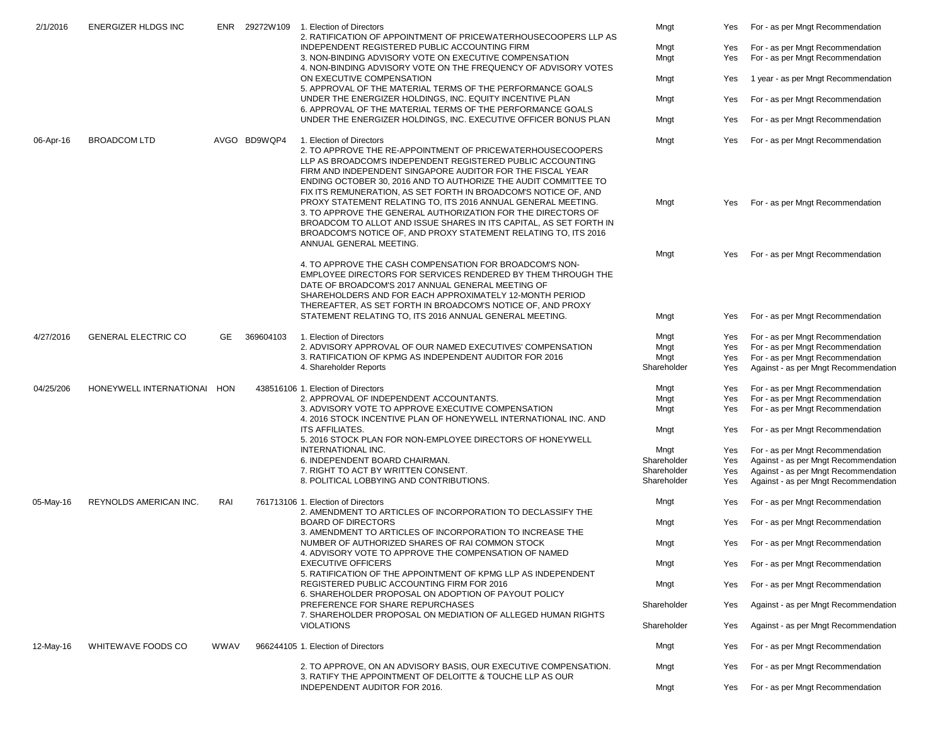| 2/1/2016  | <b>ENERGIZER HLDGS INC</b>  | ENR  |                           | 29272W109 1. Election of Directors<br>2. RATIFICATION OF APPOINTMENT OF PRICEWATERHOUSECOOPERS LLP AS                                                                                                                                                                                                                                                    | Mngt        | Yes                                                                                               | For - as per Mngt Recommendation     |     |                                  |
|-----------|-----------------------------|------|---------------------------|----------------------------------------------------------------------------------------------------------------------------------------------------------------------------------------------------------------------------------------------------------------------------------------------------------------------------------------------------------|-------------|---------------------------------------------------------------------------------------------------|--------------------------------------|-----|----------------------------------|
|           |                             |      |                           | INDEPENDENT REGISTERED PUBLIC ACCOUNTING FIRM                                                                                                                                                                                                                                                                                                            | Mngt        | Yes                                                                                               | For - as per Mngt Recommendation     |     |                                  |
|           |                             |      |                           | 3. NON-BINDING ADVISORY VOTE ON EXECUTIVE COMPENSATION<br>4. NON-BINDING ADVISORY VOTE ON THE FREQUENCY OF ADVISORY VOTES                                                                                                                                                                                                                                | Mngt        | Yes                                                                                               | For - as per Mngt Recommendation     |     |                                  |
|           |                             |      |                           | ON EXECUTIVE COMPENSATION<br>5. APPROVAL OF THE MATERIAL TERMS OF THE PERFORMANCE GOALS                                                                                                                                                                                                                                                                  | Mngt<br>Yes |                                                                                                   | 1 year - as per Mngt Recommendation  |     |                                  |
|           |                             |      |                           | UNDER THE ENERGIZER HOLDINGS, INC. EQUITY INCENTIVE PLAN<br>6. APPROVAL OF THE MATERIAL TERMS OF THE PERFORMANCE GOALS                                                                                                                                                                                                                                   | Mngt        | Yes                                                                                               | For - as per Mngt Recommendation     |     |                                  |
|           |                             |      |                           | UNDER THE ENERGIZER HOLDINGS, INC. EXECUTIVE OFFICER BONUS PLAN                                                                                                                                                                                                                                                                                          | Mngt        | Yes                                                                                               | For - as per Mngt Recommendation     |     |                                  |
| 06-Apr-16 | <b>BROADCOM LTD</b>         |      | AVGO BD9WQP4              | 1. Election of Directors<br>2. TO APPROVE THE RE-APPOINTMENT OF PRICEWATERHOUSECOOPERS<br>LLP AS BROADCOM'S INDEPENDENT REGISTERED PUBLIC ACCOUNTING<br>FIRM AND INDEPENDENT SINGAPORE AUDITOR FOR THE FISCAL YEAR<br>ENDING OCTOBER 30, 2016 AND TO AUTHORIZE THE AUDIT COMMITTEE TO<br>FIX ITS REMUNERATION, AS SET FORTH IN BROADCOM'S NOTICE OF, AND | Mngt        | Yes                                                                                               | For - as per Mngt Recommendation     |     |                                  |
|           |                             |      |                           | PROXY STATEMENT RELATING TO, ITS 2016 ANNUAL GENERAL MEETING.<br>3. TO APPROVE THE GENERAL AUTHORIZATION FOR THE DIRECTORS OF<br>BROADCOM TO ALLOT AND ISSUE SHARES IN ITS CAPITAL, AS SET FORTH IN<br>BROADCOM'S NOTICE OF, AND PROXY STATEMENT RELATING TO, ITS 2016<br>ANNUAL GENERAL MEETING.                                                        | Mngt        | Yes                                                                                               | For - as per Mngt Recommendation     |     |                                  |
|           |                             |      |                           | 4. TO APPROVE THE CASH COMPENSATION FOR BROADCOM'S NON-<br>EMPLOYEE DIRECTORS FOR SERVICES RENDERED BY THEM THROUGH THE<br>DATE OF BROADCOM'S 2017 ANNUAL GENERAL MEETING OF<br>SHAREHOLDERS AND FOR EACH APPROXIMATELY 12-MONTH PERIOD                                                                                                                  | Mngt        | Yes                                                                                               | For - as per Mngt Recommendation     |     |                                  |
|           |                             |      |                           | THEREAFTER, AS SET FORTH IN BROADCOM'S NOTICE OF, AND PROXY<br>STATEMENT RELATING TO, ITS 2016 ANNUAL GENERAL MEETING.                                                                                                                                                                                                                                   | Mngt        | Yes                                                                                               | For - as per Mngt Recommendation     |     |                                  |
| 4/27/2016 | <b>GENERAL ELECTRIC CO</b>  | GE.  | 369604103                 | 1. Election of Directors                                                                                                                                                                                                                                                                                                                                 | Mngt        | Yes                                                                                               | For - as per Mngt Recommendation     |     |                                  |
|           |                             |      |                           | 2. ADVISORY APPROVAL OF OUR NAMED EXECUTIVES' COMPENSATION                                                                                                                                                                                                                                                                                               | Mngt        | Yes                                                                                               | For - as per Mngt Recommendation     |     |                                  |
|           |                             |      |                           | 3. RATIFICATION OF KPMG AS INDEPENDENT AUDITOR FOR 2016                                                                                                                                                                                                                                                                                                  | Mngt        | Yes                                                                                               | For - as per Mngt Recommendation     |     |                                  |
|           |                             |      |                           | 4. Shareholder Reports                                                                                                                                                                                                                                                                                                                                   | Shareholder | Yes                                                                                               | Against - as per Mngt Recommendation |     |                                  |
| 04/25/206 | HONEYWELL INTERNATIONAL HON |      |                           | 438516106 1. Election of Directors                                                                                                                                                                                                                                                                                                                       | Mngt        | Yes                                                                                               | For - as per Mngt Recommendation     |     |                                  |
|           |                             |      |                           | 2. APPROVAL OF INDEPENDENT ACCOUNTANTS.                                                                                                                                                                                                                                                                                                                  | Mngt        | Yes                                                                                               | For - as per Mngt Recommendation     |     |                                  |
|           |                             |      |                           | 3. ADVISORY VOTE TO APPROVE EXECUTIVE COMPENSATION<br>4. 2016 STOCK INCENTIVE PLAN OF HONEYWELL INTERNATIONAL INC. AND                                                                                                                                                                                                                                   | Mngt        | Yes                                                                                               | For - as per Mngt Recommendation     |     |                                  |
|           |                             |      |                           | <b>ITS AFFILIATES.</b><br>5. 2016 STOCK PLAN FOR NON-EMPLOYEE DIRECTORS OF HONEYWELL                                                                                                                                                                                                                                                                     | Mngt        | Yes                                                                                               | For - as per Mngt Recommendation     |     |                                  |
|           |                             |      |                           | INTERNATIONAL INC.                                                                                                                                                                                                                                                                                                                                       | Mngt        | Yes                                                                                               | For - as per Mngt Recommendation     |     |                                  |
|           |                             |      |                           | 6. INDEPENDENT BOARD CHAIRMAN.                                                                                                                                                                                                                                                                                                                           | Shareholder | Yes                                                                                               | Against - as per Mngt Recommendation |     |                                  |
|           |                             |      |                           | 7. RIGHT TO ACT BY WRITTEN CONSENT.                                                                                                                                                                                                                                                                                                                      | Shareholder | Yes                                                                                               | Against - as per Mngt Recommendation |     |                                  |
|           |                             |      |                           | 8. POLITICAL LOBBYING AND CONTRIBUTIONS.                                                                                                                                                                                                                                                                                                                 | Shareholder | Yes                                                                                               | Against - as per Mngt Recommendation |     |                                  |
| 05-May-16 | REYNOLDS AMERICAN INC.      |      |                           | RAI                                                                                                                                                                                                                                                                                                                                                      |             | 761713106 1. Election of Directors<br>2. AMENDMENT TO ARTICLES OF INCORPORATION TO DECLASSIFY THE | Mngt                                 | Yes | For - as per Mngt Recommendation |
|           |                             |      | <b>BOARD OF DIRECTORS</b> | 3. AMENDMENT TO ARTICLES OF INCORPORATION TO INCREASE THE                                                                                                                                                                                                                                                                                                | Mngt        | Yes                                                                                               | For - as per Mngt Recommendation     |     |                                  |
|           |                             |      |                           | NUMBER OF AUTHORIZED SHARES OF RAI COMMON STOCK<br>4. ADVISORY VOTE TO APPROVE THE COMPENSATION OF NAMED                                                                                                                                                                                                                                                 | Mngt        | Yes                                                                                               | For - as per Mngt Recommendation     |     |                                  |
|           |                             |      |                           | <b>EXECUTIVE OFFICERS</b><br>5. RATIFICATION OF THE APPOINTMENT OF KPMG LLP AS INDEPENDENT                                                                                                                                                                                                                                                               | Mngt        | Yes                                                                                               | For - as per Mngt Recommendation     |     |                                  |
|           |                             |      |                           | REGISTERED PUBLIC ACCOUNTING FIRM FOR 2016<br>6. SHAREHOLDER PROPOSAL ON ADOPTION OF PAYOUT POLICY                                                                                                                                                                                                                                                       | Mngt        | Yes                                                                                               | For - as per Mngt Recommendation     |     |                                  |
|           |                             |      |                           | PREFERENCE FOR SHARE REPURCHASES<br>7. SHAREHOLDER PROPOSAL ON MEDIATION OF ALLEGED HUMAN RIGHTS<br><b>VIOLATIONS</b>                                                                                                                                                                                                                                    | Shareholder | Yes                                                                                               | Against - as per Mngt Recommendation |     |                                  |
|           |                             |      |                           |                                                                                                                                                                                                                                                                                                                                                          | Shareholder | Yes                                                                                               | Against - as per Mngt Recommendation |     |                                  |
| 12-May-16 | WHITEWAVE FOODS CO          | WWAV |                           | 966244105 1. Election of Directors                                                                                                                                                                                                                                                                                                                       | Mngt        | Yes                                                                                               | For - as per Mngt Recommendation     |     |                                  |
|           |                             |      |                           | 2. TO APPROVE, ON AN ADVISORY BASIS, OUR EXECUTIVE COMPENSATION.<br>3. RATIFY THE APPOINTMENT OF DELOITTE & TOUCHE LLP AS OUR                                                                                                                                                                                                                            | Mngt        | Yes                                                                                               | For - as per Mngt Recommendation     |     |                                  |
|           |                             |      |                           | INDEPENDENT AUDITOR FOR 2016.                                                                                                                                                                                                                                                                                                                            | Mngt        | Yes                                                                                               | For - as per Mngt Recommendation     |     |                                  |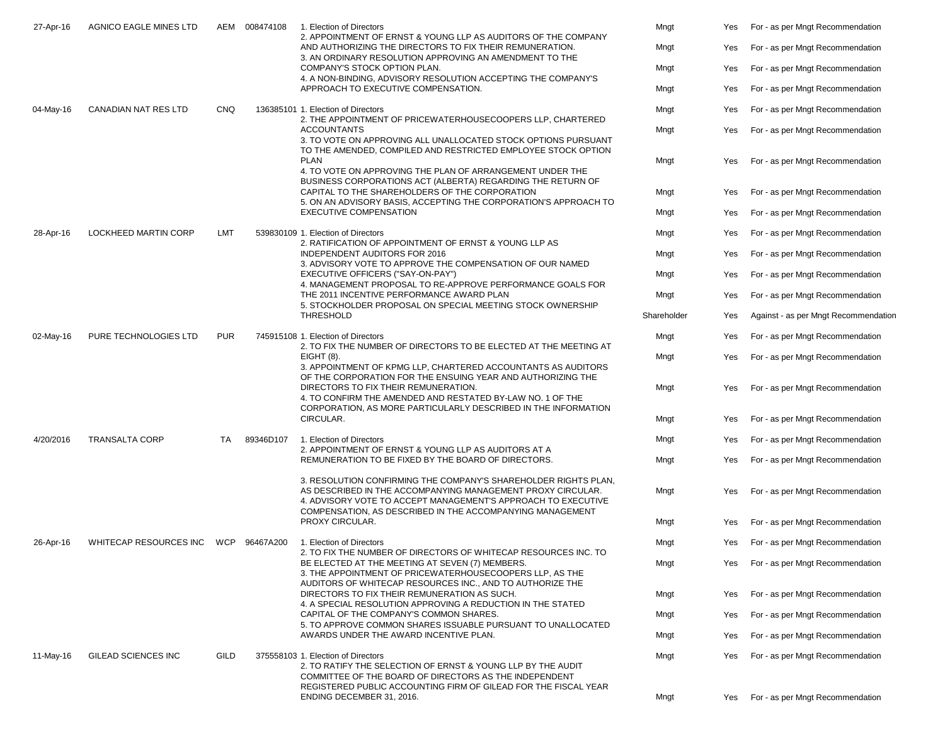| 27-Apr-16 | AGNICO EAGLE MINES LTD      |            | AEM 008474108 | 1. Election of Directors<br>2. APPOINTMENT OF ERNST & YOUNG LLP AS AUDITORS OF THE COMPANY                                                                                                                                                                                                                                                                  | Mngt                                                                                                                                                                                            | Yes  | For - as per Mngt Recommendation     |                                  |
|-----------|-----------------------------|------------|---------------|-------------------------------------------------------------------------------------------------------------------------------------------------------------------------------------------------------------------------------------------------------------------------------------------------------------------------------------------------------------|-------------------------------------------------------------------------------------------------------------------------------------------------------------------------------------------------|------|--------------------------------------|----------------------------------|
|           |                             |            |               | AND AUTHORIZING THE DIRECTORS TO FIX THEIR REMUNERATION.<br>3. AN ORDINARY RESOLUTION APPROVING AN AMENDMENT TO THE                                                                                                                                                                                                                                         | Mngt                                                                                                                                                                                            | Yes  | For - as per Mngt Recommendation     |                                  |
|           |                             |            |               | COMPANY'S STOCK OPTION PLAN.<br>4. A NON-BINDING, ADVISORY RESOLUTION ACCEPTING THE COMPANY'S                                                                                                                                                                                                                                                               | Mngt                                                                                                                                                                                            | Yes  | For - as per Mngt Recommendation     |                                  |
|           |                             |            |               | APPROACH TO EXECUTIVE COMPENSATION.                                                                                                                                                                                                                                                                                                                         | Mngt                                                                                                                                                                                            | Yes  | For - as per Mngt Recommendation     |                                  |
| 04-May-16 | <b>CANADIAN NAT RES LTD</b> | <b>CNQ</b> |               | 136385101 1. Election of Directors<br>2. THE APPOINTMENT OF PRICEWATERHOUSECOOPERS LLP, CHARTERED                                                                                                                                                                                                                                                           | Mngt                                                                                                                                                                                            | Yes  | For - as per Mngt Recommendation     |                                  |
|           |                             |            |               | <b>ACCOUNTANTS</b><br>3. TO VOTE ON APPROVING ALL UNALLOCATED STOCK OPTIONS PURSUANT<br>TO THE AMENDED, COMPILED AND RESTRICTED EMPLOYEE STOCK OPTION                                                                                                                                                                                                       | Mngt                                                                                                                                                                                            | Yes  | For - as per Mngt Recommendation     |                                  |
|           |                             |            |               | <b>PLAN</b><br>4. TO VOTE ON APPROVING THE PLAN OF ARRANGEMENT UNDER THE                                                                                                                                                                                                                                                                                    | Mngt                                                                                                                                                                                            | Yes  | For - as per Mngt Recommendation     |                                  |
|           |                             |            |               | BUSINESS CORPORATIONS ACT (ALBERTA) REGARDING THE RETURN OF<br>CAPITAL TO THE SHAREHOLDERS OF THE CORPORATION<br>5. ON AN ADVISORY BASIS, ACCEPTING THE CORPORATION'S APPROACH TO                                                                                                                                                                           | Mngt                                                                                                                                                                                            | Yes  | For - as per Mngt Recommendation     |                                  |
|           |                             |            |               | <b>EXECUTIVE COMPENSATION</b>                                                                                                                                                                                                                                                                                                                               | Mngt                                                                                                                                                                                            | Yes  | For - as per Mngt Recommendation     |                                  |
| 28-Apr-16 | LOCKHEED MARTIN CORP        | LMT        |               | 539830109 1. Election of Directors<br>2. RATIFICATION OF APPOINTMENT OF ERNST & YOUNG LLP AS                                                                                                                                                                                                                                                                | Mngt                                                                                                                                                                                            | Yes  | For - as per Mngt Recommendation     |                                  |
|           |                             |            |               | <b>INDEPENDENT AUDITORS FOR 2016</b><br>3. ADVISORY VOTE TO APPROVE THE COMPENSATION OF OUR NAMED                                                                                                                                                                                                                                                           | Mngt                                                                                                                                                                                            | Yes  | For - as per Mngt Recommendation     |                                  |
|           |                             |            |               | EXECUTIVE OFFICERS ("SAY-ON-PAY")<br>4. MANAGEMENT PROPOSAL TO RE-APPROVE PERFORMANCE GOALS FOR                                                                                                                                                                                                                                                             | Mngt                                                                                                                                                                                            | Yes  | For - as per Mngt Recommendation     |                                  |
|           |                             |            |               | THE 2011 INCENTIVE PERFORMANCE AWARD PLAN<br>5. STOCKHOLDER PROPOSAL ON SPECIAL MEETING STOCK OWNERSHIP<br><b>THRESHOLD</b>                                                                                                                                                                                                                                 | Mngt                                                                                                                                                                                            | Yes  | For - as per Mngt Recommendation     |                                  |
|           |                             |            |               |                                                                                                                                                                                                                                                                                                                                                             | Shareholder                                                                                                                                                                                     | Yes  | Against - as per Mngt Recommendation |                                  |
| 02-May-16 | PURE TECHNOLOGIES LTD       | <b>PUR</b> |               | 745915108 1. Election of Directors<br>2. TO FIX THE NUMBER OF DIRECTORS TO BE ELECTED AT THE MEETING AT<br>EIGHT (8).<br>3. APPOINTMENT OF KPMG LLP, CHARTERED ACCOUNTANTS AS AUDITORS<br>OF THE CORPORATION FOR THE ENSUING YEAR AND AUTHORIZING THE<br>DIRECTORS TO FIX THEIR REMUNERATION.<br>4. TO CONFIRM THE AMENDED AND RESTATED BY-LAW NO. 1 OF THE | Mngt                                                                                                                                                                                            | Yes  | For - as per Mngt Recommendation     |                                  |
|           |                             |            |               |                                                                                                                                                                                                                                                                                                                                                             | Mngt                                                                                                                                                                                            | Yes  | For - as per Mngt Recommendation     |                                  |
|           |                             |            |               |                                                                                                                                                                                                                                                                                                                                                             | Mngt                                                                                                                                                                                            | Yes  | For - as per Mngt Recommendation     |                                  |
|           |                             |            |               | CORPORATION, AS MORE PARTICULARLY DESCRIBED IN THE INFORMATION<br>CIRCULAR.                                                                                                                                                                                                                                                                                 | Mngt                                                                                                                                                                                            | Yes  | For - as per Mngt Recommendation     |                                  |
| 4/20/2016 | <b>TRANSALTA CORP</b>       | TA         | 89346D107     | 1. Election of Directors<br>2. APPOINTMENT OF ERNST & YOUNG LLP AS AUDITORS AT A<br>REMUNERATION TO BE FIXED BY THE BOARD OF DIRECTORS.                                                                                                                                                                                                                     | Mngt                                                                                                                                                                                            | Yes  | For - as per Mngt Recommendation     |                                  |
|           |                             |            |               |                                                                                                                                                                                                                                                                                                                                                             | Mngt                                                                                                                                                                                            | Yes  | For - as per Mngt Recommendation     |                                  |
|           |                             |            |               |                                                                                                                                                                                                                                                                                                                                                             | 3. RESOLUTION CONFIRMING THE COMPANY'S SHAREHOLDER RIGHTS PLAN,<br>AS DESCRIBED IN THE ACCOMPANYING MANAGEMENT PROXY CIRCULAR.<br>4. ADVISORY VOTE TO ACCEPT MANAGEMENT'S APPROACH TO EXECUTIVE | Mngt | Yes                                  | For - as per Mngt Recommendation |
|           |                             |            |               | COMPENSATION, AS DESCRIBED IN THE ACCOMPANYING MANAGEMENT<br>PROXY CIRCULAR.                                                                                                                                                                                                                                                                                | Mngt                                                                                                                                                                                            | Yes  | For - as per Mngt Recommendation     |                                  |
| 26-Apr-16 | WHITECAP RESOURCES INC      |            | WCP 96467A200 | 1. Election of Directors<br>2. TO FIX THE NUMBER OF DIRECTORS OF WHITECAP RESOURCES INC. TO                                                                                                                                                                                                                                                                 | Mngt                                                                                                                                                                                            | Yes  | For - as per Mngt Recommendation     |                                  |
|           |                             |            |               | BE ELECTED AT THE MEETING AT SEVEN (7) MEMBERS.<br>3. THE APPOINTMENT OF PRICEWATERHOUSECOOPERS LLP, AS THE                                                                                                                                                                                                                                                 | Mngt                                                                                                                                                                                            | Yes  | For - as per Mngt Recommendation     |                                  |
|           |                             |            |               | AUDITORS OF WHITECAP RESOURCES INC., AND TO AUTHORIZE THE<br>DIRECTORS TO FIX THEIR REMUNERATION AS SUCH.<br>4. A SPECIAL RESOLUTION APPROVING A REDUCTION IN THE STATED                                                                                                                                                                                    | Mngt                                                                                                                                                                                            | Yes  | For - as per Mngt Recommendation     |                                  |
|           |                             |            |               | CAPITAL OF THE COMPANY'S COMMON SHARES.<br>5. TO APPROVE COMMON SHARES ISSUABLE PURSUANT TO UNALLOCATED                                                                                                                                                                                                                                                     | Mngt                                                                                                                                                                                            | Yes  | For - as per Mngt Recommendation     |                                  |
|           |                             |            |               | AWARDS UNDER THE AWARD INCENTIVE PLAN.                                                                                                                                                                                                                                                                                                                      | Mngt                                                                                                                                                                                            | Yes  | For - as per Mngt Recommendation     |                                  |
| 11-May-16 | GILEAD SCIENCES INC         | GILD       |               | 375558103 1. Election of Directors<br>2. TO RATIFY THE SELECTION OF ERNST & YOUNG LLP BY THE AUDIT<br>COMMITTEE OF THE BOARD OF DIRECTORS AS THE INDEPENDENT                                                                                                                                                                                                | Mngt                                                                                                                                                                                            | Yes  | For - as per Mngt Recommendation     |                                  |
|           |                             |            |               |                                                                                                                                                                                                                                                                                                                                                             | REGISTERED PUBLIC ACCOUNTING FIRM OF GILEAD FOR THE FISCAL YEAR<br>ENDING DECEMBER 31, 2016.                                                                                                    | Mngt | Yes                                  | For - as per Mngt Recommendation |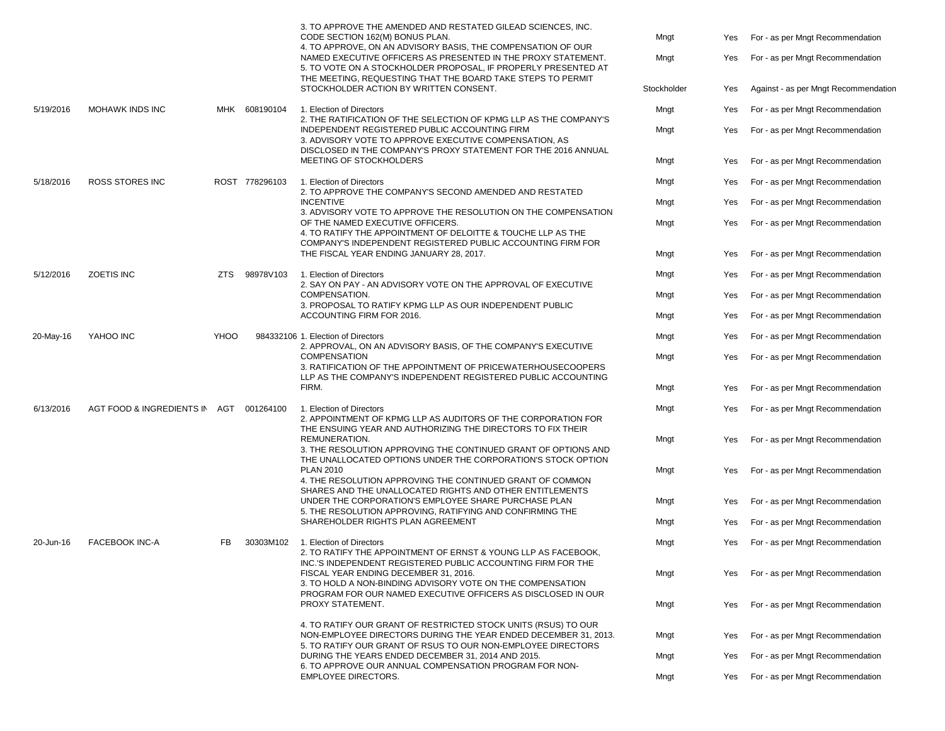|           |                               |      |                                                                                                                                                                                                   | 3. TO APPROVE THE AMENDED AND RESTATED GILEAD SCIENCES, INC.<br>CODE SECTION 162(M) BONUS PLAN.<br>4. TO APPROVE, ON AN ADVISORY BASIS, THE COMPENSATION OF OUR<br>NAMED EXECUTIVE OFFICERS AS PRESENTED IN THE PROXY STATEMENT.<br>5. TO VOTE ON A STOCKHOLDER PROPOSAL, IF PROPERLY PRESENTED AT<br>THE MEETING, REQUESTING THAT THE BOARD TAKE STEPS TO PERMIT<br>STOCKHOLDER ACTION BY WRITTEN CONSENT. | Mngt<br>Mngt<br>Stockholder | Yes<br>Yes<br>Yes                | For - as per Mngt Recommendation<br>For - as per Mngt Recommendation<br>Against - as per Mngt Recommendation |
|-----------|-------------------------------|------|---------------------------------------------------------------------------------------------------------------------------------------------------------------------------------------------------|-------------------------------------------------------------------------------------------------------------------------------------------------------------------------------------------------------------------------------------------------------------------------------------------------------------------------------------------------------------------------------------------------------------|-----------------------------|----------------------------------|--------------------------------------------------------------------------------------------------------------|
| 5/19/2016 | MOHAWK INDS INC               |      | MHK 608190104                                                                                                                                                                                     | 1. Election of Directors<br>2. THE RATIFICATION OF THE SELECTION OF KPMG LLP AS THE COMPANY'S<br>INDEPENDENT REGISTERED PUBLIC ACCOUNTING FIRM                                                                                                                                                                                                                                                              | Mngt<br>Mngt                | Yes<br>Yes                       | For - as per Mngt Recommendation<br>For - as per Mngt Recommendation                                         |
|           |                               |      |                                                                                                                                                                                                   | 3. ADVISORY VOTE TO APPROVE EXECUTIVE COMPENSATION, AS<br>DISCLOSED IN THE COMPANY'S PROXY STATEMENT FOR THE 2016 ANNUAL<br>MEETING OF STOCKHOLDERS                                                                                                                                                                                                                                                         | Mngt                        | Yes                              | For - as per Mngt Recommendation                                                                             |
| 5/18/2016 | <b>ROSS STORES INC</b>        |      | ROST 778296103                                                                                                                                                                                    | 1. Election of Directors<br>2. TO APPROVE THE COMPANY'S SECOND AMENDED AND RESTATED                                                                                                                                                                                                                                                                                                                         | Mngt                        | Yes                              | For - as per Mngt Recommendation                                                                             |
|           |                               |      |                                                                                                                                                                                                   | <b>INCENTIVE</b><br>3. ADVISORY VOTE TO APPROVE THE RESOLUTION ON THE COMPENSATION                                                                                                                                                                                                                                                                                                                          | Mngt                        | Yes                              | For - as per Mngt Recommendation                                                                             |
|           |                               |      |                                                                                                                                                                                                   | OF THE NAMED EXECUTIVE OFFICERS.<br>4. TO RATIFY THE APPOINTMENT OF DELOITTE & TOUCHE LLP AS THE<br>COMPANY'S INDEPENDENT REGISTERED PUBLIC ACCOUNTING FIRM FOR                                                                                                                                                                                                                                             | Mngt                        | Yes                              | For - as per Mngt Recommendation                                                                             |
|           |                               |      |                                                                                                                                                                                                   | THE FISCAL YEAR ENDING JANUARY 28, 2017.                                                                                                                                                                                                                                                                                                                                                                    | Mngt                        | Yes                              | For - as per Mngt Recommendation                                                                             |
| 5/12/2016 | <b>ZOETIS INC</b>             | ZTS. | 98978V103                                                                                                                                                                                         | 1. Election of Directors<br>2. SAY ON PAY - AN ADVISORY VOTE ON THE APPROVAL OF EXECUTIVE                                                                                                                                                                                                                                                                                                                   | Mngt                        | Yes                              | For - as per Mngt Recommendation                                                                             |
|           |                               |      |                                                                                                                                                                                                   | COMPENSATION.<br>3. PROPOSAL TO RATIFY KPMG LLP AS OUR INDEPENDENT PUBLIC<br>ACCOUNTING FIRM FOR 2016.                                                                                                                                                                                                                                                                                                      | Mngt                        | Yes                              | For - as per Mngt Recommendation                                                                             |
|           |                               |      |                                                                                                                                                                                                   |                                                                                                                                                                                                                                                                                                                                                                                                             | Mngt                        | Yes                              | For - as per Mngt Recommendation                                                                             |
| 20-May-16 | YAHOO INC                     | YHOO |                                                                                                                                                                                                   | 984332106 1. Election of Directors<br>2. APPROVAL, ON AN ADVISORY BASIS, OF THE COMPANY'S EXECUTIVE<br><b>COMPENSATION</b><br>3. RATIFICATION OF THE APPOINTMENT OF PRICEWATERHOUSECOOPERS<br>LLP AS THE COMPANY'S INDEPENDENT REGISTERED PUBLIC ACCOUNTING                                                                                                                                                 | Mngt                        | Yes                              | For - as per Mngt Recommendation                                                                             |
|           |                               |      |                                                                                                                                                                                                   |                                                                                                                                                                                                                                                                                                                                                                                                             | Mngt                        | Yes                              | For - as per Mngt Recommendation                                                                             |
|           |                               |      |                                                                                                                                                                                                   | FIRM.                                                                                                                                                                                                                                                                                                                                                                                                       | Mngt                        | Yes                              | For - as per Mngt Recommendation                                                                             |
| 6/13/2016 | AGT FOOD & INGREDIENTS IN AGT |      | 001264100                                                                                                                                                                                         | 1. Election of Directors<br>2. APPOINTMENT OF KPMG LLP AS AUDITORS OF THE CORPORATION FOR<br>THE ENSUING YEAR AND AUTHORIZING THE DIRECTORS TO FIX THEIR                                                                                                                                                                                                                                                    | Mngt                        | Yes                              | For - as per Mngt Recommendation                                                                             |
|           |                               |      |                                                                                                                                                                                                   | REMUNERATION.<br>3. THE RESOLUTION APPROVING THE CONTINUED GRANT OF OPTIONS AND<br>THE UNALLOCATED OPTIONS UNDER THE CORPORATION'S STOCK OPTION                                                                                                                                                                                                                                                             | Mngt                        | Yes                              | For - as per Mngt Recommendation                                                                             |
|           |                               |      |                                                                                                                                                                                                   | <b>PLAN 2010</b><br>4. THE RESOLUTION APPROVING THE CONTINUED GRANT OF COMMON<br>SHARES AND THE UNALLOCATED RIGHTS AND OTHER ENTITLEMENTS                                                                                                                                                                                                                                                                   | Mngt                        | Yes                              | For - as per Mngt Recommendation                                                                             |
|           |                               |      |                                                                                                                                                                                                   | UNDER THE CORPORATION'S EMPLOYEE SHARE PURCHASE PLAN<br>5. THE RESOLUTION APPROVING, RATIFYING AND CONFIRMING THE                                                                                                                                                                                                                                                                                           | Mngt                        | Yes                              | For - as per Mngt Recommendation                                                                             |
|           |                               |      |                                                                                                                                                                                                   | SHAREHOLDER RIGHTS PLAN AGREEMENT                                                                                                                                                                                                                                                                                                                                                                           | Mngt                        | Yes                              | For - as per Mngt Recommendation                                                                             |
| 20-Jun-16 | <b>FACEBOOK INC-A</b>         | FB   | 30303M102                                                                                                                                                                                         | 1. Election of Directors<br>2. TO RATIFY THE APPOINTMENT OF ERNST & YOUNG LLP AS FACEBOOK.<br>INC.'S INDEPENDENT REGISTERED PUBLIC ACCOUNTING FIRM FOR THE                                                                                                                                                                                                                                                  | Mngt                        | Yes                              | For - as per Mngt Recommendation                                                                             |
|           |                               |      | FISCAL YEAR ENDING DECEMBER 31, 2016.<br>3. TO HOLD A NON-BINDING ADVISORY VOTE ON THE COMPENSATION<br>PROGRAM FOR OUR NAMED EXECUTIVE OFFICERS AS DISCLOSED IN OUR<br>PROXY STATEMENT.           |                                                                                                                                                                                                                                                                                                                                                                                                             | Mngt                        | Yes                              | For - as per Mngt Recommendation                                                                             |
|           |                               |      |                                                                                                                                                                                                   |                                                                                                                                                                                                                                                                                                                                                                                                             | Mngt                        | Yes                              | For - as per Mngt Recommendation                                                                             |
|           |                               |      | 4. TO RATIFY OUR GRANT OF RESTRICTED STOCK UNITS (RSUS) TO OUR<br>NON-EMPLOYEE DIRECTORS DURING THE YEAR ENDED DECEMBER 31, 2013.<br>5. TO RATIFY OUR GRANT OF RSUS TO OUR NON-EMPLOYEE DIRECTORS | Mngt                                                                                                                                                                                                                                                                                                                                                                                                        | Yes                         | For - as per Mngt Recommendation |                                                                                                              |
|           |                               |      |                                                                                                                                                                                                   | DURING THE YEARS ENDED DECEMBER 31, 2014 AND 2015.<br>6. TO APPROVE OUR ANNUAL COMPENSATION PROGRAM FOR NON-                                                                                                                                                                                                                                                                                                | Mngt                        | Yes                              | For - as per Mngt Recommendation                                                                             |
|           |                               |      |                                                                                                                                                                                                   | <b>EMPLOYEE DIRECTORS.</b>                                                                                                                                                                                                                                                                                                                                                                                  | Mngt                        | Yes                              | For - as per Mngt Recommendation                                                                             |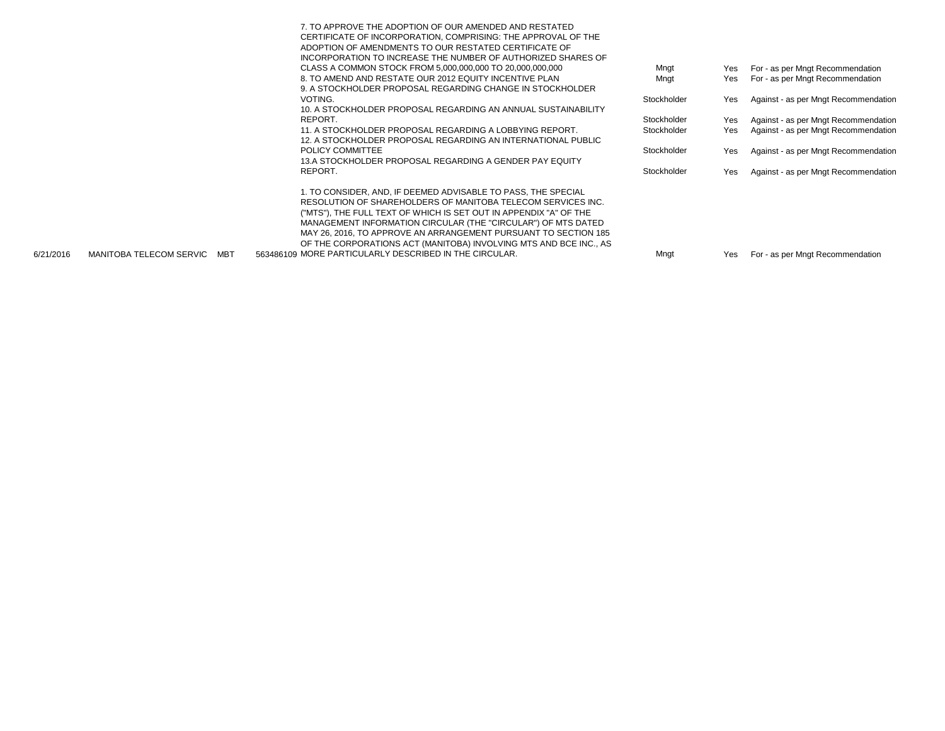|  | 7. TO APPROVE THE ADOPTION OF OUR AMENDED AND RESTATED            |             |            |                                      |
|--|-------------------------------------------------------------------|-------------|------------|--------------------------------------|
|  | CERTIFICATE OF INCORPORATION, COMPRISING: THE APPROVAL OF THE     |             |            |                                      |
|  | ADOPTION OF AMENDMENTS TO OUR RESTATED CERTIFICATE OF             |             |            |                                      |
|  | INCORPORATION TO INCREASE THE NUMBER OF AUTHORIZED SHARES OF      |             |            |                                      |
|  | CLASS A COMMON STOCK FROM 5,000,000,000 TO 20,000,000,000         | Mngt        | Yes        | For - as per Mngt Recommendation     |
|  | 8. TO AMEND AND RESTATE OUR 2012 EQUITY INCENTIVE PLAN            | Mngt        | <b>Yes</b> | For - as per Mngt Recommendation     |
|  | 9. A STOCKHOLDER PROPOSAL REGARDING CHANGE IN STOCKHOLDER         |             |            |                                      |
|  | VOTING.                                                           | Stockholder | Yes        | Against - as per Mngt Recommendation |
|  | 10. A STOCKHOLDER PROPOSAL REGARDING AN ANNUAL SUSTAINABILITY     |             |            |                                      |
|  | REPORT.                                                           | Stockholder | Yes        | Against - as per Mngt Recommendation |
|  | 11. A STOCKHOLDER PROPOSAL REGARDING A LOBBYING REPORT.           | Stockholder | Yes        | Against - as per Mngt Recommendation |
|  | 12. A STOCKHOLDER PROPOSAL REGARDING AN INTERNATIONAL PUBLIC      |             |            |                                      |
|  | POLICY COMMITTEE                                                  | Stockholder | Yes        | Against - as per Mngt Recommendation |
|  | 13.A STOCKHOLDER PROPOSAL REGARDING A GENDER PAY EQUITY           |             |            |                                      |
|  | REPORT.                                                           | Stockholder | Yes        | Against - as per Mngt Recommendation |
|  |                                                                   |             |            |                                      |
|  | 1. TO CONSIDER. AND. IF DEEMED ADVISABLE TO PASS. THE SPECIAL     |             |            |                                      |
|  | RESOLUTION OF SHAREHOLDERS OF MANITOBA TELECOM SERVICES INC.      |             |            |                                      |
|  | ("MTS"), THE FULL TEXT OF WHICH IS SET OUT IN APPENDIX "A" OF THE |             |            |                                      |
|  | MANAGEMENT INFORMATION CIRCULAR (THE "CIRCULAR") OF MTS DATED     |             |            |                                      |
|  |                                                                   |             |            |                                      |
|  | MAY 26, 2016, TO APPROVE AN ARRANGEMENT PURSUANT TO SECTION 185   |             |            |                                      |
|  | OF THE CORPORATIONS ACT (MANITOBA) INVOLVING MTS AND BCE INC., AS |             |            |                                      |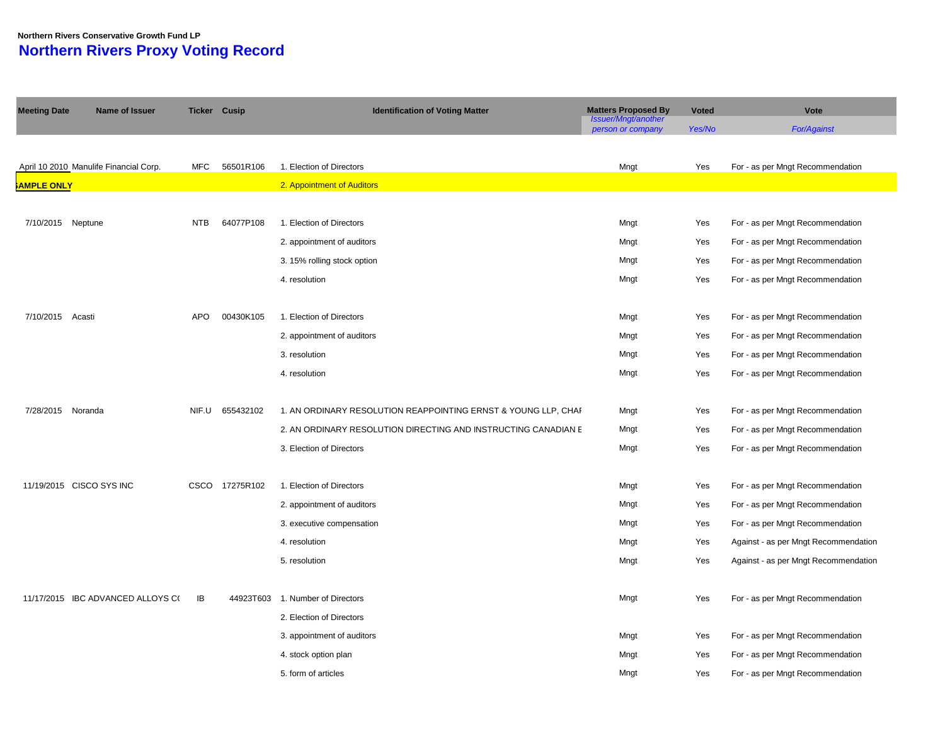#### **Northern Rivers Conservative Growth Fund LP Northern Rivers Proxy Voting Record**

| <b>Meeting Date</b> | Name of Issuer                         | <b>Ticker Cusip</b> |                | <b>Identification of Voting Matter</b>                         | <b>Matters Proposed By</b>               | <b>Voted</b> | Vote                                 |
|---------------------|----------------------------------------|---------------------|----------------|----------------------------------------------------------------|------------------------------------------|--------------|--------------------------------------|
|                     |                                        |                     |                |                                                                | Issuer/Mngt/another<br>person or company | Yes/No       | <b>For/Against</b>                   |
|                     |                                        |                     |                |                                                                |                                          |              |                                      |
|                     | April 10 2010 Manulife Financial Corp. | MFC                 | 56501R106      | 1. Election of Directors                                       | Mngt                                     | Yes          | For - as per Mngt Recommendation     |
| <b>AMPLE ONLY</b>   |                                        |                     |                | 2. Appointment of Auditors                                     |                                          |              |                                      |
|                     |                                        |                     |                |                                                                |                                          |              |                                      |
| 7/10/2015 Neptune   |                                        | <b>NTB</b>          | 64077P108      | 1. Election of Directors                                       | Mngt                                     | Yes          | For - as per Mngt Recommendation     |
|                     |                                        |                     |                | 2. appointment of auditors                                     | Mngt                                     | Yes          | For - as per Mngt Recommendation     |
|                     |                                        |                     |                | 3. 15% rolling stock option                                    | Mngt                                     | Yes          | For - as per Mngt Recommendation     |
|                     |                                        |                     |                | 4. resolution                                                  | Mngt                                     | Yes          | For - as per Mngt Recommendation     |
|                     |                                        |                     |                |                                                                |                                          |              |                                      |
| 7/10/2015 Acasti    |                                        | <b>APO</b>          | 00430K105      | 1. Election of Directors                                       | Mngt                                     | Yes          | For - as per Mngt Recommendation     |
|                     |                                        |                     |                | 2. appointment of auditors                                     | Mngt                                     | Yes          | For - as per Mngt Recommendation     |
|                     |                                        |                     |                | 3. resolution                                                  | Mngt                                     | Yes          | For - as per Mngt Recommendation     |
|                     |                                        |                     |                | 4. resolution                                                  | Mngt                                     | Yes          | For - as per Mngt Recommendation     |
|                     |                                        |                     |                |                                                                |                                          |              |                                      |
| 7/28/2015 Noranda   |                                        | NIF.U               | 655432102      | 1. AN ORDINARY RESOLUTION REAPPOINTING ERNST & YOUNG LLP, CHAI | Mngt                                     | Yes          | For - as per Mngt Recommendation     |
|                     |                                        |                     |                | 2. AN ORDINARY RESOLUTION DIRECTING AND INSTRUCTING CANADIAN E | Mngt                                     | Yes          | For - as per Mngt Recommendation     |
|                     |                                        |                     |                | 3. Election of Directors                                       | Mngt                                     | Yes          | For - as per Mngt Recommendation     |
|                     |                                        |                     |                |                                                                |                                          |              |                                      |
|                     | 11/19/2015 CISCO SYS INC               |                     | CSCO 17275R102 | 1. Election of Directors                                       | Mngt                                     | Yes          | For - as per Mngt Recommendation     |
|                     |                                        |                     |                | 2. appointment of auditors                                     | Mngt                                     | Yes          | For - as per Mngt Recommendation     |
|                     |                                        |                     |                | 3. executive compensation                                      | Mngt                                     | Yes          | For - as per Mngt Recommendation     |
|                     |                                        |                     |                | 4. resolution                                                  | Mngt                                     | Yes          | Against - as per Mngt Recommendation |
|                     |                                        |                     |                | 5. resolution                                                  | Mngt                                     | Yes          | Against - as per Mngt Recommendation |
|                     |                                        |                     |                |                                                                |                                          |              |                                      |
|                     | 11/17/2015 IBC ADVANCED ALLOYS C(      | IB                  | 44923T603      | 1. Number of Directors                                         | Mngt                                     | Yes          | For - as per Mngt Recommendation     |
|                     |                                        |                     |                | 2. Election of Directors                                       |                                          |              |                                      |
|                     |                                        |                     |                | 3. appointment of auditors                                     | Mngt                                     | Yes          | For - as per Mngt Recommendation     |
|                     |                                        |                     |                | 4. stock option plan                                           | Mngt                                     | Yes          | For - as per Mngt Recommendation     |
|                     |                                        |                     |                | 5. form of articles                                            | Mngt                                     | Yes          | For - as per Mngt Recommendation     |